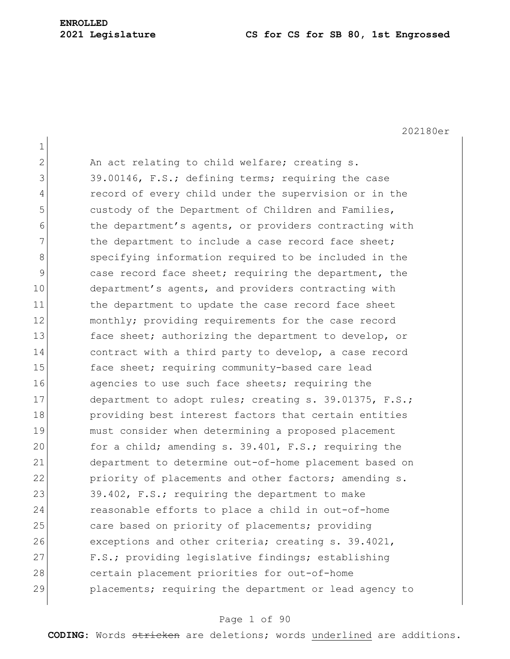## **ENROLLED**

#### **2021 Legislature CS for CS for SB 80, 1st Engrossed**

202180er 1 2 An act relating to child welfare; creating s. 3 39.00146, F.S.; defining terms; requiring the case 4 record of every child under the supervision or in the 5 custody of the Department of Children and Families, 6 6 the department's agents, or providers contracting with 7 The department to include a case record face sheet; 8 specifying information required to be included in the 9 case record face sheet; requiring the department, the 10 department's agents, and providers contracting with 11 the department to update the case record face sheet 12 monthly; providing requirements for the case record 13 face sheet; authorizing the department to develop, or 14 contract with a third party to develop, a case record 15 face sheet; requiring community-based care lead 16 agencies to use such face sheets; requiring the 17 department to adopt rules; creating s. 39.01375, F.S.; 18 providing best interest factors that certain entities 19 must consider when determining a proposed placement 20 for a child; amending s. 39.401, F.S.; requiring the 21 department to determine out-of-home placement based on 22 priority of placements and other factors; amending s. 23 39.402, F.S.; requiring the department to make 24 reasonable efforts to place a child in out-of-home 25 care based on priority of placements; providing 26 exceptions and other criteria; creating s. 39.4021, 27 F.S.; providing legislative findings; establishing 28 certain placement priorities for out-of-home 29 placements; requiring the department or lead agency to

#### Page 1 of 90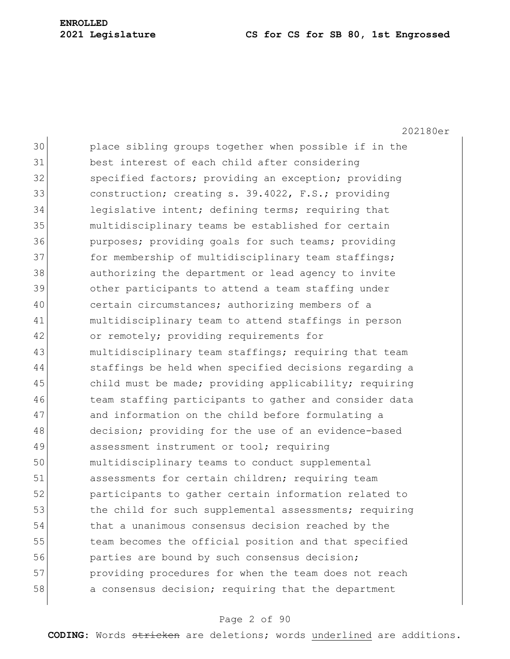202180er

30 place sibling groups together when possible if in the 31 best interest of each child after considering 32 Specified factors; providing an exception; providing 33 construction; creating s. 39.4022, F.S.; providing 34 legislative intent; defining terms; requiring that 35 multidisciplinary teams be established for certain 36 purposes; providing goals for such teams; providing 37 for membership of multidisciplinary team staffings; 38 authorizing the department or lead agency to invite 39 other participants to attend a team staffing under 40 certain circumstances; authorizing members of a 41 multidisciplinary team to attend staffings in person 42 or remotely; providing requirements for 43 multidisciplinary team staffings; requiring that team 44 staffings be held when specified decisions regarding a 45 child must be made; providing applicability; requiring 46 team staffing participants to gather and consider data 47 and information on the child before formulating a 48 decision; providing for the use of an evidence-based 49 assessment instrument or tool; requiring 50 multidisciplinary teams to conduct supplemental 51 assessments for certain children; requiring team 52 participants to gather certain information related to 53 the child for such supplemental assessments; requiring 54 that a unanimous consensus decision reached by the 55 team becomes the official position and that specified 56 **parties are bound by such consensus decision;** 57 **providing procedures for when the team does not reach** 58 a consensus decision; requiring that the department

#### Page 2 of 90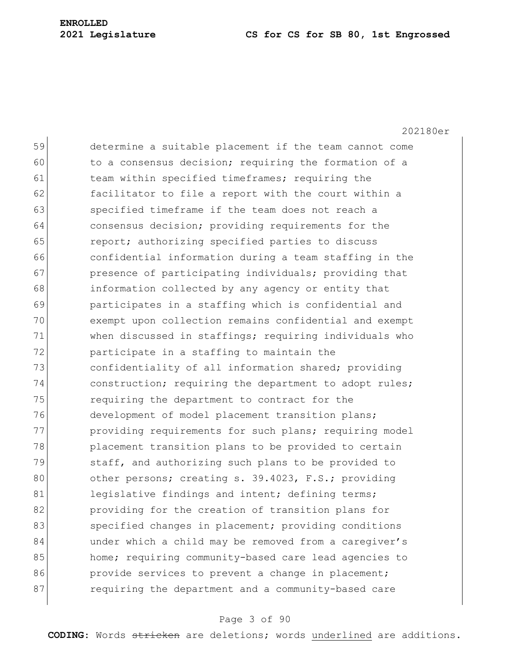202180er

59 determine a suitable placement if the team cannot come 60 to a consensus decision; requiring the formation of a 61 team within specified timeframes; requiring the 62 **facilitator to file a report with the court within a** 63 specified timeframe if the team does not reach a 64 consensus decision; providing requirements for the 65 **report;** authorizing specified parties to discuss 66 confidential information during a team staffing in the 67 **presence of participating individuals;** providing that 68 information collected by any agency or entity that 69 participates in a staffing which is confidential and 70 exempt upon collection remains confidential and exempt 71 when discussed in staffings; requiring individuals who 72 **participate in a staffing to maintain the** 73 confidentiality of all information shared; providing 74 construction; requiring the department to adopt rules; 75 requiring the department to contract for the 76 development of model placement transition plans; 77 providing requirements for such plans; requiring model 78 placement transition plans to be provided to certain 79 staff, and authorizing such plans to be provided to 80 other persons; creating s. 39.4023, F.S.; providing 81 legislative findings and intent; defining terms; 82 **providing for the creation of transition plans for** 83 specified changes in placement; providing conditions 84 under which a child may be removed from a caregiver's 85 home; requiring community-based care lead agencies to 86 provide services to prevent a change in placement; 87 requiring the department and a community-based care

#### Page 3 of 90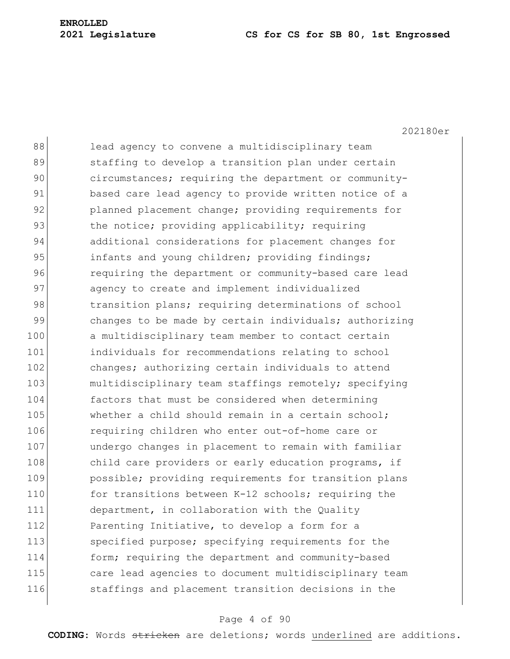202180er

| 88  | lead agency to convene a multidisciplinary team        |
|-----|--------------------------------------------------------|
| 89  | staffing to develop a transition plan under certain    |
| 90  | circumstances; requiring the department or community-  |
| 91  | based care lead agency to provide written notice of a  |
| 92  | planned placement change; providing requirements for   |
| 93  | the notice; providing applicability; requiring         |
| 94  | additional considerations for placement changes for    |
| 95  | infants and young children; providing findings;        |
| 96  | requiring the department or community-based care lead  |
| 97  | agency to create and implement individualized          |
| 98  | transition plans; requiring determinations of school   |
| 99  | changes to be made by certain individuals; authorizing |
| 100 | a multidisciplinary team member to contact certain     |
| 101 | individuals for recommendations relating to school     |
| 102 | changes; authorizing certain individuals to attend     |
| 103 | multidisciplinary team staffings remotely; specifying  |
| 104 | factors that must be considered when determining       |
| 105 | whether a child should remain in a certain school;     |
| 106 | requiring children who enter out-of-home care or       |
| 107 | undergo changes in placement to remain with familiar   |
| 108 | child care providers or early education programs, if   |
| 109 | possible; providing requirements for transition plans  |
| 110 | for transitions between K-12 schools; requiring the    |
| 111 | department, in collaboration with the Quality          |
| 112 | Parenting Initiative, to develop a form for a          |
| 113 | specified purpose; specifying requirements for the     |
| 114 | form; requiring the department and community-based     |
| 115 | care lead agencies to document multidisciplinary team  |
| 116 | staffings and placement transition decisions in the    |
|     |                                                        |

## Page 4 of 90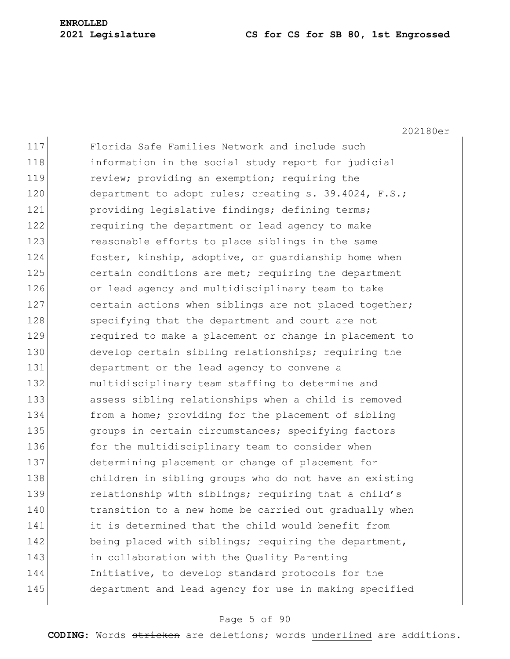202180er

117 Florida Safe Families Network and include such 118 information in the social study report for judicial 119 review; providing an exemption; requiring the 120 department to adopt rules; creating s. 39.4024, F.S.; 121 **providing legislative findings; defining terms;** 122 requiring the department or lead agency to make 123 reasonable efforts to place siblings in the same 124 foster, kinship, adoptive, or quardianship home when 125 certain conditions are met; requiring the department 126 or lead agency and multidisciplinary team to take 127 certain actions when siblings are not placed together; 128 specifying that the department and court are not 129 required to make a placement or change in placement to 130 develop certain sibling relationships; requiring the 131 department or the lead agency to convene a 132 multidisciplinary team staffing to determine and 133 assess sibling relationships when a child is removed 134 from a home; providing for the placement of sibling 135 groups in certain circumstances; specifying factors 136 for the multidisciplinary team to consider when 137 determining placement or change of placement for 138 children in sibling groups who do not have an existing 139 relationship with siblings; requiring that a child's 140 transition to a new home be carried out gradually when 141 it is determined that the child would benefit from 142 being placed with siblings; requiring the department, 143 in collaboration with the Quality Parenting 144 Initiative, to develop standard protocols for the 145 department and lead agency for use in making specified

#### Page 5 of 90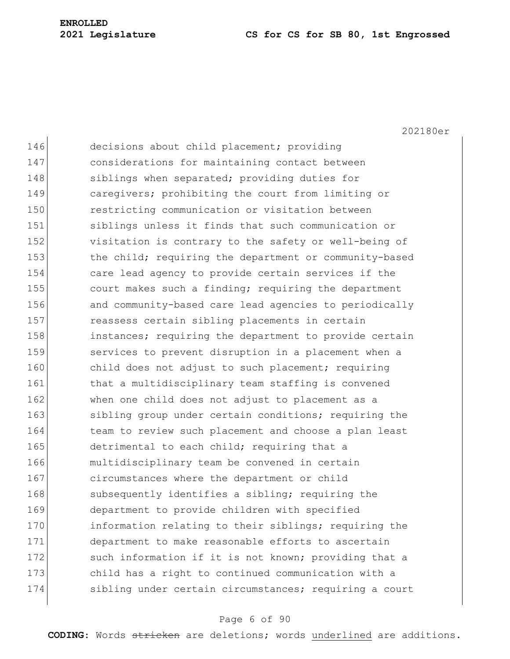202180er

| 146 | decisions about child placement; providing             |
|-----|--------------------------------------------------------|
| 147 | considerations for maintaining contact between         |
| 148 | siblings when separated; providing duties for          |
| 149 | caregivers; prohibiting the court from limiting or     |
| 150 | restricting communication or visitation between        |
| 151 | siblings unless it finds that such communication or    |
| 152 | visitation is contrary to the safety or well-being of  |
| 153 | the child; requiring the department or community-based |
| 154 | care lead agency to provide certain services if the    |
| 155 | court makes such a finding; requiring the department   |
| 156 | and community-based care lead agencies to periodically |
| 157 | reassess certain sibling placements in certain         |
| 158 | instances; requiring the department to provide certain |
| 159 | services to prevent disruption in a placement when a   |
| 160 | child does not adjust to such placement; requiring     |
| 161 | that a multidisciplinary team staffing is convened     |
| 162 | when one child does not adjust to placement as a       |
| 163 | sibling group under certain conditions; requiring the  |
| 164 | team to review such placement and choose a plan least  |
| 165 | detrimental to each child; requiring that a            |
| 166 | multidisciplinary team be convened in certain          |
| 167 | circumstances where the department or child            |
| 168 | subsequently identifies a sibling; requiring the       |
| 169 | department to provide children with specified          |
| 170 | information relating to their siblings; requiring the  |
| 171 | department to make reasonable efforts to ascertain     |
| 172 | such information if it is not known; providing that a  |
| 173 | child has a right to continued communication with a    |
| 174 | sibling under certain circumstances; requiring a court |
|     |                                                        |

## Page 6 of 90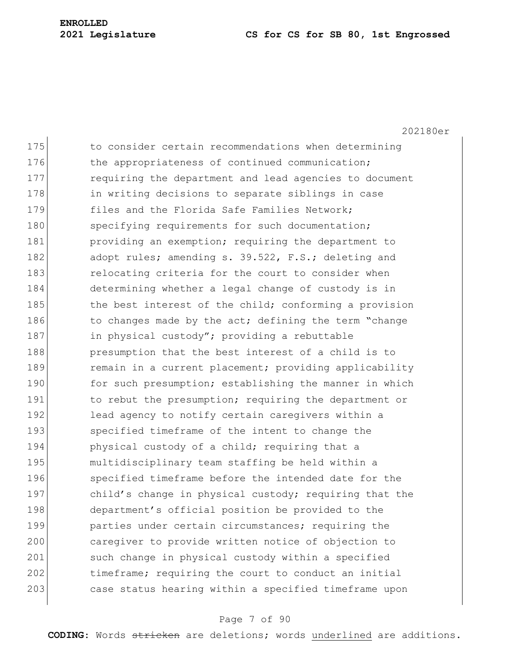202180er

175 to consider certain recommendations when determining 176 the appropriateness of continued communication; 177 requiring the department and lead agencies to document 178 in writing decisions to separate siblings in case 179 files and the Florida Safe Families Network: 180 specifying requirements for such documentation; 181 **providing an exemption;** requiring the department to 182 adopt rules; amending s. 39.522, F.S.; deleting and 183 relocating criteria for the court to consider when 184 determining whether a legal change of custody is in 185 the best interest of the child; conforming a provision 186 to changes made by the act; defining the term "change 187 in physical custody"; providing a rebuttable 188 presumption that the best interest of a child is to 189 remain in a current placement; providing applicability 190 for such presumption; establishing the manner in which 191 to rebut the presumption; requiring the department or 192 lead agency to notify certain caregivers within a 193 specified timeframe of the intent to change the 194 physical custody of a child; requiring that a 195 multidisciplinary team staffing be held within a 196 specified timeframe before the intended date for the 197 child's change in physical custody; requiring that the 198 department's official position be provided to the 199 **parties under certain circumstances; requiring the** 200 caregiver to provide written notice of objection to 201 such change in physical custody within a specified 202 timeframe; requiring the court to conduct an initial 203 case status hearing within a specified timeframe upon

#### Page 7 of 90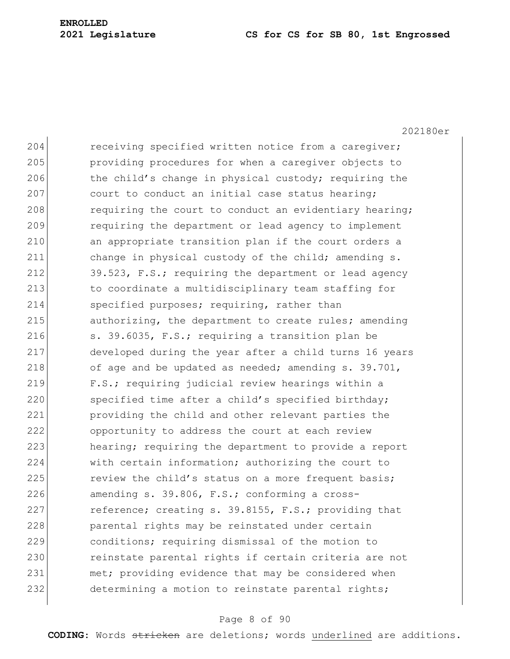202180er 204 receiving specified written notice from a caregiver; 205 providing procedures for when a caregiver objects to 206 the child's change in physical custody; requiring the 207 court to conduct an initial case status hearing; 208 requiring the court to conduct an evidentiary hearing; 209 requiring the department or lead agency to implement 210 an appropriate transition plan if the court orders a 211 change in physical custody of the child; amending s. 212 39.523, F.S.; requiring the department or lead agency 213 to coordinate a multidisciplinary team staffing for 214 specified purposes; requiring, rather than 215 authorizing, the department to create rules**;** amending 216  $\vert$  s. 39.6035, F.S.; requiring a transition plan be 217 developed during the year after a child turns 16 years 218 of age and be updated as needed; amending  $s. 39.701$ , 219 F.S.; requiring judicial review hearings within a 220 specified time after a child's specified birthday; 221 providing the child and other relevant parties the 222 opportunity to address the court at each review 223 hearing; requiring the department to provide a report 224 with certain information; authorizing the court to 225 review the child's status on a more frequent basis; 226 amending s.  $39.806$ , F.S.; conforming a cross-227 reference; creating s. 39.8155, F.S.; providing that 228 **parental rights may be reinstated under certain** 229 conditions; requiring dismissal of the motion to 230 reinstate parental rights if certain criteria are not 231 met; providing evidence that may be considered when 232 determining a motion to reinstate parental rights;

#### Page 8 of 90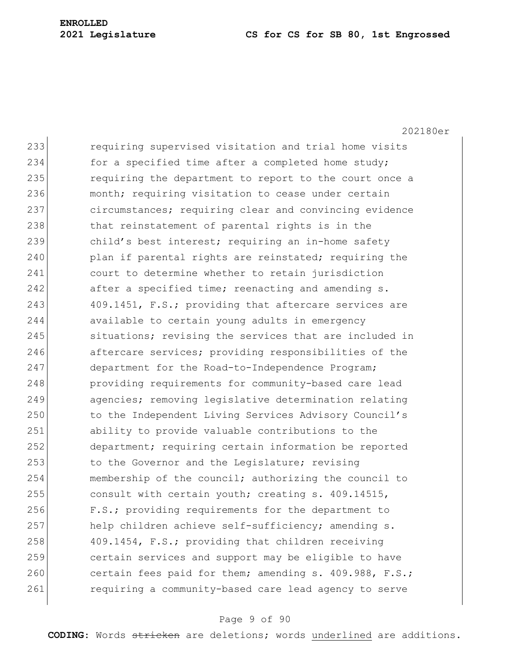202180er 233 requiring supervised visitation and trial home visits 234 for a specified time after a completed home study; 235 requiring the department to report to the court once a 236 month; requiring visitation to cease under certain 237 circumstances; requiring clear and convincing evidence 238 100 that reinstatement of parental rights is in the 239 child's best interest; requiring an in-home safety 240 plan if parental rights are reinstated; requiring the 241 court to determine whether to retain jurisdiction 242 after a specified time; reenacting and amending s. 243 409.1451, F.S.; providing that aftercare services are 244 available to certain young adults in emergency 245 situations; revising the services that are included in 246 aftercare services; providing responsibilities of the 247 department for the Road-to-Independence Program; 248 **providing requirements for community-based care lead** 249 agencies; removing legislative determination relating 250 to the Independent Living Services Advisory Council's 251 ability to provide valuable contributions to the 252 department; requiring certain information be reported 253 to the Governor and the Legislature; revising 254 membership of the council; authorizing the council to 255 consult with certain youth; creating s. 409.14515, 256 F.S.; providing requirements for the department to 257 help children achieve self-sufficiency; amending s. 258 409.1454, F.S.; providing that children receiving 259 certain services and support may be eligible to have 260 certain fees paid for them; amending s. 409.988, F.S.; 261 requiring a community-based care lead agency to serve

#### Page 9 of 90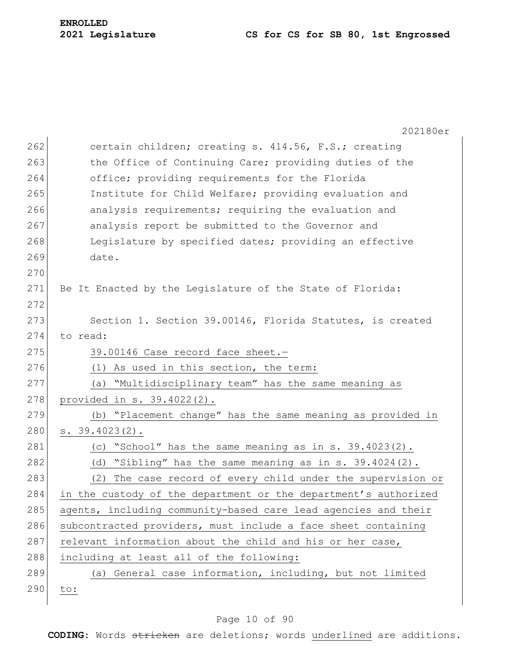|     | 202180er                                                        |
|-----|-----------------------------------------------------------------|
| 262 | certain children; creating s. 414.56, F.S.; creating            |
| 263 | the Office of Continuing Care; providing duties of the          |
| 264 | office; providing requirements for the Florida                  |
| 265 | Institute for Child Welfare; providing evaluation and           |
| 266 | analysis requirements; requiring the evaluation and             |
| 267 | analysis report be submitted to the Governor and                |
| 268 | Legislature by specified dates; providing an effective          |
| 269 | date.                                                           |
| 270 |                                                                 |
| 271 | Be It Enacted by the Legislature of the State of Florida:       |
| 272 |                                                                 |
| 273 | Section 1. Section 39.00146, Florida Statutes, is created       |
| 274 | to read:                                                        |
| 275 | 39.00146 Case record face sheet.-                               |
| 276 | (1) As used in this section, the term:                          |
| 277 | (a) "Multidisciplinary team" has the same meaning as            |
| 278 | provided in s. 39.4022(2).                                      |
| 279 | (b) "Placement change" has the same meaning as provided in      |
| 280 | $s. 39.4023(2)$ .                                               |
| 281 | (c) "School" has the same meaning as in s. 39.4023(2).          |
| 282 | (d) "Sibling" has the same meaning as in s. $39.4024(2)$ .      |
| 283 | The case record of every child under the supervision or<br>(2)  |
| 284 | in the custody of the department or the department's authorized |
| 285 | agents, including community-based care lead agencies and their  |
| 286 | subcontracted providers, must include a face sheet containing   |
| 287 | relevant information about the child and his or her case,       |
| 288 | including at least all of the following:                        |
| 289 | (a) General case information, including, but not limited        |
| 290 | to:                                                             |
|     |                                                                 |

## Page 10 of 90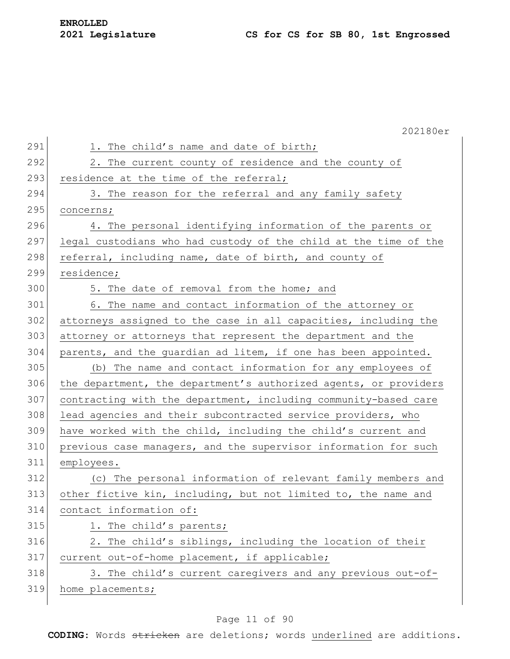|     | 202180er                                                         |
|-----|------------------------------------------------------------------|
| 291 | 1. The child's name and date of birth;                           |
| 292 | 2. The current county of residence and the county of             |
| 293 | residence at the time of the referral;                           |
| 294 | 3. The reason for the referral and any family safety             |
| 295 | concerns;                                                        |
| 296 | 4. The personal identifying information of the parents or        |
| 297 | legal custodians who had custody of the child at the time of the |
| 298 | referral, including name, date of birth, and county of           |
| 299 | residence;                                                       |
| 300 | 5. The date of removal from the home; and                        |
| 301 | 6. The name and contact information of the attorney or           |
| 302 | attorneys assigned to the case in all capacities, including the  |
| 303 | attorney or attorneys that represent the department and the      |
| 304 | parents, and the quardian ad litem, if one has been appointed.   |
| 305 | (b) The name and contact information for any employees of        |
| 306 | the department, the department's authorized agents, or providers |
| 307 | contracting with the department, including community-based care  |
| 308 | lead agencies and their subcontracted service providers, who     |
| 309 | have worked with the child, including the child's current and    |
| 310 | previous case managers, and the supervisor information for such  |
| 311 | employees.                                                       |
| 312 | (c) The personal information of relevant family members and      |
| 313 | other fictive kin, including, but not limited to, the name and   |
| 314 | contact information of:                                          |
| 315 | 1. The child's parents;                                          |
| 316 | 2. The child's siblings, including the location of their         |
| 317 | current out-of-home placement, if applicable;                    |
| 318 | 3. The child's current caregivers and any previous out-of-       |
| 319 | home placements;                                                 |

## Page 11 of 90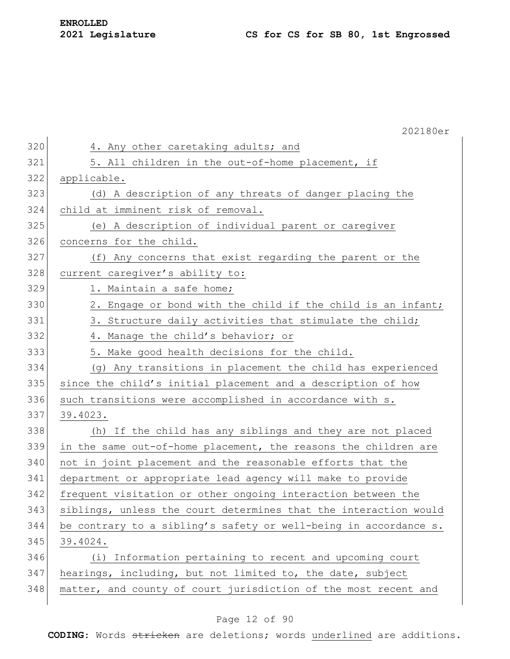|     | 202180er                                                         |
|-----|------------------------------------------------------------------|
| 320 | 4. Any other caretaking adults; and                              |
| 321 | 5. All children in the out-of-home placement, if                 |
| 322 | applicable.                                                      |
| 323 | (d) A description of any threats of danger placing the           |
| 324 | child at imminent risk of removal.                               |
| 325 | (e) A description of individual parent or caregiver              |
| 326 | concerns for the child.                                          |
| 327 | (f) Any concerns that exist regarding the parent or the          |
| 328 | current caregiver's ability to:                                  |
| 329 | 1. Maintain a safe home;                                         |
| 330 | 2. Engage or bond with the child if the child is an infant;      |
| 331 | 3. Structure daily activities that stimulate the child;          |
| 332 | 4. Manage the child's behavior; or                               |
| 333 | 5. Make good health decisions for the child.                     |
| 334 | (g) Any transitions in placement the child has experienced       |
| 335 | since the child's initial placement and a description of how     |
| 336 | such transitions were accomplished in accordance with s.         |
| 337 | 39.4023.                                                         |
| 338 | (h) If the child has any siblings and they are not placed        |
| 339 | in the same out-of-home placement, the reasons the children are  |
| 340 | not in joint placement and the reasonable efforts that the       |
| 341 | department or appropriate lead agency will make to provide       |
| 342 | frequent visitation or other ongoing interaction between the     |
| 343 | siblings, unless the court determines that the interaction would |
| 344 | be contrary to a sibling's safety or well-being in accordance s. |
| 345 | 39.4024.                                                         |
| 346 | (i) Information pertaining to recent and upcoming court          |
| 347 | hearings, including, but not limited to, the date, subject       |
| 348 | matter, and county of court jurisdiction of the most recent and  |

## Page 12 of 90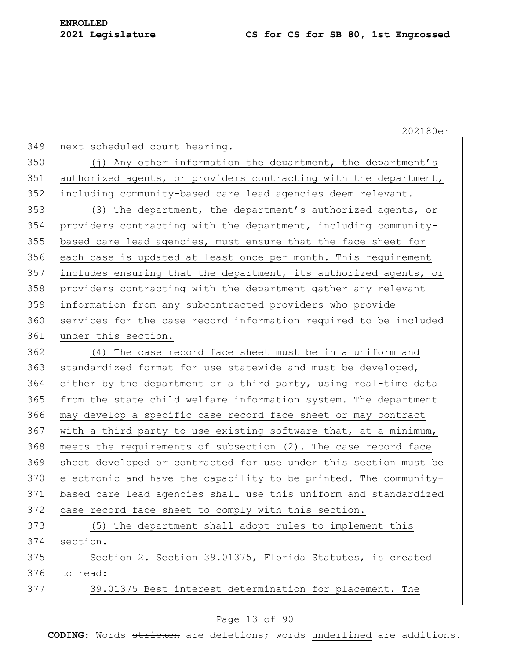349 next scheduled court hearing. 350 (j) Any other information the department, the department's 351 authorized agents, or providers contracting with the department, 352 including community-based care lead agencies deem relevant. 353 (3) The department, the department's authorized agents, or 354 providers contracting with the department, including community-355 based care lead agencies, must ensure that the face sheet for 356 each case is updated at least once per month. This requirement 357 includes ensuring that the department, its authorized agents, or 358 providers contracting with the department gather any relevant 359 information from any subcontracted providers who provide 360 services for the case record information required to be included 361 under this section. 362 (4) The case record face sheet must be in a uniform and 363 standardized format for use statewide and must be developed, 364 either by the department or a third party, using real-time data 365 from the state child welfare information system. The department 366 may develop a specific case record face sheet or may contract 367 with a third party to use existing software that, at a minimum, 368 meets the requirements of subsection (2). The case record face 369 sheet developed or contracted for use under this section must be 370 electronic and have the capability to be printed. The community-371 based care lead agencies shall use this uniform and standardized 372 case record face sheet to comply with this section. 373 (5) The department shall adopt rules to implement this 374 section. 375 Section 2. Section 39.01375, Florida Statutes, is created 376 to read: 377 39.01375 Best interest determination for placement.—The

#### Page 13 of 90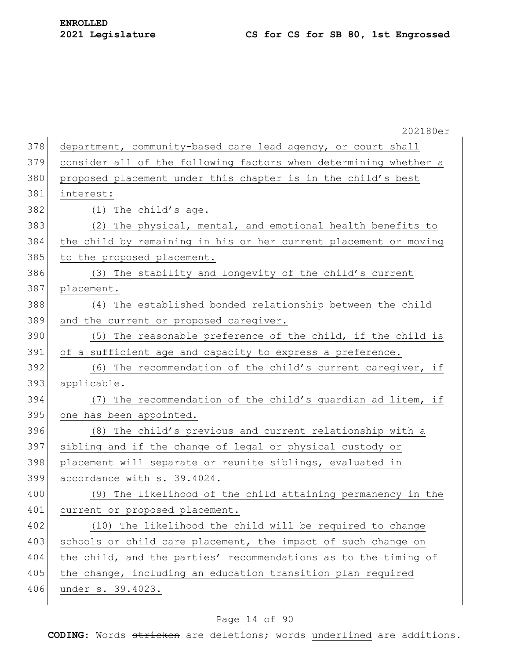|     | 202180er                                                         |
|-----|------------------------------------------------------------------|
| 378 | department, community-based care lead agency, or court shall     |
| 379 | consider all of the following factors when determining whether a |
| 380 | proposed placement under this chapter is in the child's best     |
| 381 | interest:                                                        |
| 382 | (1) The child's age.                                             |
| 383 | The physical, mental, and emotional health benefits to<br>(2)    |
| 384 | the child by remaining in his or her current placement or moving |
| 385 | to the proposed placement.                                       |
| 386 | (3) The stability and longevity of the child's current           |
| 387 | placement.                                                       |
| 388 | The established bonded relationship between the child<br>(4)     |
| 389 | and the current or proposed caregiver.                           |
| 390 | (5) The reasonable preference of the child, if the child is      |
| 391 | of a sufficient age and capacity to express a preference.        |
| 392 | (6) The recommendation of the child's current caregiver, if      |
| 393 | applicable.                                                      |
| 394 | The recommendation of the child's guardian ad litem, if<br>(7)   |
| 395 | one has been appointed.                                          |
| 396 | (8) The child's previous and current relationship with a         |
| 397 | sibling and if the change of legal or physical custody or        |
| 398 | placement will separate or reunite siblings, evaluated in        |
| 399 | accordance with s. 39.4024.                                      |
| 400 | (9) The likelihood of the child attaining permanency in the      |
| 401 | current or proposed placement.                                   |
| 402 | (10) The likelihood the child will be required to change         |
| 403 | schools or child care placement, the impact of such change on    |
| 404 | the child, and the parties' recommendations as to the timing of  |
| 405 | the change, including an education transition plan required      |
| 406 | under s. 39.4023.                                                |
|     |                                                                  |

## Page 14 of 90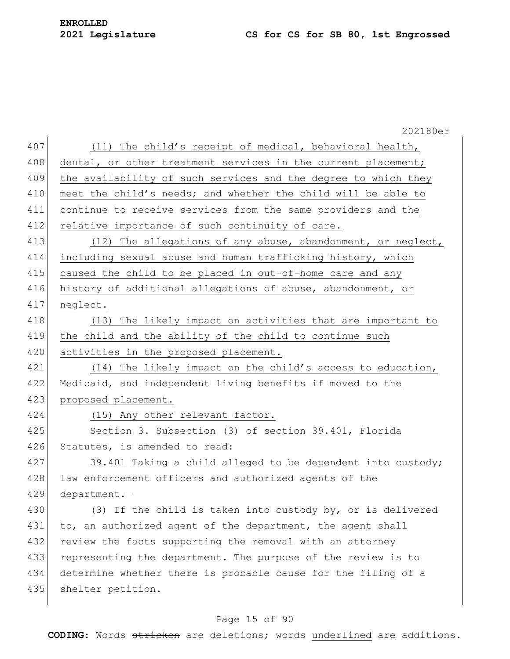202180er 407 (11) The child's receipt of medical, behavioral health, 408 dental, or other treatment services in the current placement; 409 the availability of such services and the degree to which they 410 meet the child's needs; and whether the child will be able to 411 continue to receive services from the same providers and the 412 relative importance of such continuity of care. 413 (12) The allegations of any abuse, abandonment, or neglect, 414 including sexual abuse and human trafficking history, which 415 caused the child to be placed in out-of-home care and any 416 history of additional allegations of abuse, abandonment, or 417 neglect. 418 (13) The likely impact on activities that are important to 419 the child and the ability of the child to continue such 420 activities in the proposed placement. 421 (14) The likely impact on the child's access to education, 422 Medicaid, and independent living benefits if moved to the 423 proposed placement. 424 (15) Any other relevant factor. 425 Section 3. Subsection (3) of section 39.401, Florida 426 Statutes, is amended to read: 427 39.401 Taking a child alleged to be dependent into custody; 428 law enforcement officers and authorized agents of the 429 department.— 430 (3) If the child is taken into custody by, or is delivered 431 to, an authorized agent of the department, the agent shall 432 review the facts supporting the removal with an attorney 433 representing the department. The purpose of the review is to 434 determine whether there is probable cause for the filing of a 435 shelter petition.

#### Page 15 of 90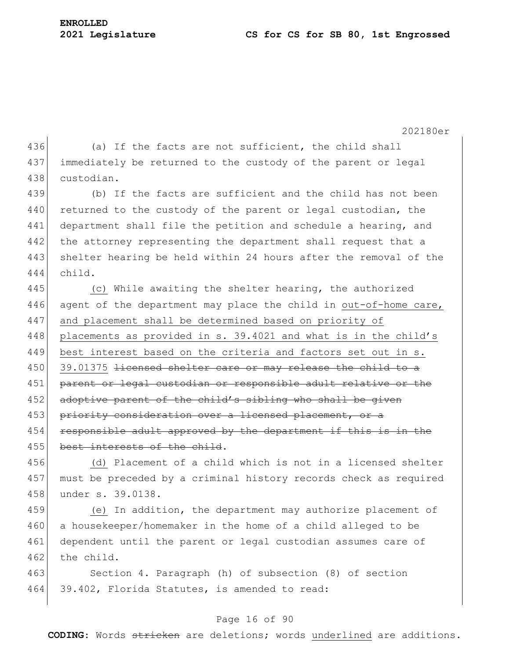202180er 436 (a) If the facts are not sufficient, the child shall 437 immediately be returned to the custody of the parent or legal 438 custodian. 439 (b) If the facts are sufficient and the child has not been 440 returned to the custody of the parent or legal custodian, the 441 department shall file the petition and schedule a hearing, and 442 the attorney representing the department shall request that a 443 shelter hearing be held within 24 hours after the removal of the 444 child. 445 (c) While awaiting the shelter hearing, the authorized 446 agent of the department may place the child in out-of-home care, 447 and placement shall be determined based on priority of 448 placements as provided in s. 39.4021 and what is in the child's 449 best interest based on the criteria and factors set out in s. 450 39.01375 <del>licensed shelter care or may release the child to a</del> 451 parent or legal custodian or responsible adult relative or the 452 adoptive parent of the child's sibling who shall be given 453 priority consideration over a licensed placement, or a 454 responsible adult approved by the department if this is in the 455 best interests of the child. 456 (d) Placement of a child which is not in a licensed shelter 457 must be preceded by a criminal history records check as required 458 under s. 39.0138. 459 (e) In addition, the department may authorize placement of 460 a housekeeper/homemaker in the home of a child alleged to be 461 dependent until the parent or legal custodian assumes care of 462 the child. 463 Section 4. Paragraph (h) of subsection (8) of section

464 39.402, Florida Statutes, is amended to read:

#### Page 16 of 90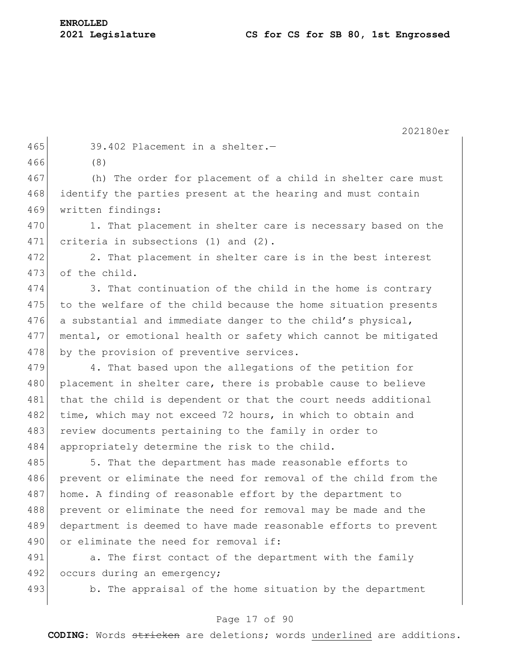465 39.402 Placement in a shelter.-

466 (8)

467 (h) The order for placement of a child in shelter care must 468 identify the parties present at the hearing and must contain 469 written findings:

470 1. That placement in shelter care is necessary based on the 471 criteria in subsections (1) and (2).

472 2. That placement in shelter care is in the best interest 473 of the child.

474 3. That continuation of the child in the home is contrary 475 to the welfare of the child because the home situation presents 476 a substantial and immediate danger to the child's physical, 477 mental, or emotional health or safety which cannot be mitigated 478 by the provision of preventive services.

479 4. That based upon the allegations of the petition for 480 placement in shelter care, there is probable cause to believe 481 that the child is dependent or that the court needs additional 482 time, which may not exceed 72 hours, in which to obtain and 483 review documents pertaining to the family in order to 484 appropriately determine the risk to the child.

485 5. That the department has made reasonable efforts to 486 prevent or eliminate the need for removal of the child from the 487 home. A finding of reasonable effort by the department to 488 prevent or eliminate the need for removal may be made and the 489 department is deemed to have made reasonable efforts to prevent 490 or eliminate the need for removal if:

491 a. The first contact of the department with the family 492 occurs during an emergency;

493 b. The appraisal of the home situation by the department

#### Page 17 of 90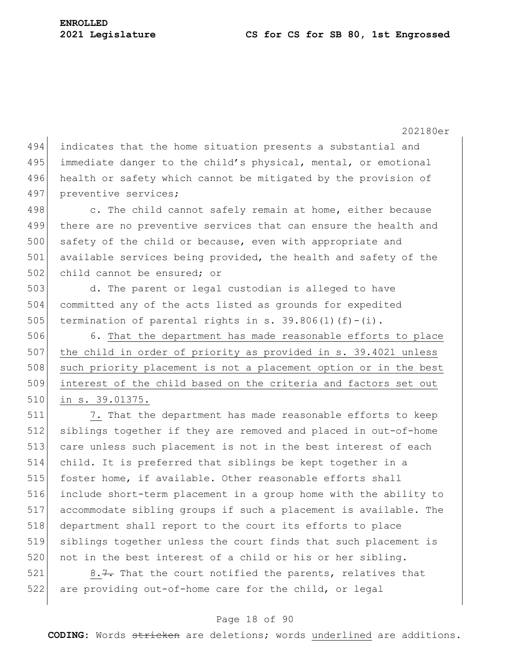494 indicates that the home situation presents a substantial and 495 immediate danger to the child's physical, mental, or emotional 496 health or safety which cannot be mitigated by the provision of 497 preventive services; 498 c. The child cannot safely remain at home, either because 499 there are no preventive services that can ensure the health and 500 safety of the child or because, even with appropriate and 501 available services being provided, the health and safety of the 502 child cannot be ensured; or 503 d. The parent or legal custodian is alleged to have 504 committed any of the acts listed as grounds for expedited 505 termination of parental rights in s. 39.806(1)(f)-(i). 506 6. That the department has made reasonable efforts to place 507 the child in order of priority as provided in s. 39.4021 unless 508 such priority placement is not a placement option or in the best 509 interest of the child based on the criteria and factors set out 510 in s. 39.01375. 511 7. That the department has made reasonable efforts to keep 512 siblings together if they are removed and placed in out-of-home

513 care unless such placement is not in the best interest of each 514 child. It is preferred that siblings be kept together in a 515 foster home, if available. Other reasonable efforts shall 516 include short-term placement in a group home with the ability to 517 accommodate sibling groups if such a placement is available. The 518 department shall report to the court its efforts to place 519 siblings together unless the court finds that such placement is 520 not in the best interest of a child or his or her sibling.

 $521$  8.7. That the court notified the parents, relatives that 522 are providing out-of-home care for the child, or legal

#### Page 18 of 90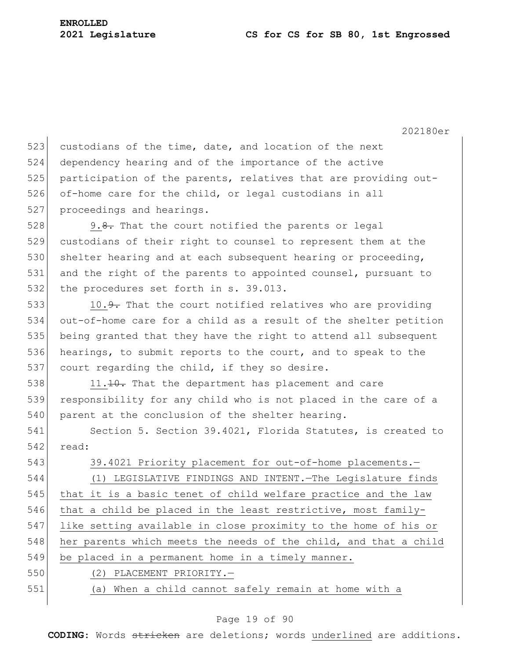523 custodians of the time, date, and location of the next 524 dependency hearing and of the importance of the active 525 participation of the parents, relatives that are providing out-526 of-home care for the child, or legal custodians in all 527 proceedings and hearings. 528 9.8. That the court notified the parents or legal 529 custodians of their right to counsel to represent them at the 530 shelter hearing and at each subsequent hearing or proceeding, 531 and the right of the parents to appointed counsel, pursuant to 532 the procedures set forth in s. 39.013. 533 10.<del>9.</del> That the court notified relatives who are providing 534 out-of-home care for a child as a result of the shelter petition 535 being granted that they have the right to attend all subsequent 536 hearings, to submit reports to the court, and to speak to the 537 court regarding the child, if they so desire.  $538$  11.<del>10.</del> That the department has placement and care 539 responsibility for any child who is not placed in the care of a 540 parent at the conclusion of the shelter hearing. 541 Section 5. Section 39.4021, Florida Statutes, is created to 542 read: 543 39.4021 Priority placement for out-of-home placements. 544 (1) LEGISLATIVE FINDINGS AND INTENT.—The Legislature finds 545 that it is a basic tenet of child welfare practice and the law 546 that a child be placed in the least restrictive, most family-547 like setting available in close proximity to the home of his or 548 her parents which meets the needs of the child, and that a child 549 be placed in a permanent home in a timely manner. 550 (2) PLACEMENT PRIORITY.— 551 (a) When a child cannot safely remain at home with a

#### Page 19 of 90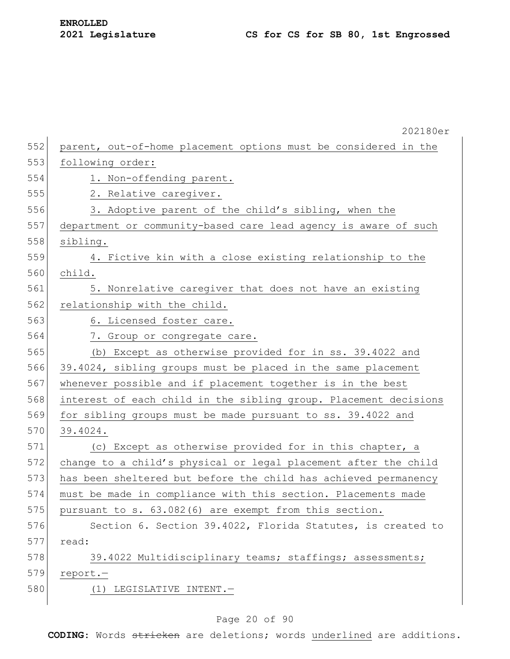|     | 202180er                                                         |
|-----|------------------------------------------------------------------|
| 552 | parent, out-of-home placement options must be considered in the  |
| 553 | following order:                                                 |
| 554 | 1. Non-offending parent.                                         |
| 555 | 2. Relative caregiver.                                           |
| 556 | 3. Adoptive parent of the child's sibling, when the              |
| 557 | department or community-based care lead agency is aware of such  |
| 558 | sibling.                                                         |
| 559 | 4. Fictive kin with a close existing relationship to the         |
| 560 | child.                                                           |
| 561 | 5. Nonrelative caregiver that does not have an existing          |
| 562 | relationship with the child.                                     |
| 563 | 6. Licensed foster care.                                         |
| 564 | 7. Group or congregate care.                                     |
| 565 | (b) Except as otherwise provided for in ss. 39.4022 and          |
| 566 | 39.4024, sibling groups must be placed in the same placement     |
| 567 | whenever possible and if placement together is in the best       |
| 568 | interest of each child in the sibling group. Placement decisions |
| 569 | for sibling groups must be made pursuant to ss. 39.4022 and      |
| 570 | 39.4024.                                                         |
| 571 | (c) Except as otherwise provided for in this chapter, a          |
| 572 | change to a child's physical or legal placement after the child  |
| 573 | has been sheltered but before the child has achieved permanency  |
| 574 | must be made in compliance with this section. Placements made    |
| 575 | pursuant to s. 63.082(6) are exempt from this section.           |
| 576 | Section 6. Section 39.4022, Florida Statutes, is created to      |
| 577 | read:                                                            |
| 578 | 39.4022 Multidisciplinary teams; staffings; assessments;         |
| 579 | report.-                                                         |
| 580 | (1) LEGISLATIVE INTENT.-                                         |
|     |                                                                  |

## Page 20 of 90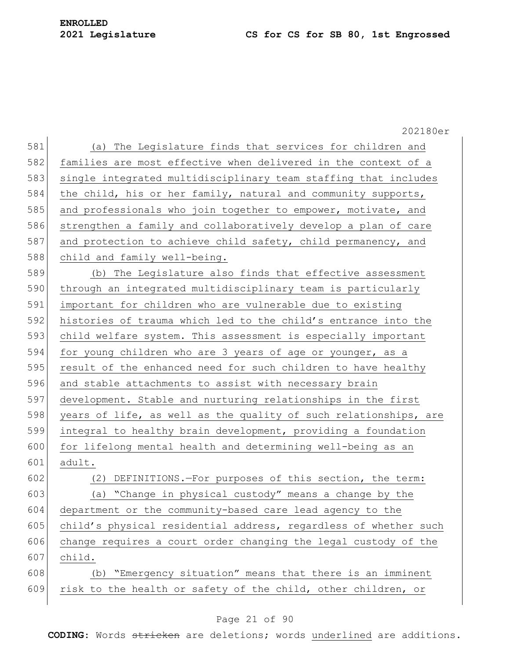|     | 202180er                                                         |
|-----|------------------------------------------------------------------|
| 581 | (a) The Legislature finds that services for children and         |
| 582 | families are most effective when delivered in the context of a   |
| 583 | single integrated multidisciplinary team staffing that includes  |
| 584 | the child, his or her family, natural and community supports,    |
| 585 | and professionals who join together to empower, motivate, and    |
| 586 | strengthen a family and collaboratively develop a plan of care   |
| 587 | and protection to achieve child safety, child permanency, and    |
| 588 | child and family well-being.                                     |
| 589 | (b) The Legislature also finds that effective assessment         |
| 590 | through an integrated multidisciplinary team is particularly     |
| 591 | important for children who are vulnerable due to existing        |
| 592 | histories of trauma which led to the child's entrance into the   |
| 593 | child welfare system. This assessment is especially important    |
| 594 | for young children who are 3 years of age or younger, as a       |
| 595 | result of the enhanced need for such children to have healthy    |
| 596 | and stable attachments to assist with necessary brain            |
| 597 | development. Stable and nurturing relationships in the first     |
| 598 | years of life, as well as the quality of such relationships, are |
| 599 | integral to healthy brain development, providing a foundation    |
| 600 | for lifelong mental health and determining well-being as an      |
| 601 | adult.                                                           |
| 602 | (2) DEFINITIONS.-For purposes of this section, the term:         |
| 603 | (a) "Change in physical custody" means a change by the           |
| 604 | department or the community-based care lead agency to the        |
| 605 | child's physical residential address, regardless of whether such |
| 606 | change requires a court order changing the legal custody of the  |
| 607 | child.                                                           |
| 608 | (b) "Emergency situation" means that there is an imminent        |
| 609 | risk to the health or safety of the child, other children, or    |
|     |                                                                  |

## Page 21 of 90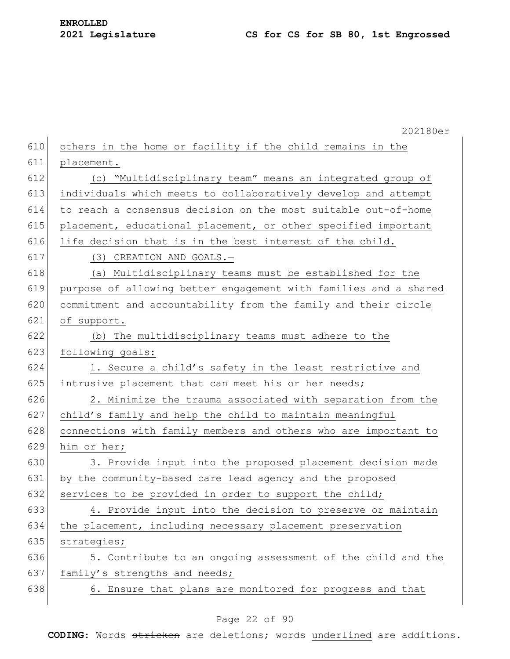|     | 202180er                                                         |
|-----|------------------------------------------------------------------|
| 610 | others in the home or facility if the child remains in the       |
| 611 | placement.                                                       |
| 612 | (c) "Multidisciplinary team" means an integrated group of        |
| 613 | individuals which meets to collaboratively develop and attempt   |
| 614 | to reach a consensus decision on the most suitable out-of-home   |
| 615 | placement, educational placement, or other specified important   |
| 616 | life decision that is in the best interest of the child.         |
| 617 | (3) CREATION AND GOALS.-                                         |
| 618 | (a) Multidisciplinary teams must be established for the          |
| 619 | purpose of allowing better engagement with families and a shared |
| 620 | commitment and accountability from the family and their circle   |
| 621 | of support.                                                      |
| 622 | (b) The multidisciplinary teams must adhere to the               |
| 623 | following goals:                                                 |
| 624 | 1. Secure a child's safety in the least restrictive and          |
| 625 | intrusive placement that can meet his or her needs;              |
| 626 | 2. Minimize the trauma associated with separation from the       |
| 627 | child's family and help the child to maintain meaningful         |
| 628 | connections with family members and others who are important to  |
| 629 | him or her;                                                      |
| 630 | 3. Provide input into the proposed placement decision made       |
| 631 | by the community-based care lead agency and the proposed         |
| 632 | services to be provided in order to support the child;           |
| 633 | 4. Provide input into the decision to preserve or maintain       |
| 634 | the placement, including necessary placement preservation        |
| 635 | strategies;                                                      |
| 636 | 5. Contribute to an ongoing assessment of the child and the      |
| 637 | family's strengths and needs;                                    |
| 638 | 6. Ensure that plans are monitored for progress and that         |

## Page 22 of 90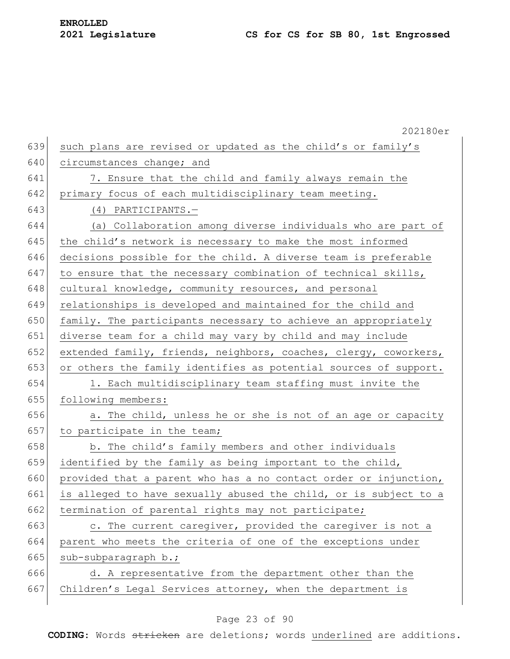202180er 639 such plans are revised or updated as the child's or family's 640 circumstances change; and 641 7. Ensure that the child and family always remain the 642 primary focus of each multidisciplinary team meeting. 643 (4) PARTICIPANTS.— 644 (a) Collaboration among diverse individuals who are part of 645 the child's network is necessary to make the most informed 646 decisions possible for the child. A diverse team is preferable 647 to ensure that the necessary combination of technical skills, 648 cultural knowledge, community resources, and personal 649 relationships is developed and maintained for the child and 650 family. The participants necessary to achieve an appropriately 651 diverse team for a child may vary by child and may include 652 extended family, friends, neighbors, coaches, clergy, coworkers, 653 or others the family identifies as potential sources of support. 654 1. Each multidisciplinary team staffing must invite the 655 following members:  $656$  a. The child, unless he or she is not of an age or capacity 657 to participate in the team; 658 b. The child's family members and other individuals 659 identified by the family as being important to the child, 660 provided that a parent who has a no contact order or injunction, 661 is alleged to have sexually abused the child, or is subject to a 662 termination of parental rights may not participate; 663 c. The current caregiver, provided the caregiver is not a 664 parent who meets the criteria of one of the exceptions under 665 sub-subparagraph  $b$ .; 666 d. A representative from the department other than the 667 Children's Legal Services attorney, when the department is

#### Page 23 of 90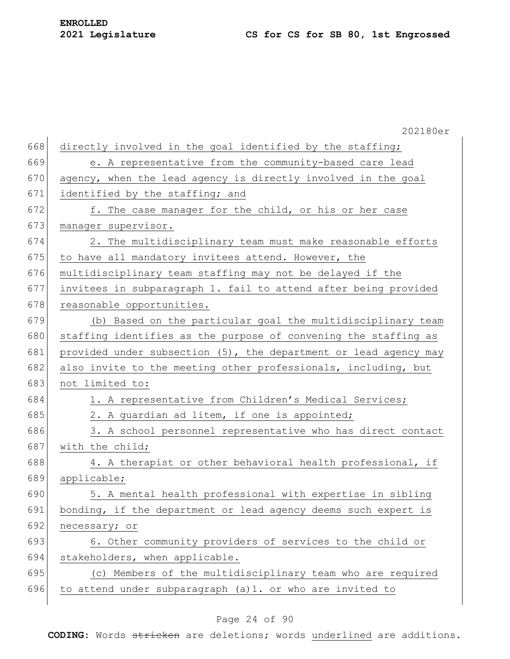202180er 668 directly involved in the goal identified by the staffing; 669 e. A representative from the community-based care lead 670  $\vert$  agency, when the lead agency is directly involved in the goal 671 identified by the staffing; and 672 f. The case manager for the child, or his or her case 673 manager supervisor. 674 2. The multidisciplinary team must make reasonable efforts 675 to have all mandatory invitees attend. However, the 676 multidisciplinary team staffing may not be delayed if the 677 invitees in subparagraph 1. fail to attend after being provided 678 reasonable opportunities. 679 (b) Based on the particular goal the multidisciplinary team 680 staffing identifies as the purpose of convening the staffing as 681 provided under subsection  $(5)$ , the department or lead agency may 682 also invite to the meeting other professionals, including, but 683 not limited to: 684 1. A representative from Children's Medical Services; 685 2. A guardian ad litem, if one is appointed; 686 3. A school personnel representative who has direct contact 687 with the child; 688 4. A therapist or other behavioral health professional, if 689 applicable; 690 5. A mental health professional with expertise in sibling 691 bonding, if the department or lead agency deems such expert is 692 necessary; or 693 6. Other community providers of services to the child or 694 stakeholders, when applicable. 695 (c) Members of the multidisciplinary team who are required 696 to attend under subparagraph  $(a)$ 1. or who are invited to

#### Page 24 of 90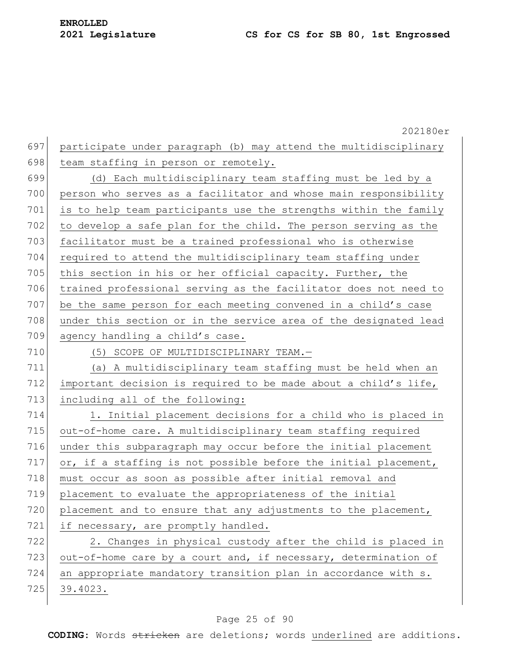202180er 697 participate under paragraph (b) may attend the multidisciplinary 698 team staffing in person or remotely. 699 (d) Each multidisciplinary team staffing must be led by a 700 person who serves as a facilitator and whose main responsibility 701 is to help team participants use the strengths within the family 702 to develop a safe plan for the child. The person serving as the 703 facilitator must be a trained professional who is otherwise 704 required to attend the multidisciplinary team staffing under 705 this section in his or her official capacity. Further, the 706 trained professional serving as the facilitator does not need to 707 be the same person for each meeting convened in a child's case 708 under this section or in the service area of the designated lead 709 agency handling a child's case. 710 (5) SCOPE OF MULTIDISCIPLINARY TEAM. 711 (a) A multidisciplinary team staffing must be held when an 712 important decision is required to be made about a child's life, 713 including all of the following: 714 1. Initial placement decisions for a child who is placed in 715 out-of-home care. A multidisciplinary team staffing required 716 under this subparagraph may occur before the initial placement 717  $\sigma$ , if a staffing is not possible before the initial placement, 718 must occur as soon as possible after initial removal and 719 placement to evaluate the appropriateness of the initial 720 placement and to ensure that any adjustments to the placement, 721 if necessary, are promptly handled. 722 2. Changes in physical custody after the child is placed in 723 out-of-home care by a court and, if necessary, determination of 724 an appropriate mandatory transition plan in accordance with s. 725 39.4023.

#### Page 25 of 90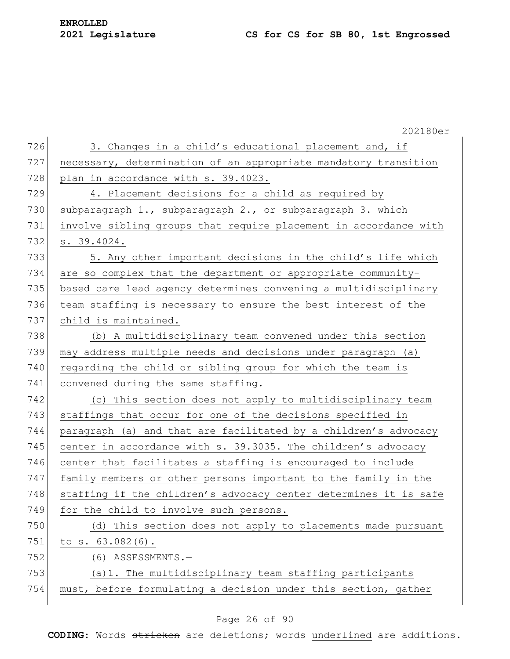# **ENROLLED**

|     | 202180er                                                         |
|-----|------------------------------------------------------------------|
| 726 | 3. Changes in a child's educational placement and, if            |
| 727 | necessary, determination of an appropriate mandatory transition  |
| 728 | plan in accordance with s. 39.4023.                              |
| 729 | 4. Placement decisions for a child as required by                |
| 730 | subparagraph 1., subparagraph 2., or subparagraph 3. which       |
| 731 | involve sibling groups that require placement in accordance with |
| 732 | s. 39.4024.                                                      |
| 733 | 5. Any other important decisions in the child's life which       |
| 734 | are so complex that the department or appropriate community-     |
| 735 | based care lead agency determines convening a multidisciplinary  |
| 736 | team staffing is necessary to ensure the best interest of the    |
| 737 | child is maintained.                                             |
| 738 | (b) A multidisciplinary team convened under this section         |
| 739 | may address multiple needs and decisions under paragraph (a)     |
| 740 | regarding the child or sibling group for which the team is       |
| 741 | convened during the same staffing.                               |
| 742 | (c) This section does not apply to multidisciplinary team        |
| 743 | staffings that occur for one of the decisions specified in       |
| 744 | paragraph (a) and that are facilitated by a children's advocacy  |
| 745 | center in accordance with s. 39.3035. The children's advocacy    |
| 746 | center that facilitates a staffing is encouraged to include      |
| 747 | family members or other persons important to the family in the   |
| 748 | staffing if the children's advocacy center determines it is safe |
| 749 | for the child to involve such persons.                           |
| 750 | (d) This section does not apply to placements made pursuant      |
| 751 | to $s. 63.082(6)$ .                                              |
| 752 | $(6)$ ASSESSMENTS. $-$                                           |
| 753 | (a) 1. The multidisciplinary team staffing participants          |
| 754 | must, before formulating a decision under this section, gather   |
|     |                                                                  |

## Page 26 of 90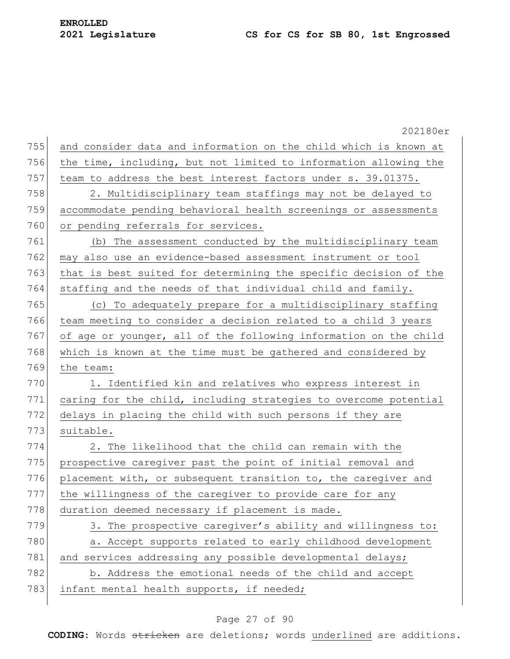202180er 755 and consider data and information on the child which is known at 756 the time, including, but not limited to information allowing the 757 team to address the best interest factors under s. 39.01375. 758 2. Multidisciplinary team staffings may not be delayed to 759 accommodate pending behavioral health screenings or assessments 760 or pending referrals for services. 761 (b) The assessment conducted by the multidisciplinary team 762 may also use an evidence-based assessment instrument or tool 763 that is best suited for determining the specific decision of the 764 staffing and the needs of that individual child and family. 765 (c) To adequately prepare for a multidisciplinary staffing 766 team meeting to consider a decision related to a child 3 years 767 of age or younger, all of the following information on the child 768 which is known at the time must be gathered and considered by 769 the team: 770 1. Identified kin and relatives who express interest in 771 caring for the child, including strategies to overcome potential 772 delays in placing the child with such persons if they are 773 suitable. 774 2. The likelihood that the child can remain with the 775 prospective caregiver past the point of initial removal and 776 placement with, or subsequent transition to, the caregiver and 777 the willingness of the caregiver to provide care for any 778 duration deemed necessary if placement is made. 779 3. The prospective caregiver's ability and willingness to: 780 a. Accept supports related to early childhood development 781 and services addressing any possible developmental delays; 782 b. Address the emotional needs of the child and accept 783 infant mental health supports, if needed;

#### Page 27 of 90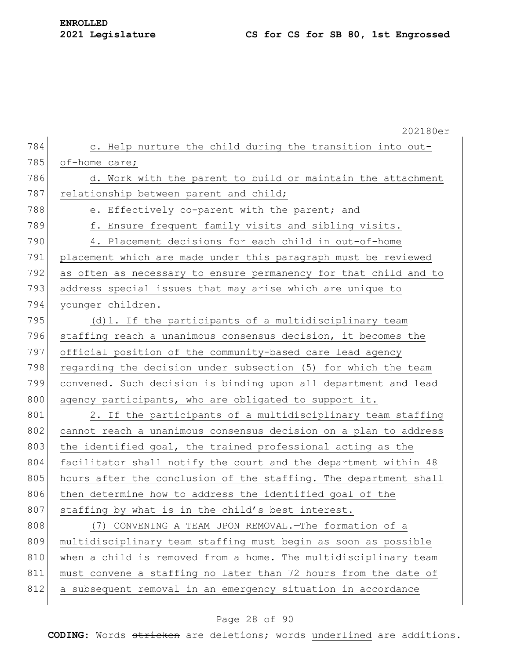|     | 202180er                                                         |
|-----|------------------------------------------------------------------|
| 784 | c. Help nurture the child during the transition into out-        |
| 785 | of-home care;                                                    |
| 786 | d. Work with the parent to build or maintain the attachment      |
| 787 | relationship between parent and child;                           |
| 788 | e. Effectively co-parent with the parent; and                    |
| 789 | f. Ensure frequent family visits and sibling visits.             |
| 790 | 4. Placement decisions for each child in out-of-home             |
| 791 | placement which are made under this paragraph must be reviewed   |
| 792 | as often as necessary to ensure permanency for that child and to |
| 793 | address special issues that may arise which are unique to        |
| 794 | younger children.                                                |
| 795 | (d) 1. If the participants of a multidisciplinary team           |
| 796 | staffing reach a unanimous consensus decision, it becomes the    |
| 797 | official position of the community-based care lead agency        |
| 798 | regarding the decision under subsection (5) for which the team   |
| 799 | convened. Such decision is binding upon all department and lead  |
| 800 | agency participants, who are obligated to support it.            |
| 801 | 2. If the participants of a multidisciplinary team staffing      |
| 802 | cannot reach a unanimous consensus decision on a plan to address |
| 803 | the identified goal, the trained professional acting as the      |
| 804 | facilitator shall notify the court and the department within 48  |
| 805 | hours after the conclusion of the staffing. The department shall |
| 806 | then determine how to address the identified goal of the         |
| 807 | staffing by what is in the child's best interest.                |
| 808 | (7) CONVENING A TEAM UPON REMOVAL. - The formation of a          |
| 809 | multidisciplinary team staffing must begin as soon as possible   |
| 810 | when a child is removed from a home. The multidisciplinary team  |
| 811 | must convene a staffing no later than 72 hours from the date of  |
| 812 | a subsequent removal in an emergency situation in accordance     |
|     |                                                                  |

## Page 28 of 90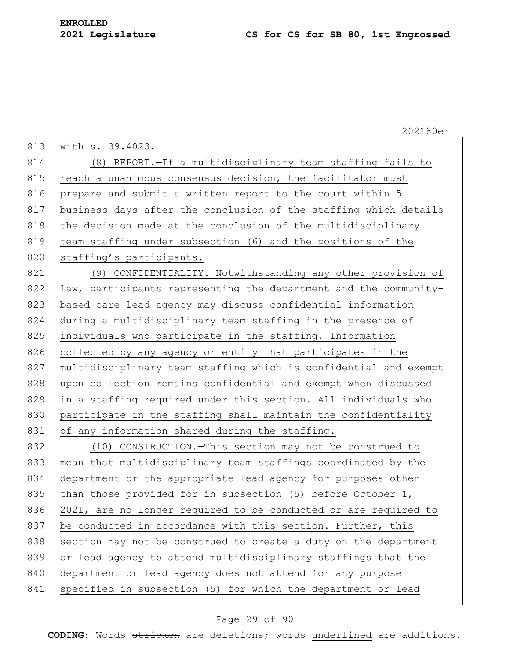|     | 202180er                                                         |
|-----|------------------------------------------------------------------|
| 813 | with s. 39.4023.                                                 |
| 814 | (8) REPORT.-If a multidisciplinary team staffing fails to        |
| 815 | reach a unanimous consensus decision, the facilitator must       |
| 816 | prepare and submit a written report to the court within 5        |
| 817 | business days after the conclusion of the staffing which details |
| 818 | the decision made at the conclusion of the multidisciplinary     |
| 819 | team staffing under subsection (6) and the positions of the      |
| 820 | staffing's participants.                                         |
| 821 | (9) CONFIDENTIALITY. - Notwithstanding any other provision of    |
| 822 | law, participants representing the department and the community- |
| 823 | based care lead agency may discuss confidential information      |
| 824 | during a multidisciplinary team staffing in the presence of      |
| 825 | individuals who participate in the staffing. Information         |
| 826 | collected by any agency or entity that participates in the       |
| 827 | multidisciplinary team staffing which is confidential and exempt |
| 828 | upon collection remains confidential and exempt when discussed   |
| 829 | in a staffing required under this section. All individuals who   |
| 830 | participate in the staffing shall maintain the confidentiality   |
| 831 | of any information shared during the staffing.                   |
| 832 | (10) CONSTRUCTION. - This section may not be construed to        |
| 833 | mean that multidisciplinary team staffings coordinated by the    |
| 834 | department or the appropriate lead agency for purposes other     |
| 835 | than those provided for in subsection (5) before October $1$ ,   |
| 836 | 2021, are no longer required to be conducted or are required to  |
| 837 | be conducted in accordance with this section. Further, this      |
| 838 | section may not be construed to create a duty on the department  |
| 839 | or lead agency to attend multidisciplinary staffings that the    |
| 840 | department or lead agency does not attend for any purpose        |
| 841 | specified in subsection (5) for which the department or lead     |
|     |                                                                  |

## Page 29 of 90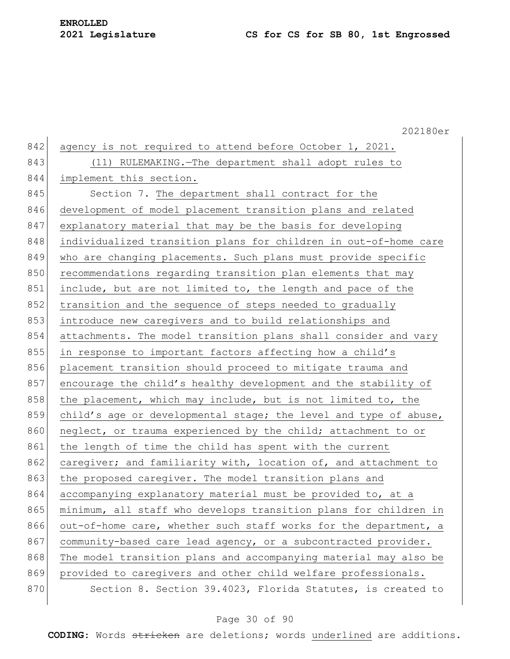202180er 842 agency is not required to attend before October 1, 2021. 843 (11) RULEMAKING.—The department shall adopt rules to 844 implement this section. 845 Section 7. The department shall contract for the 846 development of model placement transition plans and related 847 explanatory material that may be the basis for developing 848 individualized transition plans for children in out-of-home care 849 who are changing placements. Such plans must provide specific 850 recommendations regarding transition plan elements that may 851 include, but are not limited to, the length and pace of the 852 transition and the sequence of steps needed to gradually 853 introduce new caregivers and to build relationships and 854 attachments. The model transition plans shall consider and vary 855 in response to important factors affecting how a child's 856 placement transition should proceed to mitigate trauma and 857 encourage the child's healthy development and the stability of 858 the placement, which may include, but is not limited to, the 859 child's age or developmental stage; the level and type of abuse, 860 neglect, or trauma experienced by the child; attachment to or 861 the length of time the child has spent with the current 862 caregiver; and familiarity with, location of, and attachment to 863 the proposed caregiver. The model transition plans and 864 accompanying explanatory material must be provided to, at a 865 minimum, all staff who develops transition plans for children in 866 out-of-home care, whether such staff works for the department, a 867 community-based care lead agency, or a subcontracted provider. 868 The model transition plans and accompanying material may also be 869 provided to caregivers and other child welfare professionals. 870 Section 8. Section 39.4023, Florida Statutes, is created to

#### Page 30 of 90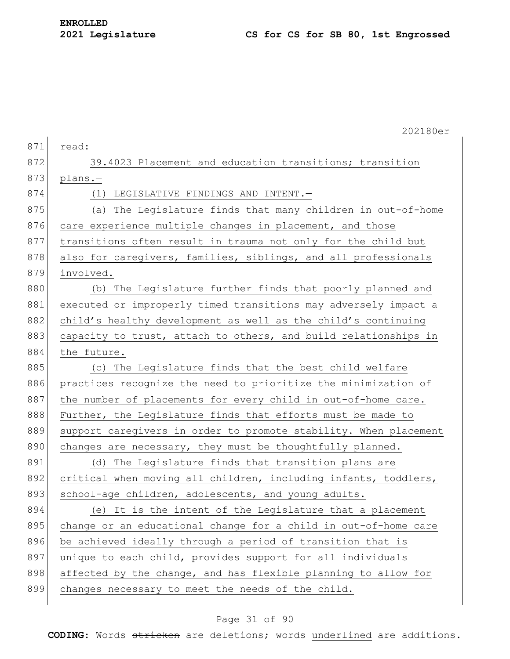|     | 202180er                                                         |
|-----|------------------------------------------------------------------|
| 871 | read:                                                            |
| 872 | 39.4023 Placement and education transitions; transition          |
| 873 | plans.-                                                          |
| 874 | (1) LEGISLATIVE FINDINGS AND INTENT.-                            |
| 875 | (a) The Legislature finds that many children in out-of-home      |
| 876 | care experience multiple changes in placement, and those         |
| 877 | transitions often result in trauma not only for the child but    |
| 878 | also for caregivers, families, siblings, and all professionals   |
| 879 | involved.                                                        |
| 880 | (b) The Legislature further finds that poorly planned and        |
| 881 | executed or improperly timed transitions may adversely impact a  |
| 882 | child's healthy development as well as the child's continuing    |
| 883 | capacity to trust, attach to others, and build relationships in  |
| 884 | the future.                                                      |
| 885 | (c) The Legislature finds that the best child welfare            |
| 886 | practices recognize the need to prioritize the minimization of   |
| 887 | the number of placements for every child in out-of-home care.    |
| 888 | Further, the Legislature finds that efforts must be made to      |
| 889 | support caregivers in order to promote stability. When placement |
| 890 | changes are necessary, they must be thoughtfully planned.        |
| 891 | (d) The Legislature finds that transition plans are              |
| 892 | critical when moving all children, including infants, toddlers,  |
| 893 | school-age children, adolescents, and young adults.              |
| 894 | (e) It is the intent of the Legislature that a placement         |
| 895 | change or an educational change for a child in out-of-home care  |
| 896 | be achieved ideally through a period of transition that is       |
| 897 | unique to each child, provides support for all individuals       |
| 898 | affected by the change, and has flexible planning to allow for   |
| 899 | changes necessary to meet the needs of the child.                |
|     |                                                                  |

## Page 31 of 90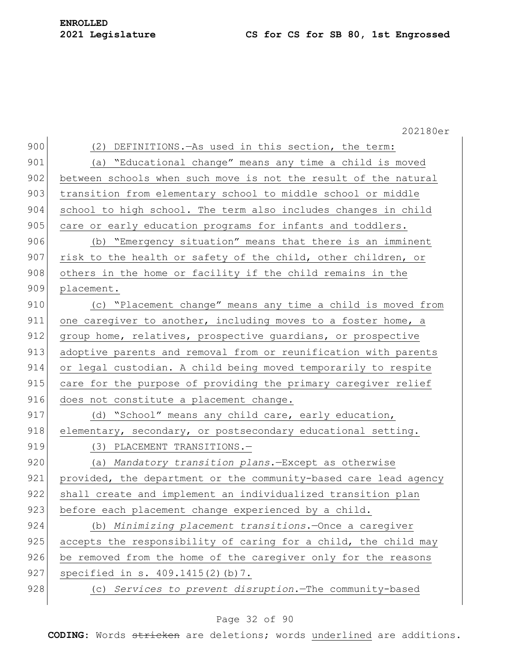|     | 202180er                                                         |
|-----|------------------------------------------------------------------|
| 900 | (2) DEFINITIONS. - As used in this section, the term:            |
| 901 | (a) "Educational change" means any time a child is moved         |
| 902 | between schools when such move is not the result of the natural  |
| 903 | transition from elementary school to middle school or middle     |
| 904 | school to high school. The term also includes changes in child   |
| 905 | care or early education programs for infants and toddlers.       |
| 906 | (b) "Emergency situation" means that there is an imminent        |
| 907 | risk to the health or safety of the child, other children, or    |
| 908 | others in the home or facility if the child remains in the       |
| 909 | placement.                                                       |
| 910 | (c) "Placement change" means any time a child is moved from      |
| 911 | one caregiver to another, including moves to a foster home, a    |
| 912 | group home, relatives, prospective quardians, or prospective     |
| 913 | adoptive parents and removal from or reunification with parents  |
| 914 | or legal custodian. A child being moved temporarily to respite   |
| 915 | care for the purpose of providing the primary caregiver relief   |
| 916 | does not constitute a placement change.                          |
| 917 | (d) "School" means any child care, early education,              |
| 918 | elementary, secondary, or postsecondary educational setting.     |
| 919 | (3) PLACEMENT TRANSITIONS.-                                      |
| 920 | (a) Mandatory transition plans. - Except as otherwise            |
| 921 | provided, the department or the community-based care lead agency |
| 922 | shall create and implement an individualized transition plan     |
| 923 | before each placement change experienced by a child.             |
| 924 | (b) Minimizing placement transitions. - Once a caregiver         |
| 925 | accepts the responsibility of caring for a child, the child may  |
| 926 | be removed from the home of the caregiver only for the reasons   |
| 927 | specified in s. 409.1415(2)(b)7.                                 |
| 928 | (c) Services to prevent disruption. The community-based          |
|     |                                                                  |

## Page 32 of 90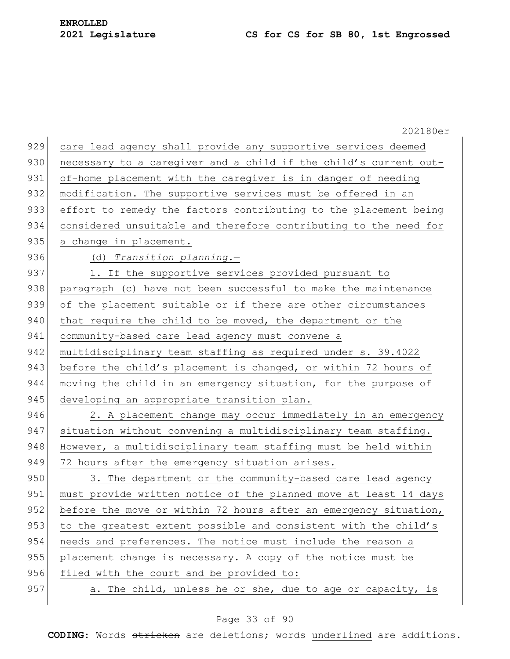|     | 202180er                                                         |
|-----|------------------------------------------------------------------|
| 929 | care lead agency shall provide any supportive services deemed    |
| 930 | necessary to a caregiver and a child if the child's current out- |
| 931 | of-home placement with the caregiver is in danger of needing     |
| 932 | modification. The supportive services must be offered in an      |
| 933 | effort to remedy the factors contributing to the placement being |
| 934 | considered unsuitable and therefore contributing to the need for |
| 935 | a change in placement.                                           |
| 936 | (d) Transition planning.-                                        |
| 937 | 1. If the supportive services provided pursuant to               |
| 938 | paragraph (c) have not been successful to make the maintenance   |
| 939 | of the placement suitable or if there are other circumstances    |
| 940 | that require the child to be moved, the department or the        |
| 941 | community-based care lead agency must convene a                  |
| 942 | multidisciplinary team staffing as required under s. 39.4022     |
| 943 | before the child's placement is changed, or within 72 hours of   |
| 944 | moving the child in an emergency situation, for the purpose of   |
| 945 | developing an appropriate transition plan.                       |
| 946 | 2. A placement change may occur immediately in an emergency      |
| 947 | situation without convening a multidisciplinary team staffing.   |
| 948 | However, a multidisciplinary team staffing must be held within   |
| 949 | 72 hours after the emergency situation arises.                   |
| 950 | 3. The department or the community-based care lead agency        |
| 951 | must provide written notice of the planned move at least 14 days |
| 952 | before the move or within 72 hours after an emergency situation, |
| 953 | to the greatest extent possible and consistent with the child's  |
| 954 | needs and preferences. The notice must include the reason a      |
| 955 | placement change is necessary. A copy of the notice must be      |
| 956 | filed with the court and be provided to:                         |
| 957 | a. The child, unless he or she, due to age or capacity, is       |
|     |                                                                  |

## Page 33 of 90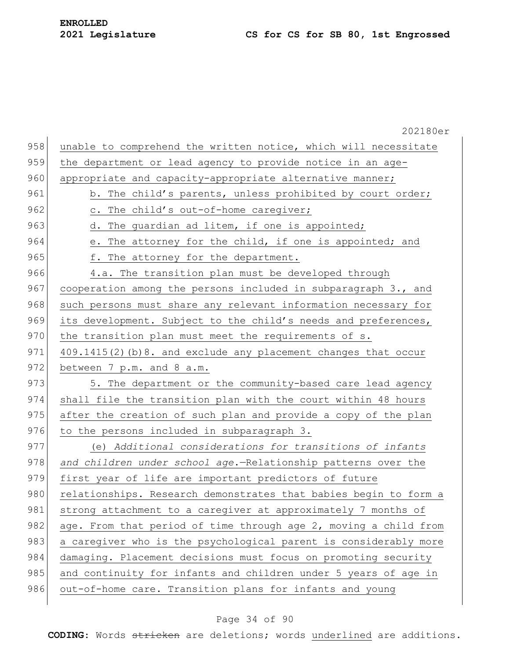|     | 202180er                                                         |
|-----|------------------------------------------------------------------|
| 958 | unable to comprehend the written notice, which will necessitate  |
| 959 | the department or lead agency to provide notice in an age-       |
| 960 | appropriate and capacity-appropriate alternative manner;         |
| 961 | b. The child's parents, unless prohibited by court order;        |
| 962 | c. The child's out-of-home caregiver;                            |
| 963 | d. The guardian ad litem, if one is appointed;                   |
| 964 | e. The attorney for the child, if one is appointed; and          |
| 965 | f. The attorney for the department.                              |
| 966 | 4.a. The transition plan must be developed through               |
| 967 | cooperation among the persons included in subparagraph 3., and   |
| 968 | such persons must share any relevant information necessary for   |
| 969 | its development. Subject to the child's needs and preferences,   |
| 970 | the transition plan must meet the requirements of s.             |
| 971 | 409.1415(2) (b) 8. and exclude any placement changes that occur  |
| 972 | between 7 p.m. and 8 a.m.                                        |
| 973 | 5. The department or the community-based care lead agency        |
| 974 | shall file the transition plan with the court within 48 hours    |
| 975 | after the creation of such plan and provide a copy of the plan   |
| 976 | to the persons included in subparagraph 3.                       |
| 977 | (e) Additional considerations for transitions of infants         |
| 978 | and children under school age.-Relationship patterns over the    |
| 979 | first year of life are important predictors of future            |
| 980 | relationships. Research demonstrates that babies begin to form a |
| 981 | strong attachment to a caregiver at approximately 7 months of    |
| 982 | age. From that period of time through age 2, moving a child from |
| 983 | a caregiver who is the psychological parent is considerably more |
| 984 | damaging. Placement decisions must focus on promoting security   |
| 985 | and continuity for infants and children under 5 years of age in  |
| 986 | out-of-home care. Transition plans for infants and young         |
|     |                                                                  |

## Page 34 of 90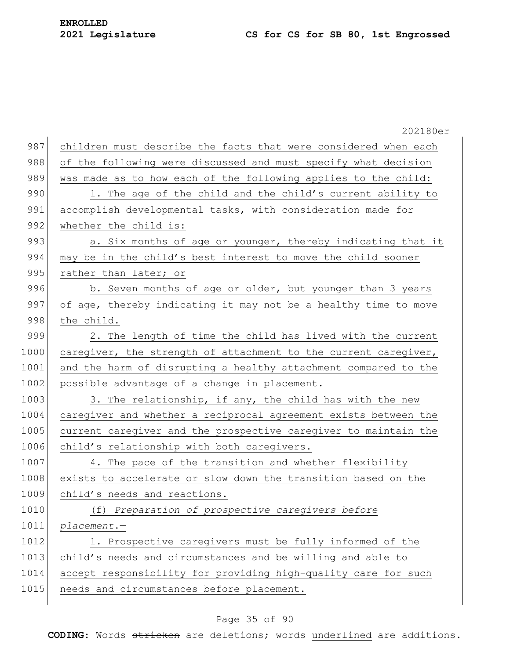|      | 202180er                                                        |
|------|-----------------------------------------------------------------|
| 987  | children must describe the facts that were considered when each |
| 988  | of the following were discussed and must specify what decision  |
| 989  | was made as to how each of the following applies to the child:  |
| 990  | 1. The age of the child and the child's current ability to      |
| 991  | accomplish developmental tasks, with consideration made for     |
| 992  | whether the child is:                                           |
| 993  | a. Six months of age or younger, thereby indicating that it     |
| 994  | may be in the child's best interest to move the child sooner    |
| 995  | rather than later; or                                           |
| 996  | b. Seven months of age or older, but younger than 3 years       |
| 997  | of age, thereby indicating it may not be a healthy time to move |
| 998  | the child.                                                      |
| 999  | 2. The length of time the child has lived with the current      |
| 1000 | caregiver, the strength of attachment to the current caregiver, |
| 1001 | and the harm of disrupting a healthy attachment compared to the |
| 1002 | possible advantage of a change in placement.                    |
| 1003 | 3. The relationship, if any, the child has with the new         |
| 1004 | caregiver and whether a reciprocal agreement exists between the |
| 1005 | current caregiver and the prospective caregiver to maintain the |
| 1006 | child's relationship with both caregivers.                      |
| 1007 | 4. The pace of the transition and whether flexibility           |
| 1008 | exists to accelerate or slow down the transition based on the   |
| 1009 | child's needs and reactions.                                    |
| 1010 | (f) Preparation of prospective caregivers before                |
| 1011 | $placement. -$                                                  |
| 1012 | 1. Prospective caregivers must be fully informed of the         |
| 1013 | child's needs and circumstances and be willing and able to      |
| 1014 | accept responsibility for providing high-quality care for such  |
| 1015 | needs and circumstances before placement.                       |
|      |                                                                 |

## Page 35 of 90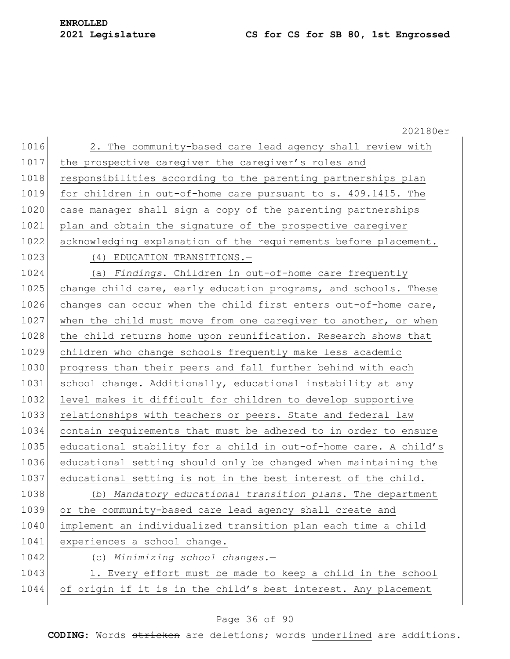# **ENROLLED**

## **2021 Legislature CS for CS for SB 80, 1st Engrossed**

|      | 202180er                                                         |
|------|------------------------------------------------------------------|
| 1016 | 2. The community-based care lead agency shall review with        |
| 1017 | the prospective caregiver the caregiver's roles and              |
| 1018 | responsibilities according to the parenting partnerships plan    |
| 1019 | for children in out-of-home care pursuant to s. 409.1415. The    |
| 1020 | case manager shall sign a copy of the parenting partnerships     |
| 1021 | plan and obtain the signature of the prospective caregiver       |
| 1022 | acknowledging explanation of the requirements before placement.  |
| 1023 | (4) EDUCATION TRANSITIONS.-                                      |
| 1024 | (a) Findings.-Children in out-of-home care frequently            |
| 1025 | change child care, early education programs, and schools. These  |
| 1026 | changes can occur when the child first enters out-of-home care,  |
| 1027 | when the child must move from one caregiver to another, or when  |
| 1028 | the child returns home upon reunification. Research shows that   |
| 1029 | children who change schools frequently make less academic        |
| 1030 | progress than their peers and fall further behind with each      |
| 1031 | school change. Additionally, educational instability at any      |
| 1032 | level makes it difficult for children to develop supportive      |
| 1033 | relationships with teachers or peers. State and federal law      |
| 1034 | contain requirements that must be adhered to in order to ensure  |
| 1035 | educational stability for a child in out-of-home care. A child's |
| 1036 | educational setting should only be changed when maintaining the  |
| 1037 | educational setting is not in the best interest of the child.    |
| 1038 | (b) Mandatory educational transition plans. The department       |
| 1039 | or the community-based care lead agency shall create and         |
| 1040 | implement an individualized transition plan each time a child    |
| 1041 | experiences a school change.                                     |
| 1042 | (c) Minimizing school changes.-                                  |
| 1043 | 1. Every effort must be made to keep a child in the school       |
| 1044 | of origin if it is in the child's best interest. Any placement   |
|      |                                                                  |

## Page 36 of 90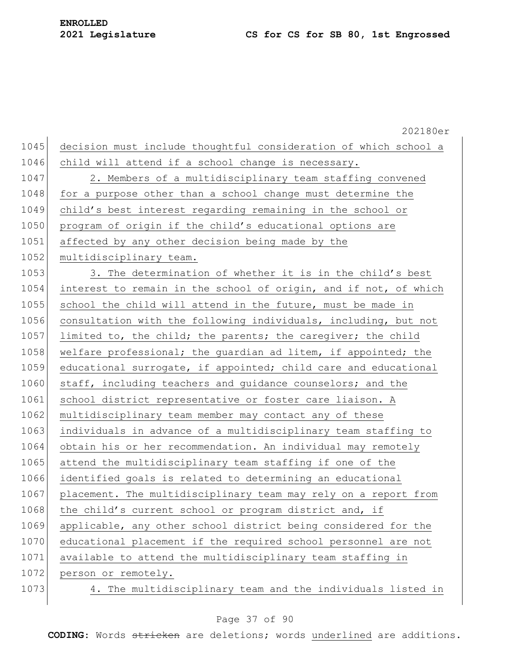|      | 202180er                                                         |
|------|------------------------------------------------------------------|
| 1045 | decision must include thoughtful consideration of which school a |
| 1046 | child will attend if a school change is necessary.               |
| 1047 | 2. Members of a multidisciplinary team staffing convened         |
| 1048 | for a purpose other than a school change must determine the      |
| 1049 | child's best interest regarding remaining in the school or       |
| 1050 | program of origin if the child's educational options are         |
| 1051 | affected by any other decision being made by the                 |
| 1052 | multidisciplinary team.                                          |
| 1053 | 3. The determination of whether it is in the child's best        |
| 1054 | interest to remain in the school of origin, and if not, of which |
| 1055 | school the child will attend in the future, must be made in      |
| 1056 | consultation with the following individuals, including, but not  |
| 1057 | limited to, the child; the parents; the caregiver; the child     |
| 1058 | welfare professional; the guardian ad litem, if appointed; the   |
| 1059 | educational surrogate, if appointed; child care and educational  |
| 1060 | staff, including teachers and guidance counselors; and the       |
| 1061 | school district representative or foster care liaison. A         |
| 1062 | multidisciplinary team member may contact any of these           |
| 1063 | individuals in advance of a multidisciplinary team staffing to   |
| 1064 | obtain his or her recommendation. An individual may remotely     |
| 1065 | attend the multidisciplinary team staffing if one of the         |
| 1066 | identified goals is related to determining an educational        |
| 1067 | placement. The multidisciplinary team may rely on a report from  |
| 1068 | the child's current school or program district and, if           |
| 1069 | applicable, any other school district being considered for the   |
| 1070 | educational placement if the required school personnel are not   |
| 1071 | available to attend the multidisciplinary team staffing in       |
| 1072 | person or remotely.                                              |
| 1073 | 4. The multidisciplinary team and the individuals listed in      |
|      |                                                                  |

## Page 37 of 90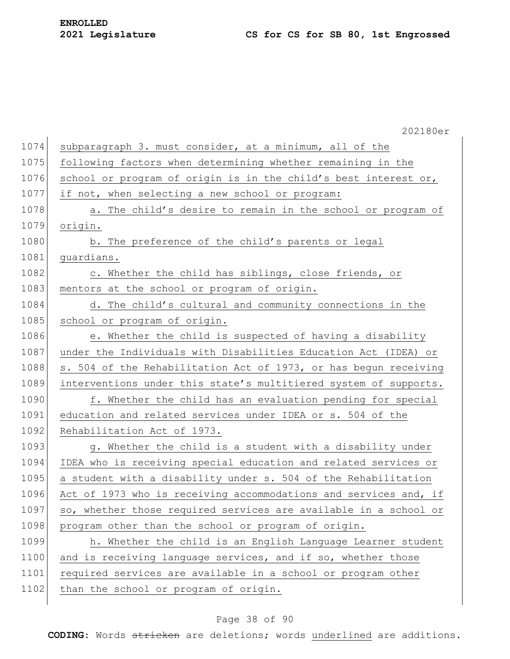# **ENROLLED**

|      | 202180er                                                         |
|------|------------------------------------------------------------------|
| 1074 | subparagraph 3. must consider, at a minimum, all of the          |
| 1075 | following factors when determining whether remaining in the      |
| 1076 | school or program of origin is in the child's best interest or,  |
| 1077 | if not, when selecting a new school or program:                  |
| 1078 | a. The child's desire to remain in the school or program of      |
| 1079 | origin.                                                          |
| 1080 | b. The preference of the child's parents or legal                |
| 1081 | quardians.                                                       |
| 1082 | c. Whether the child has siblings, close friends, or             |
| 1083 | mentors at the school or program of origin.                      |
| 1084 | d. The child's cultural and community connections in the         |
| 1085 | school or program of origin.                                     |
| 1086 | e. Whether the child is suspected of having a disability         |
| 1087 | under the Individuals with Disabilities Education Act (IDEA) or  |
| 1088 | s. 504 of the Rehabilitation Act of 1973, or has begun receiving |
| 1089 | interventions under this state's multitiered system of supports. |
| 1090 | f. Whether the child has an evaluation pending for special       |
| 1091 | education and related services under IDEA or s. 504 of the       |
| 1092 | Rehabilitation Act of 1973.                                      |
| 1093 | g. Whether the child is a student with a disability under        |
| 1094 | IDEA who is receiving special education and related services or  |
| 1095 | a student with a disability under s. 504 of the Rehabilitation   |
| 1096 | Act of 1973 who is receiving accommodations and services and, if |
| 1097 | so, whether those required services are available in a school or |
| 1098 | program other than the school or program of origin.              |
| 1099 | h. Whether the child is an English Language Learner student      |
| 1100 | and is receiving language services, and if so, whether those     |
| 1101 | required services are available in a school or program other     |
| 1102 | than the school or program of origin.                            |
|      |                                                                  |

## Page 38 of 90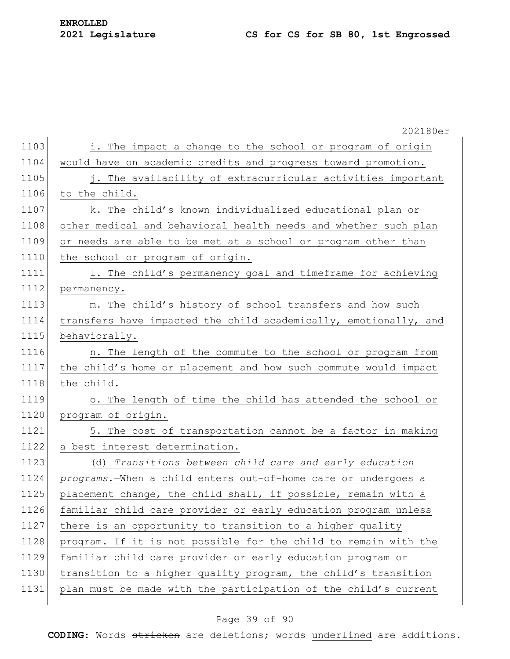## **Legislature CS for CS for SB 80, 1st Engrossed**

|      | 202180er                                                         |
|------|------------------------------------------------------------------|
| 1103 | i. The impact a change to the school or program of origin        |
| 1104 | would have on academic credits and progress toward promotion.    |
| 1105 | j. The availability of extracurricular activities important      |
| 1106 | to the child.                                                    |
| 1107 | k. The child's known individualized educational plan or          |
| 1108 | other medical and behavioral health needs and whether such plan  |
| 1109 | or needs are able to be met at a school or program other than    |
| 1110 | the school or program of origin.                                 |
| 1111 | 1. The child's permanency goal and timeframe for achieving       |
| 1112 | permanency.                                                      |
| 1113 | m. The child's history of school transfers and how such          |
| 1114 | transfers have impacted the child academically, emotionally, and |
| 1115 | behaviorally.                                                    |
| 1116 | n. The length of the commute to the school or program from       |
| 1117 | the child's home or placement and how such commute would impact  |
| 1118 | the child.                                                       |
| 1119 | o. The length of time the child has attended the school or       |
| 1120 | program of origin.                                               |
| 1121 | 5. The cost of transportation cannot be a factor in making       |
| 1122 | a best interest determination.                                   |
| 1123 | (d) Transitions between child care and early education           |
| 1124 | programs.-When a child enters out-of-home care or undergoes a    |
| 1125 | placement change, the child shall, if possible, remain with a    |
| 1126 | familiar child care provider or early education program unless   |
| 1127 | there is an opportunity to transition to a higher quality        |
| 1128 | program. If it is not possible for the child to remain with the  |
| 1129 | familiar child care provider or early education program or       |
| 1130 | transition to a higher quality program, the child's transition   |
| 1131 | plan must be made with the participation of the child's current  |
|      |                                                                  |

## Page 39 of 90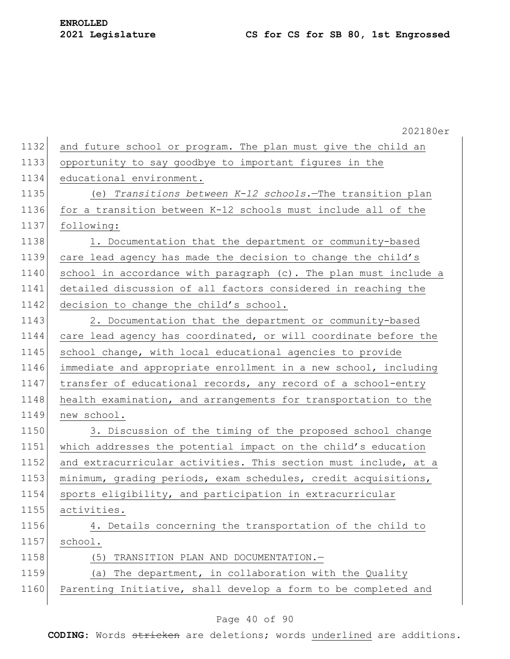|      | 202180er                                                         |
|------|------------------------------------------------------------------|
| 1132 | and future school or program. The plan must give the child an    |
| 1133 | opportunity to say goodbye to important figures in the           |
| 1134 | educational environment.                                         |
| 1135 | (e) Transitions between $K-12$ schools. The transition plan      |
| 1136 | for a transition between K-12 schools must include all of the    |
| 1137 | following:                                                       |
| 1138 | 1. Documentation that the department or community-based          |
| 1139 | care lead agency has made the decision to change the child's     |
| 1140 | school in accordance with paragraph (c). The plan must include a |
| 1141 | detailed discussion of all factors considered in reaching the    |
| 1142 | decision to change the child's school.                           |
| 1143 | 2. Documentation that the department or community-based          |
| 1144 | care lead agency has coordinated, or will coordinate before the  |
| 1145 | school change, with local educational agencies to provide        |
| 1146 | immediate and appropriate enrollment in a new school, including  |
| 1147 | transfer of educational records, any record of a school-entry    |
| 1148 | health examination, and arrangements for transportation to the   |
| 1149 | new school.                                                      |
| 1150 | 3. Discussion of the timing of the proposed school change        |
| 1151 | which addresses the potential impact on the child's education    |
| 1152 | and extracurricular activities. This section must include, at a  |
| 1153 | minimum, grading periods, exam schedules, credit acquisitions,   |
| 1154 | sports eligibility, and participation in extracurricular         |
| 1155 | activities.                                                      |
| 1156 | 4. Details concerning the transportation of the child to         |
| 1157 | school.                                                          |
| 1158 | TRANSITION PLAN AND DOCUMENTATION.-<br>(5)                       |
| 1159 | The department, in collaboration with the Quality<br>(a)         |
| 1160 | Parenting Initiative, shall develop a form to be completed and   |
|      |                                                                  |

## Page 40 of 90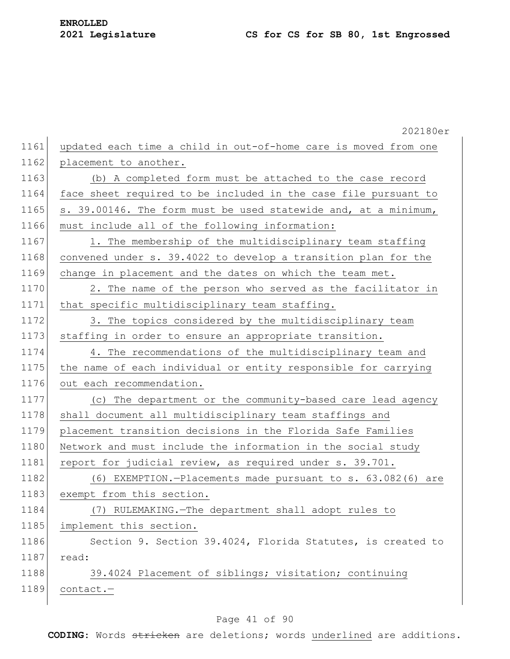|      | 202180er                                                        |
|------|-----------------------------------------------------------------|
| 1161 | updated each time a child in out-of-home care is moved from one |
| 1162 | placement to another.                                           |
| 1163 | (b) A completed form must be attached to the case record        |
| 1164 | face sheet required to be included in the case file pursuant to |
| 1165 | s. 39.00146. The form must be used statewide and, at a minimum, |
| 1166 | must include all of the following information:                  |
| 1167 | 1. The membership of the multidisciplinary team staffing        |
| 1168 | convened under s. 39.4022 to develop a transition plan for the  |
| 1169 | change in placement and the dates on which the team met.        |
| 1170 | 2. The name of the person who served as the facilitator in      |
| 1171 | that specific multidisciplinary team staffing.                  |
| 1172 | 3. The topics considered by the multidisciplinary team          |
| 1173 | staffing in order to ensure an appropriate transition.          |
| 1174 | 4. The recommendations of the multidisciplinary team and        |
| 1175 | the name of each individual or entity responsible for carrying  |
| 1176 | out each recommendation.                                        |
| 1177 | (c) The department or the community-based care lead agency      |
| 1178 | shall document all multidisciplinary team staffings and         |
| 1179 | placement transition decisions in the Florida Safe Families     |
| 1180 | Network and must include the information in the social study    |
| 1181 | report for judicial review, as required under s. 39.701.        |
| 1182 | (6) EXEMPTION.-Placements made pursuant to s. 63.082(6) are     |
| 1183 | exempt from this section.                                       |
| 1184 | (7) RULEMAKING. - The department shall adopt rules to           |
| 1185 | implement this section.                                         |
| 1186 | Section 9. Section 39.4024, Florida Statutes, is created to     |
| 1187 | read:                                                           |
| 1188 | 39.4024 Placement of siblings; visitation; continuing           |
| 1189 | contact.-                                                       |
|      |                                                                 |

## Page 41 of 90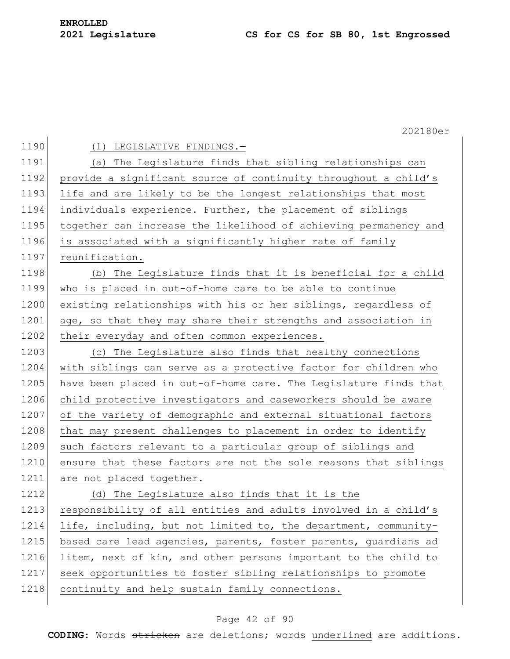|      | 202180er                                                         |
|------|------------------------------------------------------------------|
| 1190 | (1)<br>LEGISLATIVE FINDINGS.-                                    |
| 1191 | (a) The Legislature finds that sibling relationships can         |
| 1192 | provide a significant source of continuity throughout a child's  |
| 1193 | life and are likely to be the longest relationships that most    |
| 1194 | individuals experience. Further, the placement of siblings       |
| 1195 | together can increase the likelihood of achieving permanency and |
| 1196 | is associated with a significantly higher rate of family         |
| 1197 | reunification.                                                   |
| 1198 | (b) The Legislature finds that it is beneficial for a child      |
| 1199 | who is placed in out-of-home care to be able to continue         |
| 1200 | existing relationships with his or her siblings, regardless of   |
| 1201 | age, so that they may share their strengths and association in   |
| 1202 | their everyday and often common experiences.                     |
| 1203 | (c) The Legislature also finds that healthy connections          |
| 1204 | with siblings can serve as a protective factor for children who  |
| 1205 | have been placed in out-of-home care. The Legislature finds that |
| 1206 | child protective investigators and caseworkers should be aware   |
| 1207 | of the variety of demographic and external situational factors   |
| 1208 | that may present challenges to placement in order to identify    |
| 1209 | such factors relevant to a particular group of siblings and      |
| 1210 | ensure that these factors are not the sole reasons that siblings |
| 1211 | are not placed together.                                         |
| 1212 | (d) The Legislature also finds that it is the                    |
| 1213 | responsibility of all entities and adults involved in a child's  |
| 1214 | life, including, but not limited to, the department, community-  |
| 1215 | based care lead agencies, parents, foster parents, guardians ad  |
| 1216 | litem, next of kin, and other persons important to the child to  |
| 1217 | seek opportunities to foster sibling relationships to promote    |
| 1218 | continuity and help sustain family connections.                  |
|      |                                                                  |

## Page 42 of 90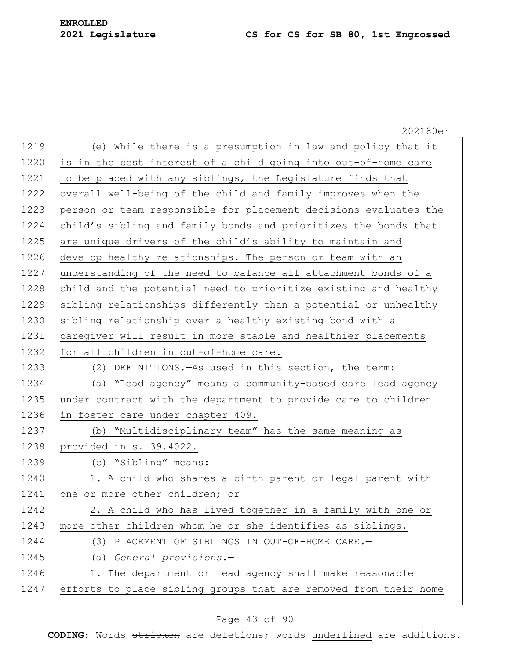## **Legislature CS for CS for SB 80, 1st Engrossed**

|      | 202180er                                                         |
|------|------------------------------------------------------------------|
| 1219 | (e) While there is a presumption in law and policy that it       |
| 1220 | is in the best interest of a child going into out-of-home care   |
| 1221 | to be placed with any siblings, the Legislature finds that       |
| 1222 | overall well-being of the child and family improves when the     |
| 1223 | person or team responsible for placement decisions evaluates the |
| 1224 | child's sibling and family bonds and prioritizes the bonds that  |
| 1225 | are unique drivers of the child's ability to maintain and        |
| 1226 | develop healthy relationships. The person or team with an        |
| 1227 | understanding of the need to balance all attachment bonds of a   |
| 1228 | child and the potential need to prioritize existing and healthy  |
| 1229 | sibling relationships differently than a potential or unhealthy  |
| 1230 | sibling relationship over a healthy existing bond with a         |
| 1231 | caregiver will result in more stable and healthier placements    |
| 1232 | for all children in out-of-home care.                            |
| 1233 | (2) DEFINITIONS. - As used in this section, the term:            |
| 1234 | (a) "Lead agency" means a community-based care lead agency       |
| 1235 | under contract with the department to provide care to children   |
| 1236 | in foster care under chapter 409.                                |
| 1237 | (b) "Multidisciplinary team" has the same meaning as             |
| 1238 | provided in s. 39.4022.                                          |
| 1239 | (c) "Sibling" means:                                             |
| 1240 | 1. A child who shares a birth parent or legal parent with        |
| 1241 | one or more other children; or                                   |
| 1242 | 2. A child who has lived together in a family with one or        |
| 1243 | more other children whom he or she identifies as siblings.       |
| 1244 | PLACEMENT OF SIBLINGS IN OUT-OF-HOME CARE.-<br>(3)               |
| 1245 | General provisions.-<br>(a)                                      |
| 1246 | 1. The department or lead agency shall make reasonable           |
| 1247 | efforts to place sibling groups that are removed from their home |
|      |                                                                  |

## Page 43 of 90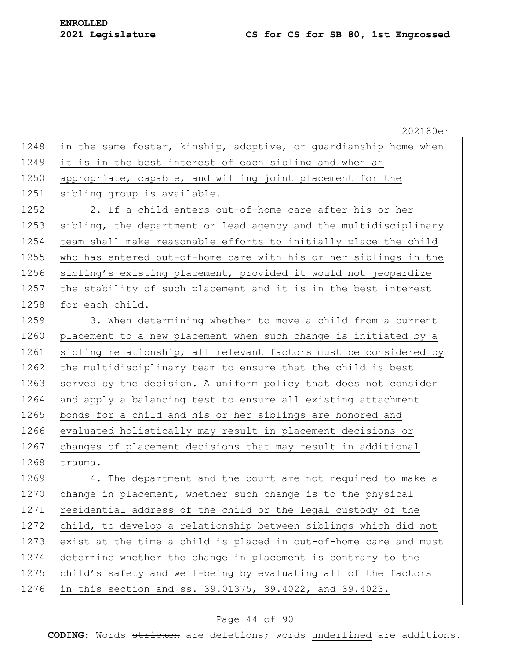202180er

| 1248 | in the same foster, kinship, adoptive, or guardianship home when |
|------|------------------------------------------------------------------|
| 1249 | it is in the best interest of each sibling and when an           |
| 1250 | appropriate, capable, and willing joint placement for the        |
| 1251 | sibling group is available.                                      |
| 1252 | 2. If a child enters out-of-home care after his or her           |
| 1253 | sibling, the department or lead agency and the multidisciplinary |
| 1254 | team shall make reasonable efforts to initially place the child  |
| 1255 | who has entered out-of-home care with his or her siblings in the |
| 1256 | sibling's existing placement, provided it would not jeopardize   |
| 1257 | the stability of such placement and it is in the best interest   |
| 1258 | for each child.                                                  |
| 1259 | 3. When determining whether to move a child from a current       |
| 1260 | placement to a new placement when such change is initiated by a  |
| 1261 | sibling relationship, all relevant factors must be considered by |
| 1262 | the multidisciplinary team to ensure that the child is best      |
| 1263 | served by the decision. A uniform policy that does not consider  |
| 1264 | and apply a balancing test to ensure all existing attachment     |
| 1265 | bonds for a child and his or her siblings are honored and        |
| 1266 | evaluated holistically may result in placement decisions or      |
| 1267 | changes of placement decisions that may result in additional     |
| 1268 | trauma.                                                          |
| 1269 | 4. The department and the court are not required to make a       |
| 1270 | change in placement, whether such change is to the physical      |
| 1271 | residential address of the child or the legal custody of the     |
| 1272 | child, to develop a relationship between siblings which did not  |
| 1273 | exist at the time a child is placed in out-of-home care and must |
| 1274 | determine whether the change in placement is contrary to the     |
| 1275 | child's safety and well-being by evaluating all of the factors   |
| 1276 | in this section and ss. 39.01375, 39.4022, and 39.4023.          |

## Page 44 of 90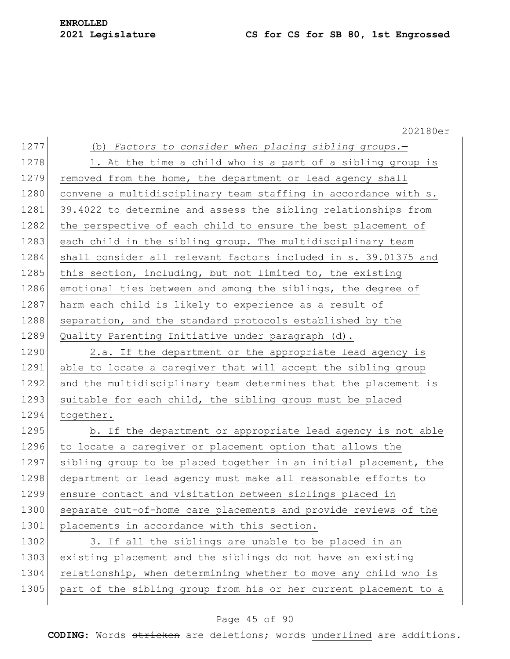|      | 202180er                                                         |
|------|------------------------------------------------------------------|
| 1277 | (b) Factors to consider when placing sibling groups.-            |
| 1278 | 1. At the time a child who is a part of a sibling group is       |
| 1279 | removed from the home, the department or lead agency shall       |
| 1280 | convene a multidisciplinary team staffing in accordance with s.  |
| 1281 | 39.4022 to determine and assess the sibling relationships from   |
| 1282 | the perspective of each child to ensure the best placement of    |
| 1283 | each child in the sibling group. The multidisciplinary team      |
| 1284 | shall consider all relevant factors included in s. 39.01375 and  |
| 1285 | this section, including, but not limited to, the existing        |
| 1286 | emotional ties between and among the siblings, the degree of     |
| 1287 | harm each child is likely to experience as a result of           |
| 1288 | separation, and the standard protocols established by the        |
| 1289 | Quality Parenting Initiative under paragraph (d).                |
| 1290 | 2.a. If the department or the appropriate lead agency is         |
| 1291 | able to locate a caregiver that will accept the sibling group    |
| 1292 | and the multidisciplinary team determines that the placement is  |
| 1293 | suitable for each child, the sibling group must be placed        |
| 1294 | together.                                                        |
| 1295 | b. If the department or appropriate lead agency is not able      |
| 1296 | to locate a caregiver or placement option that allows the        |
| 1297 | sibling group to be placed together in an initial placement, the |
| 1298 | department or lead agency must make all reasonable efforts to    |
| 1299 | ensure contact and visitation between siblings placed in         |
| 1300 | separate out-of-home care placements and provide reviews of the  |
| 1301 | placements in accordance with this section.                      |
| 1302 | 3. If all the siblings are unable to be placed in an             |
| 1303 | existing placement and the siblings do not have an existing      |
| 1304 | relationship, when determining whether to move any child who is  |
| 1305 | part of the sibling group from his or her current placement to a |
|      |                                                                  |

## Page 45 of 90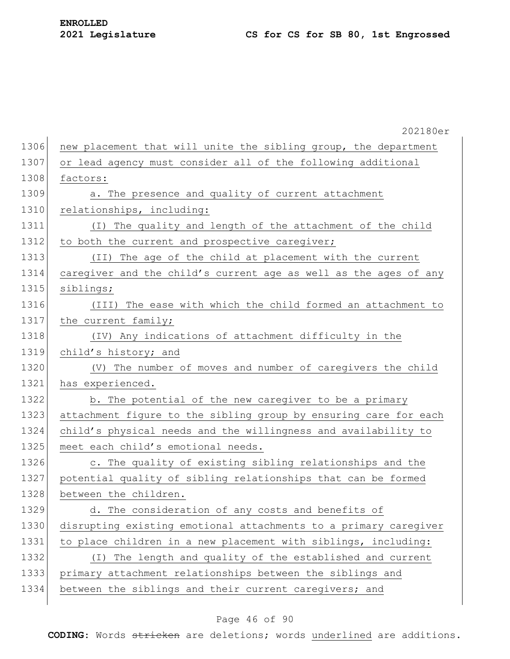|      | 202180er                                                         |
|------|------------------------------------------------------------------|
| 1306 | new placement that will unite the sibling group, the department  |
| 1307 | or lead agency must consider all of the following additional     |
| 1308 | factors:                                                         |
| 1309 | a. The presence and quality of current attachment                |
| 1310 | relationships, including:                                        |
| 1311 | (I) The quality and length of the attachment of the child        |
| 1312 | to both the current and prospective caregiver;                   |
| 1313 | (II) The age of the child at placement with the current          |
| 1314 | caregiver and the child's current age as well as the ages of any |
| 1315 | siblings;                                                        |
| 1316 | (III) The ease with which the child formed an attachment to      |
| 1317 | the current family;                                              |
| 1318 | (IV) Any indications of attachment difficulty in the             |
| 1319 | child's history; and                                             |
| 1320 | (V) The number of moves and number of caregivers the child       |
| 1321 | has experienced.                                                 |
| 1322 | b. The potential of the new caregiver to be a primary            |
| 1323 | attachment figure to the sibling group by ensuring care for each |
| 1324 | child's physical needs and the willingness and availability to   |
| 1325 | meet each child's emotional needs.                               |
| 1326 | c. The quality of existing sibling relationships and the         |
| 1327 | potential quality of sibling relationships that can be formed    |
| 1328 | between the children                                             |
| 1329 | d. The consideration of any costs and benefits of                |
| 1330 | disrupting existing emotional attachments to a primary caregiver |
| 1331 | to place children in a new placement with siblings, including:   |
| 1332 | (I) The length and quality of the established and current        |
| 1333 | primary attachment relationships between the siblings and        |
| 1334 | between the siblings and their current caregivers; and           |
|      |                                                                  |

## Page 46 of 90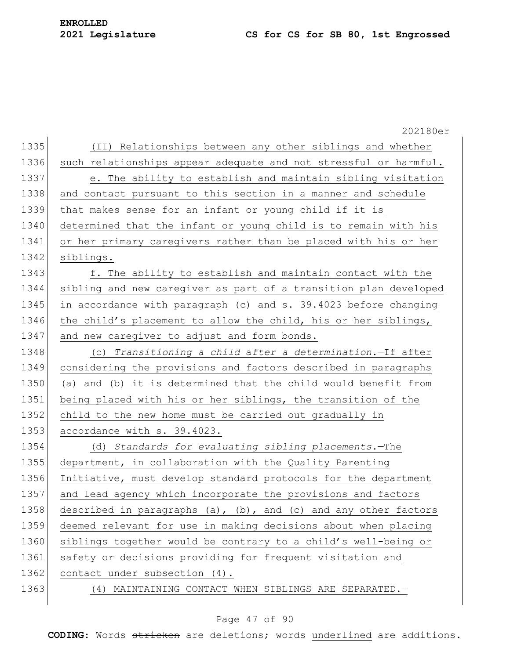|      | 202180er                                                         |
|------|------------------------------------------------------------------|
| 1335 | (II) Relationships between any other siblings and whether        |
| 1336 | such relationships appear adequate and not stressful or harmful. |
| 1337 | e. The ability to establish and maintain sibling visitation      |
| 1338 | and contact pursuant to this section in a manner and schedule    |
| 1339 | that makes sense for an infant or young child if it is           |
| 1340 | determined that the infant or young child is to remain with his  |
| 1341 | or her primary caregivers rather than be placed with his or her  |
| 1342 | siblings.                                                        |
| 1343 | f. The ability to establish and maintain contact with the        |
| 1344 | sibling and new caregiver as part of a transition plan developed |
| 1345 | in accordance with paragraph (c) and s. 39.4023 before changing  |
| 1346 | the child's placement to allow the child, his or her siblings,   |
| 1347 | and new caregiver to adjust and form bonds.                      |
| 1348 | (c) Transitioning a child after a determination.-If after        |
| 1349 | considering the provisions and factors described in paragraphs   |
| 1350 | (a) and (b) it is determined that the child would benefit from   |
| 1351 | being placed with his or her siblings, the transition of the     |
| 1352 | child to the new home must be carried out gradually in           |
| 1353 | accordance with s. 39.4023.                                      |
| 1354 | (d) Standards for evaluating sibling placements. - The           |
| 1355 | department, in collaboration with the Quality Parenting          |
| 1356 | Initiative, must develop standard protocols for the department   |
| 1357 | and lead agency which incorporate the provisions and factors     |
| 1358 | described in paragraphs (a), (b), and (c) and any other factors  |
| 1359 | deemed relevant for use in making decisions about when placing   |
| 1360 | siblings together would be contrary to a child's well-being or   |
| 1361 | safety or decisions providing for frequent visitation and        |
| 1362 | contact under subsection (4).                                    |
| 1363 | (4) MAINTAINING CONTACT WHEN SIBLINGS ARE SEPARATED. -           |
|      |                                                                  |

## Page 47 of 90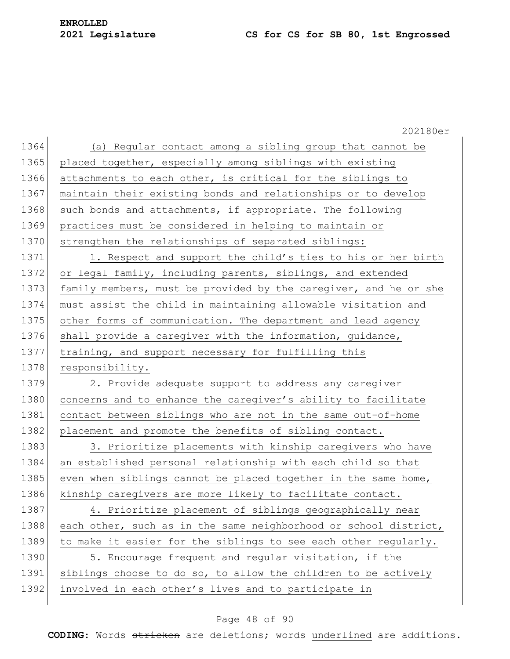202180er 1364 (a) Regular contact among a sibling group that cannot be 1365 placed together, especially among siblings with existing 1366 attachments to each other, is critical for the siblings to 1367 maintain their existing bonds and relationships or to develop 1368 such bonds and attachments, if appropriate. The following 1369 practices must be considered in helping to maintain or 1370 strengthen the relationships of separated siblings: 1371 1. Respect and support the child's ties to his or her birth 1372 or legal family, including parents, siblings, and extended 1373 family members, must be provided by the caregiver, and he or she 1374 must assist the child in maintaining allowable visitation and 1375 other forms of communication. The department and lead agency 1376 shall provide a caregiver with the information, guidance, 1377 training, and support necessary for fulfilling this 1378 responsibility. 1379 2. Provide adequate support to address any caregiver 1380 concerns and to enhance the caregiver's ability to facilitate 1381 contact between siblings who are not in the same out-of-home 1382 placement and promote the benefits of sibling contact. 1383 3. Prioritize placements with kinship caregivers who have 1384 an established personal relationship with each child so that 1385 even when siblings cannot be placed together in the same home, 1386 kinship caregivers are more likely to facilitate contact. 1387 4. Prioritize placement of siblings geographically near 1388 each other, such as in the same neighborhood or school district, 1389 to make it easier for the siblings to see each other regularly. 1390 5. Encourage frequent and regular visitation, if the 1391 siblings choose to do so, to allow the children to be actively 1392 involved in each other's lives and to participate in

#### Page 48 of 90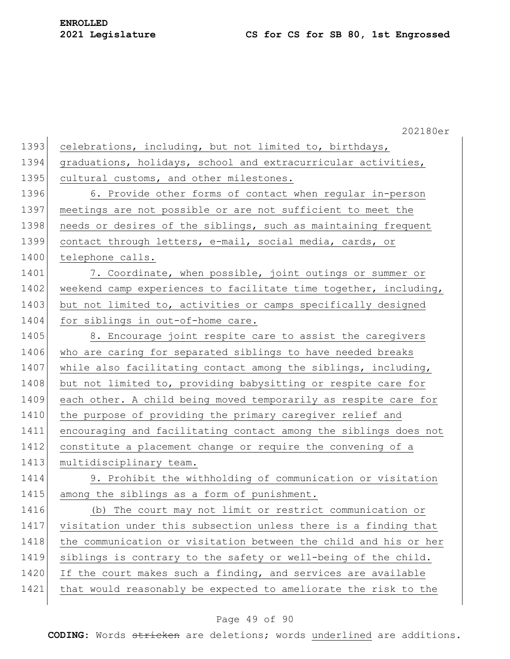|      | 202180er                                                         |
|------|------------------------------------------------------------------|
| 1393 | celebrations, including, but not limited to, birthdays,          |
| 1394 | graduations, holidays, school and extracurricular activities,    |
| 1395 | cultural customs, and other milestones.                          |
| 1396 | 6. Provide other forms of contact when regular in-person         |
| 1397 | meetings are not possible or are not sufficient to meet the      |
| 1398 | needs or desires of the siblings, such as maintaining frequent   |
| 1399 | contact through letters, e-mail, social media, cards, or         |
| 1400 | telephone calls.                                                 |
| 1401 | 7. Coordinate, when possible, joint outings or summer or         |
| 1402 | weekend camp experiences to facilitate time together, including, |
| 1403 | but not limited to, activities or camps specifically designed    |
| 1404 | for siblings in out-of-home care.                                |
| 1405 | 8. Encourage joint respite care to assist the caregivers         |
| 1406 | who are caring for separated siblings to have needed breaks      |
| 1407 | while also facilitating contact among the siblings, including,   |
| 1408 | but not limited to, providing babysitting or respite care for    |
| 1409 | each other. A child being moved temporarily as respite care for  |
| 1410 | the purpose of providing the primary caregiver relief and        |
| 1411 | encouraging and facilitating contact among the siblings does not |
| 1412 | constitute a placement change or require the convening of a      |
| 1413 | multidisciplinary team.                                          |
| 1414 | 9. Prohibit the withholding of communication or visitation       |
| 1415 | among the siblings as a form of punishment.                      |
| 1416 | (b) The court may not limit or restrict communication or         |
| 1417 | visitation under this subsection unless there is a finding that  |
| 1418 | the communication or visitation between the child and his or her |
| 1419 | siblings is contrary to the safety or well-being of the child.   |
| 1420 | If the court makes such a finding, and services are available    |
| 1421 | that would reasonably be expected to ameliorate the risk to the  |
|      |                                                                  |

## Page 49 of 90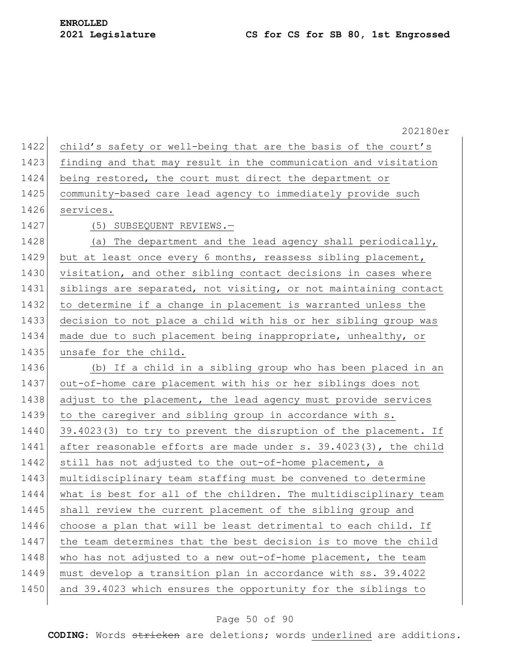|      | 202180er                                                         |
|------|------------------------------------------------------------------|
| 1422 | child's safety or well-being that are the basis of the court's   |
| 1423 | finding and that may result in the communication and visitation  |
| 1424 | being restored, the court must direct the department or          |
| 1425 | community-based care lead agency to immediately provide such     |
| 1426 | services.                                                        |
| 1427 | (5) SUBSEQUENT REVIEWS.-                                         |
| 1428 | (a) The department and the lead agency shall periodically,       |
| 1429 | but at least once every 6 months, reassess sibling placement,    |
| 1430 | visitation, and other sibling contact decisions in cases where   |
| 1431 | siblings are separated, not visiting, or not maintaining contact |
| 1432 | to determine if a change in placement is warranted unless the    |
| 1433 | decision to not place a child with his or her sibling group was  |
| 1434 | made due to such placement being inappropriate, unhealthy, or    |
| 1435 | unsafe for the child.                                            |
| 1436 | (b) If a child in a sibling group who has been placed in an      |
| 1437 | out-of-home care placement with his or her siblings does not     |
| 1438 | adjust to the placement, the lead agency must provide services   |
| 1439 | to the caregiver and sibling group in accordance with s.         |
| 1440 | 39.4023(3) to try to prevent the disruption of the placement. If |
| 1441 | after reasonable efforts are made under s. 39.4023(3), the child |
| 1442 | still has not adjusted to the out-of-home placement, a           |
| 1443 | multidisciplinary team staffing must be convened to determine    |
| 1444 | what is best for all of the children. The multidisciplinary team |
| 1445 | shall review the current placement of the sibling group and      |
| 1446 | choose a plan that will be least detrimental to each child. If   |
| 1447 | the team determines that the best decision is to move the child  |
| 1448 | who has not adjusted to a new out-of-home placement, the team    |
| 1449 | must develop a transition plan in accordance with ss. 39.4022    |
| 1450 | and 39.4023 which ensures the opportunity for the siblings to    |
|      |                                                                  |

## Page 50 of 90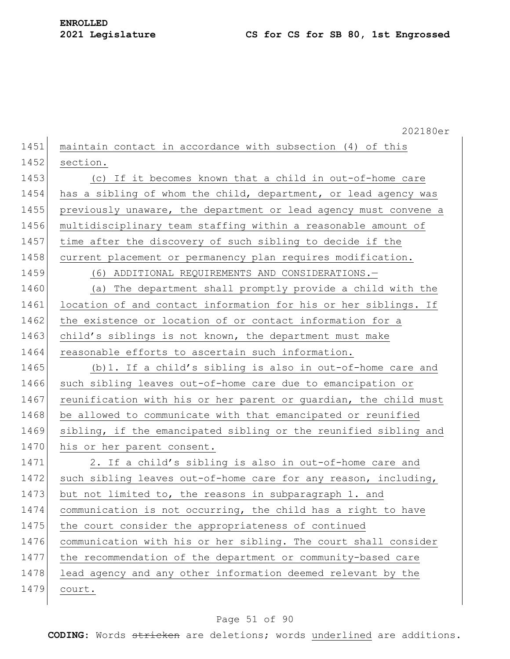|      | 202180er                                                         |
|------|------------------------------------------------------------------|
| 1451 | maintain contact in accordance with subsection (4) of this       |
| 1452 | section.                                                         |
| 1453 | (c) If it becomes known that a child in out-of-home care         |
| 1454 | has a sibling of whom the child, department, or lead agency was  |
| 1455 | previously unaware, the department or lead agency must convene a |
| 1456 | multidisciplinary team staffing within a reasonable amount of    |
| 1457 | time after the discovery of such sibling to decide if the        |
| 1458 | current placement or permanency plan requires modification.      |
| 1459 | (6) ADDITIONAL REQUIREMENTS AND CONSIDERATIONS.-                 |
| 1460 | (a) The department shall promptly provide a child with the       |
| 1461 | location of and contact information for his or her siblings. If  |
| 1462 | the existence or location of or contact information for a        |
| 1463 | child's siblings is not known, the department must make          |
| 1464 | reasonable efforts to ascertain such information.                |
| 1465 | (b) 1. If a child's sibling is also in out-of-home care and      |
| 1466 | such sibling leaves out-of-home care due to emancipation or      |
| 1467 | reunification with his or her parent or guardian, the child must |
| 1468 | be allowed to communicate with that emancipated or reunified     |
| 1469 | sibling, if the emancipated sibling or the reunified sibling and |
| 1470 | his or her parent consent.                                       |
| 1471 | 2. If a child's sibling is also in out-of-home care and          |
| 1472 | such sibling leaves out-of-home care for any reason, including,  |
| 1473 | but not limited to, the reasons in subparagraph 1. and           |
| 1474 | communication is not occurring, the child has a right to have    |
| 1475 | the court consider the appropriateness of continued              |
| 1476 | communication with his or her sibling. The court shall consider  |
| 1477 | the recommendation of the department or community-based care     |
| 1478 | lead agency and any other information deemed relevant by the     |
| 1479 | court.                                                           |
|      |                                                                  |

## Page 51 of 90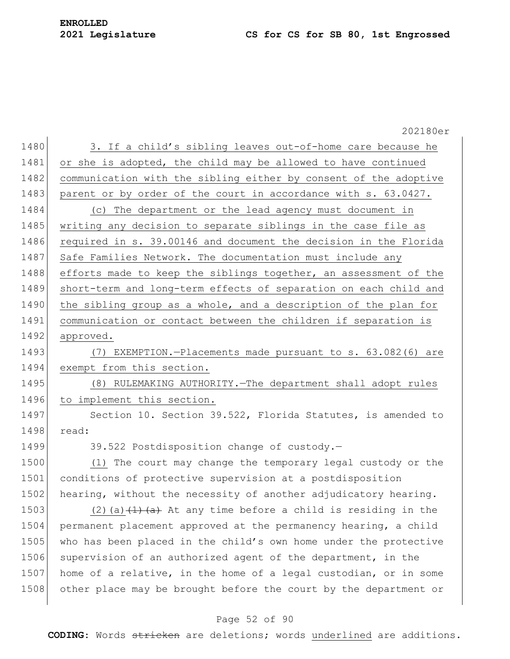#### **2021 Legislature CS for CS for SB 80, 1st Engrossed**

## **ENROLLED**

202180er 1480 3. If a child's sibling leaves out-of-home care because he 1481 or she is adopted, the child may be allowed to have continued 1482 communication with the sibling either by consent of the adoptive 1483 parent or by order of the court in accordance with s. 63.0427. 1484 (c) The department or the lead agency must document in 1485 writing any decision to separate siblings in the case file as 1486 required in s. 39.00146 and document the decision in the Florida 1487 Safe Families Network. The documentation must include any 1488 efforts made to keep the siblings together, an assessment of the 1489 short-term and long-term effects of separation on each child and 1490 the sibling group as a whole, and a description of the plan for 1491 communication or contact between the children if separation is 1492 approved. 1493 (7) EXEMPTION.-Placements made pursuant to s. 63.082(6) are 1494 exempt from this section. 1495 (8) RULEMAKING AUTHORITY.—The department shall adopt rules 1496 to implement this section. 1497 Section 10. Section 39.522, Florida Statutes, is amended to 1498 read: 1499 39.522 Postdisposition change of custody. 1500 (1) The court may change the temporary legal custody or the 1501 conditions of protective supervision at a postdisposition 1502 hearing, without the necessity of another adjudicatory hearing. 1503 (2)(a) $(1)$  (a)  $(1)$  a) At any time before a child is residing in the 1504 permanent placement approved at the permanency hearing, a child 1505 who has been placed in the child's own home under the protective 1506 supervision of an authorized agent of the department, in the 1507 home of a relative, in the home of a legal custodian, or in some 1508 other place may be brought before the court by the department or

#### Page 52 of 90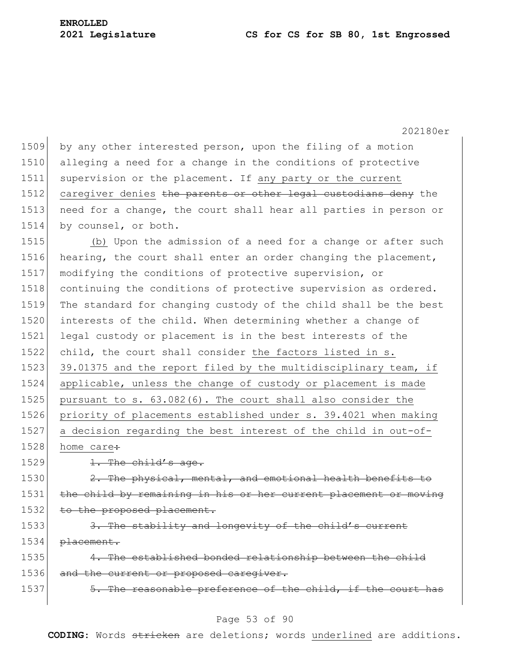202180er 1509 by any other interested person, upon the filing of a motion 1510 alleging a need for a change in the conditions of protective 1511 supervision or the placement. If any party or the current 1512 caregiver denies the parents or other legal custodians deny the 1513 need for a change, the court shall hear all parties in person or 1514 by counsel, or both. 1515 (b) Upon the admission of a need for a change or after such 1516 hearing, the court shall enter an order changing the placement, 1517 modifying the conditions of protective supervision, or 1518 continuing the conditions of protective supervision as ordered. 1519 The standard for changing custody of the child shall be the best 1520 interests of the child. When determining whether a change of 1521 legal custody or placement is in the best interests of the 1522 child, the court shall consider the factors listed in s. 1523 39.01375 and the report filed by the multidisciplinary team, if 1524 applicable, unless the change of custody or placement is made 1525 pursuant to s. 63.082(6). The court shall also consider the 1526 priority of placements established under s. 39.4021 when making 1527 a decision regarding the best interest of the child in out-of-1528 home care:  $1529$  1. The child's age. 1530  $\left| \right|$  2. The physical, mental, and emotional health benefits to 1531 the child by remaining in his or her current placement or moving 1532 to the proposed placement. 1533 3. The stability and longevity of the child's current 1534 placement. 1535 4. The established bonded relationship between the child 1536 and the current or proposed caregiver. 1537 5. The reasonable preference of the child, if the court has

#### Page 53 of 90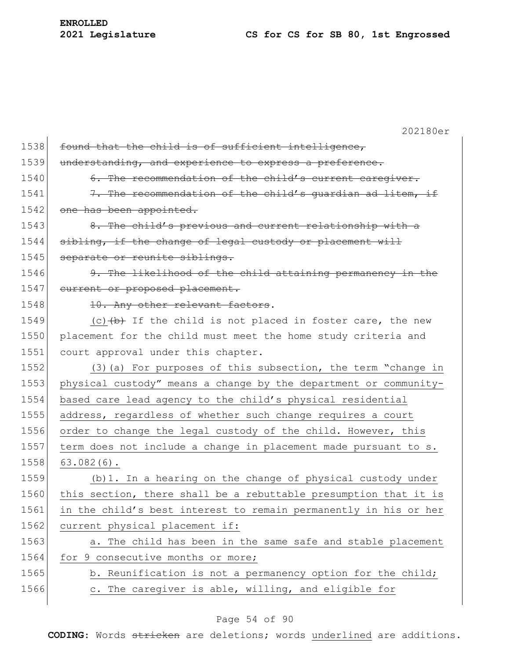202180er 1538 found that the child is of sufficient intelligence, 1539 understanding, and experience to express a preference. 1540 6. The recommendation of the child's current caregiver. 1541  $\vert$  7. The recommendation of the child's quardian ad litem, if 1542 one has been appointed.  $1543$  8. The child's previous and current relationship with a  $1544$  sibling, if the change of legal custody or placement will 1545 separate or reunite siblings. 1546 9. The likelihood of the child attaining permanency in the 1547 current or proposed placement. 1548 10. Any other relevant factors. 1549 (c) $(b)$  If the child is not placed in foster care, the new 1550 placement for the child must meet the home study criteria and 1551 court approval under this chapter. 1552 (3)(a) For purposes of this subsection, the term "change in 1553 physical custody" means a change by the department or community-1554 based care lead agency to the child's physical residential 1555 address, regardless of whether such change requires a court 1556 order to change the legal custody of the child. However, this 1557 term does not include a change in placement made pursuant to s.  $1558$  63.082(6). 1559 (b)1. In a hearing on the change of physical custody under 1560 this section, there shall be a rebuttable presumption that it is 1561 in the child's best interest to remain permanently in his or her 1562 current physical placement if: 1563 a. The child has been in the same safe and stable placement 1564 for 9 consecutive months or more; 1565 b. Reunification is not a permanency option for the child; 1566 c. The caregiver is able, willing, and eligible for

#### Page 54 of 90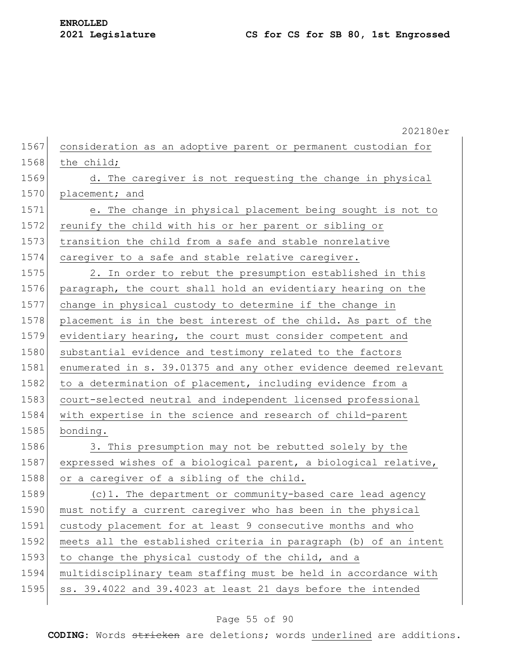202180er 1567 consideration as an adoptive parent or permanent custodian for 1568 the child; 1569 d. The caregiver is not requesting the change in physical 1570 placement; and 1571 e. The change in physical placement being sought is not to 1572 reunify the child with his or her parent or sibling or 1573 transition the child from a safe and stable nonrelative 1574 caregiver to a safe and stable relative caregiver. 1575 2. In order to rebut the presumption established in this 1576 paragraph, the court shall hold an evidentiary hearing on the 1577 change in physical custody to determine if the change in 1578 placement is in the best interest of the child. As part of the 1579 evidentiary hearing, the court must consider competent and 1580 substantial evidence and testimony related to the factors 1581 enumerated in s. 39.01375 and any other evidence deemed relevant 1582 to a determination of placement, including evidence from a 1583 court-selected neutral and independent licensed professional 1584 with expertise in the science and research of child-parent 1585 bonding. 1586 3. This presumption may not be rebutted solely by the 1587 expressed wishes of a biological parent, a biological relative, 1588 or a caregiver of a sibling of the child. 1589 (c)1. The department or community-based care lead agency 1590 must notify a current caregiver who has been in the physical 1591 custody placement for at least 9 consecutive months and who 1592 meets all the established criteria in paragraph (b) of an intent 1593 to change the physical custody of the child, and a 1594 multidisciplinary team staffing must be held in accordance with 1595 ss. 39.4022 and 39.4023 at least 21 days before the intended

#### Page 55 of 90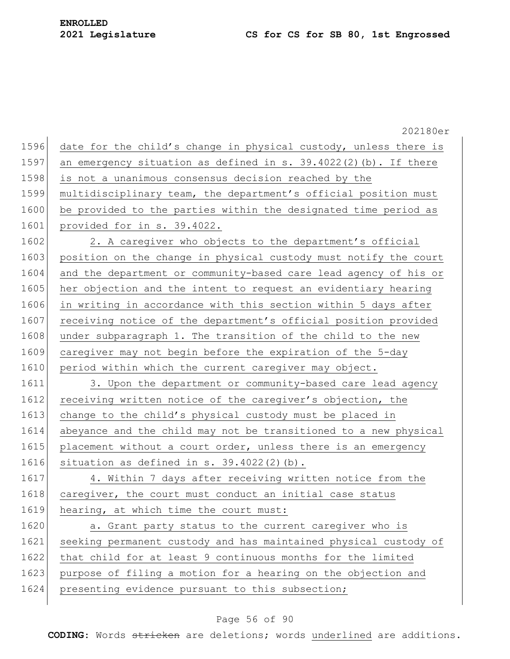|      | 202180er                                                           |
|------|--------------------------------------------------------------------|
| 1596 | date for the child's change in physical custody, unless there is   |
| 1597 | an emergency situation as defined in s. $39.4022(2)$ (b). If there |
| 1598 | is not a unanimous consensus decision reached by the               |
| 1599 | multidisciplinary team, the department's official position must    |
| 1600 | be provided to the parties within the designated time period as    |
| 1601 | provided for in s. 39.4022.                                        |
| 1602 | 2. A caregiver who objects to the department's official            |
| 1603 | position on the change in physical custody must notify the court   |
| 1604 | and the department or community-based care lead agency of his or   |
| 1605 | her objection and the intent to request an evidentiary hearing     |
| 1606 | in writing in accordance with this section within 5 days after     |
| 1607 | receiving notice of the department's official position provided    |
| 1608 | under subparagraph 1. The transition of the child to the new       |
| 1609 | caregiver may not begin before the expiration of the 5-day         |
| 1610 | period within which the current caregiver may object.              |
| 1611 | 3. Upon the department or community-based care lead agency         |
| 1612 | receiving written notice of the caregiver's objection, the         |
| 1613 | change to the child's physical custody must be placed in           |
| 1614 | abeyance and the child may not be transitioned to a new physical   |
| 1615 | placement without a court order, unless there is an emergency      |
| 1616 | situation as defined in $s. 39.4022(2)$ (b).                       |
| 1617 | 4. Within 7 days after receiving written notice from the           |
| 1618 | caregiver, the court must conduct an initial case status           |
| 1619 | hearing, at which time the court must:                             |
| 1620 | a. Grant party status to the current caregiver who is              |
| 1621 | seeking permanent custody and has maintained physical custody of   |
| 1622 | that child for at least 9 continuous months for the limited        |
| 1623 | purpose of filing a motion for a hearing on the objection and      |
| 1624 | presenting evidence pursuant to this subsection;                   |
|      |                                                                    |

## Page 56 of 90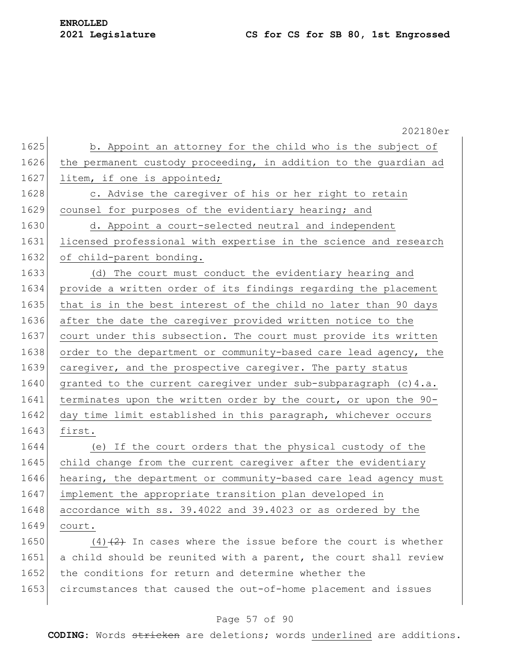## **ENROLLED**

#### **2021 Legislature CS for CS for SB 80, 1st Engrossed**

202180er 1625 b. Appoint an attorney for the child who is the subject of 1626 the permanent custody proceeding, in addition to the guardian ad 1627 litem, if one is appointed; 1628 c. Advise the caregiver of his or her right to retain 1629 counsel for purposes of the evidentiary hearing; and 1630 d. Appoint a court-selected neutral and independent 1631 licensed professional with expertise in the science and research 1632 of child-parent bonding. 1633 (d) The court must conduct the evidentiary hearing and 1634 provide a written order of its findings regarding the placement 1635 that is in the best interest of the child no later than 90 days 1636 after the date the caregiver provided written notice to the 1637 court under this subsection. The court must provide its written 1638 order to the department or community-based care lead agency, the 1639 caregiver, and the prospective caregiver. The party status 1640 granted to the current caregiver under sub-subparagraph (c) 4.a. 1641 terminates upon the written order by the court, or upon the 90-1642 day time limit established in this paragraph, whichever occurs 1643 first. 1644 (e) If the court orders that the physical custody of the 1645 child change from the current caregiver after the evidentiary 1646 hearing, the department or community-based care lead agency must 1647 implement the appropriate transition plan developed in 1648 accordance with ss. 39.4022 and 39.4023 or as ordered by the 1649 court. 1650  $(4)$   $(2)$  In cases where the issue before the court is whether 1651 a child should be reunited with a parent, the court shall review 1652 the conditions for return and determine whether the 1653 circumstances that caused the out-of-home placement and issues

#### Page 57 of 90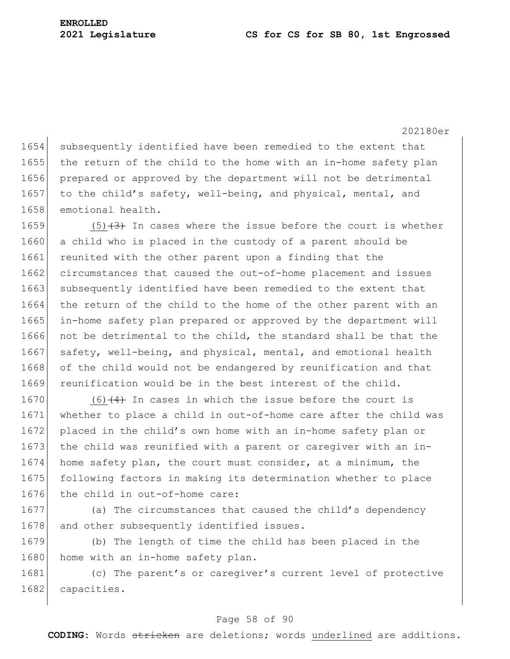202180er 1654 subsequently identified have been remedied to the extent that 1655 the return of the child to the home with an in-home safety plan 1656 prepared or approved by the department will not be detrimental 1657 to the child's safety, well-being, and physical, mental, and 1658 emotional health.

1659  $(5)$   $(3)$  In cases where the issue before the court is whether 1660 a child who is placed in the custody of a parent should be 1661 reunited with the other parent upon a finding that the 1662 circumstances that caused the out-of-home placement and issues 1663 subsequently identified have been remedied to the extent that 1664 the return of the child to the home of the other parent with an 1665 in-home safety plan prepared or approved by the department will 1666 not be detrimental to the child, the standard shall be that the 1667 safety, well-being, and physical, mental, and emotional health 1668 of the child would not be endangered by reunification and that 1669 reunification would be in the best interest of the child.

 $(6)$  (4) In cases in which the issue before the court is whether to place a child in out-of-home care after the child was 1672 placed in the child's own home with an in-home safety plan or 1673 the child was reunified with a parent or caregiver with an in- home safety plan, the court must consider, at a minimum, the following factors in making its determination whether to place the child in out-of-home care:

1677 (a) The circumstances that caused the child's dependency 1678 and other subsequently identified issues.

1679 (b) The length of time the child has been placed in the 1680 home with an in-home safety plan.

1681 (c) The parent's or caregiver's current level of protective 1682 capacities.

#### Page 58 of 90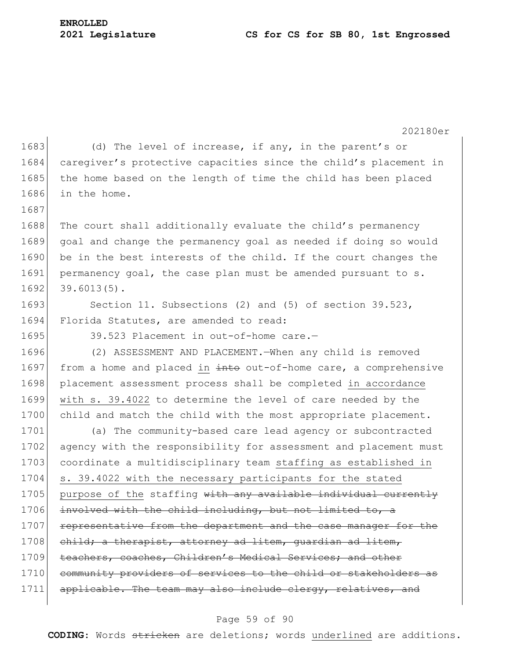#### **2021 Legislature CS for CS for SB 80, 1st Engrossed**

**ENROLLED**

202180er 1683 (d) The level of increase, if any, in the parent's or 1684 caregiver's protective capacities since the child's placement in 1685 the home based on the length of time the child has been placed 1686 in the home. 1687 1688 The court shall additionally evaluate the child's permanency 1689 goal and change the permanency goal as needed if doing so would 1690 be in the best interests of the child. If the court changes the 1691 permanency goal, the case plan must be amended pursuant to s.  $1692$  39.6013(5). 1693 Section 11. Subsections (2) and (5) of section 39.523, 1694 Florida Statutes, are amended to read: 1695 39.523 Placement in out-of-home care.— 1696 (2) ASSESSMENT AND PLACEMENT.—When any child is removed 1697 from a home and placed in  $\frac{1}{2}$  into out-of-home care, a comprehensive 1698 placement assessment process shall be completed in accordance 1699 with s. 39.4022 to determine the level of care needed by the 1700 child and match the child with the most appropriate placement. 1701 (a) The community-based care lead agency or subcontracted 1702 agency with the responsibility for assessment and placement must 1703 coordinate a multidisciplinary team staffing as established in 1704 s. 39.4022 with the necessary participants for the stated 1705 | purpose of the staffing with any available individual currently 1706 involved with the child including, but not limited to, a 1707 representative from the department and the case manager for the 1708 child; a therapist, attorney ad litem, quardian ad litem, 1709 teachers, coaches, Children's Medical Services; and other 1710 community providers of services to the child or stakeholders as 1711 applicable. The team may also include clergy, relatives, and

#### Page 59 of 90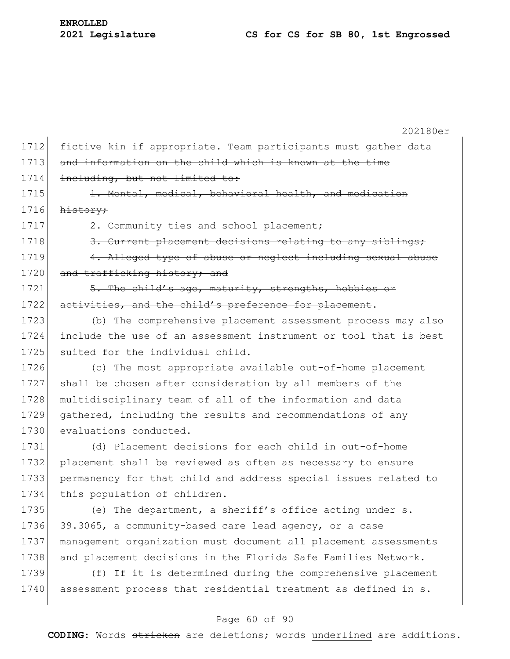|      | 202180er                                                         |
|------|------------------------------------------------------------------|
| 1712 | fictive kin if appropriate. Team participants must gather data   |
| 1713 | and information on the child which is known at the time          |
| 1714 | including, but not limited to:                                   |
| 1715 | 1. Mental, medical, behavioral health, and medication            |
| 1716 | history;                                                         |
| 1717 | 2. Community ties and school placement;                          |
| 1718 | 3. Current placement decisions relating to any siblings;         |
| 1719 | 4. Alleged type of abuse or neglect including sexual abuse       |
| 1720 | and trafficking history; and                                     |
| 1721 | 5. The child's age, maturity, strengths, hobbies or              |
| 1722 | activities, and the child's preference for placement.            |
| 1723 | (b) The comprehensive placement assessment process may also      |
| 1724 | include the use of an assessment instrument or tool that is best |
| 1725 | suited for the individual child.                                 |
| 1726 | (c) The most appropriate available out-of-home placement         |
| 1727 | shall be chosen after consideration by all members of the        |
| 1728 | multidisciplinary team of all of the information and data        |
| 1729 | gathered, including the results and recommendations of any       |
| 1730 | evaluations conducted.                                           |
| 1731 | (d) Placement decisions for each child in out-of-home            |
| 1732 | placement shall be reviewed as often as necessary to ensure      |
| 1733 | permanency for that child and address special issues related to  |
| 1734 | this population of children.                                     |
| 1735 | (e) The department, a sheriff's office acting under s.           |
| 1736 | 39.3065, a community-based care lead agency, or a case           |
| 1737 | management organization must document all placement assessments  |
| 1738 | and placement decisions in the Florida Safe Families Network.    |
| 1739 | (f) If it is determined during the comprehensive placement       |
| 1740 | assessment process that residential treatment as defined in s.   |

## Page 60 of 90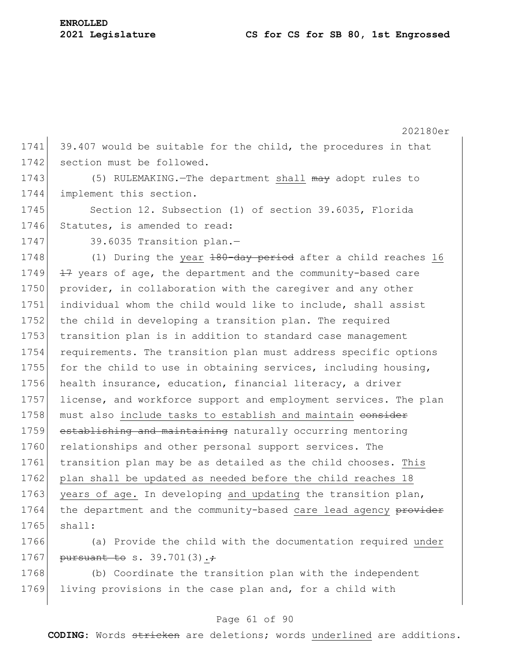202180er 1741 39.407 would be suitable for the child, the procedures in that 1742 section must be followed. 1743 (5) RULEMAKING.—The department shall may adopt rules to 1744 implement this section. 1745 Section 12. Subsection (1) of section 39.6035, Florida 1746 Statutes, is amended to read: 1747 39.6035 Transition plan.-1748 (1) During the year 180-day period after a child reaches 16  $1749$   $174$  years of age, the department and the community-based care 1750 provider, in collaboration with the caregiver and any other 1751 individual whom the child would like to include, shall assist 1752 the child in developing a transition plan. The required 1753 transition plan is in addition to standard case management 1754 requirements. The transition plan must address specific options 1755 for the child to use in obtaining services, including housing, 1756 health insurance, education, financial literacy, a driver 1757 license, and workforce support and employment services. The plan 1758 must also include tasks to establish and maintain eonsider 1759 establishing and maintaining naturally occurring mentoring 1760 relationships and other personal support services. The 1761 transition plan may be as detailed as the child chooses. This 1762 plan shall be updated as needed before the child reaches 18 1763 years of age. In developing and updating the transition plan, 1764 the department and the community-based care lead agency provider 1765 shall: 1766 (a) Provide the child with the documentation required under

1767 pursuant to s. 39.701(3)...

1768 (b) Coordinate the transition plan with the independent 1769 living provisions in the case plan and, for a child with

#### Page 61 of 90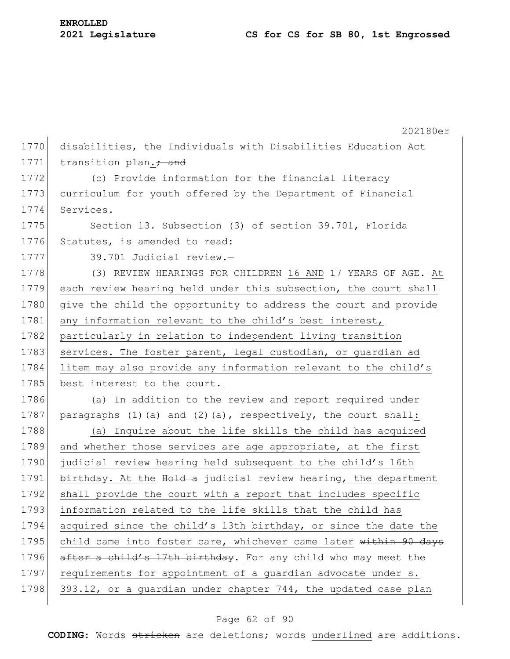|      | 202180er                                                           |
|------|--------------------------------------------------------------------|
| 1770 | disabilities, the Individuals with Disabilities Education Act      |
| 1771 | transition plan. + and                                             |
| 1772 | (c) Provide information for the financial literacy                 |
| 1773 | curriculum for youth offered by the Department of Financial        |
| 1774 | Services.                                                          |
| 1775 | Section 13. Subsection (3) of section 39.701, Florida              |
| 1776 | Statutes, is amended to read:                                      |
| 1777 | 39.701 Judicial review.-                                           |
| 1778 | (3) REVIEW HEARINGS FOR CHILDREN 16 AND 17 YEARS OF AGE.-At        |
| 1779 | each review hearing held under this subsection, the court shall    |
| 1780 | give the child the opportunity to address the court and provide    |
| 1781 | any information relevant to the child's best interest,             |
| 1782 | particularly in relation to independent living transition          |
| 1783 | services. The foster parent, legal custodian, or guardian ad       |
| 1784 | litem may also provide any information relevant to the child's     |
| 1785 | best interest to the court.                                        |
| 1786 | (a) In addition to the review and report required under            |
| 1787 | paragraphs $(1)$ (a) and $(2)$ (a), respectively, the court shall: |
| 1788 | (a) Inquire about the life skills the child has acquired           |
| 1789 | and whether those services are age appropriate, at the first       |
| 1790 | judicial review hearing held subsequent to the child's 16th        |
| 1791 | birthday. At the Hold a judicial review hearing, the department    |
| 1792 | shall provide the court with a report that includes specific       |
| 1793 | information related to the life skills that the child has          |
| 1794 | acquired since the child's 13th birthday, or since the date the    |
| 1795 | child came into foster care, whichever came later within 90 days   |
| 1796 | after a child's 17th birthday. For any child who may meet the      |
| 1797 | requirements for appointment of a guardian advocate under s.       |
| 1798 | 393.12, or a guardian under chapter 744, the updated case plan     |

## Page 62 of 90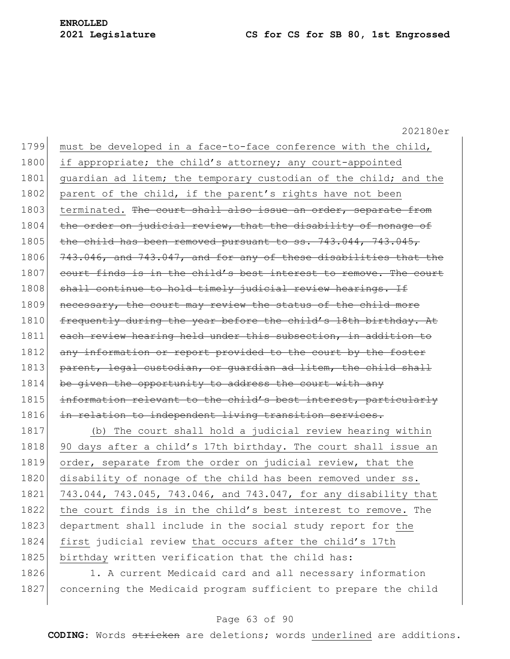202180er 1799 must be developed in a face-to-face conference with the child, 1800 if appropriate; the child's attorney; any court-appointed 1801 guardian ad litem; the temporary custodian of the child; and the 1802 parent of the child, if the parent's rights have not been 1803 terminated. The court shall also issue an order, separate from 1804 the order on judicial review, that the disability of nonage of 1805 the child has been removed pursuant to ss.  $743.044$ ,  $743.045$ , 1806 743.046, and 743.047, and for any of these disabilities that the 1807 court finds is in the child's best interest to remove. The court 1808 shall continue to hold timely judicial review hearings. If 1809 necessary, the court may review the status of the child more 1810 frequently during the year before the child's 18th birthday. At 1811 each review hearing held under this subsection, in addition to 1812 any information or report provided to the court by the foster 1813 parent, legal custodian, or quardian ad litem, the child shall 1814 be given the opportunity to address the court with any 1815 information relevant to the child's best interest, particularly 1816 in relation to independent living transition services. 1817 (b) The court shall hold a judicial review hearing within 1818 90 days after a child's 17th birthday. The court shall issue an 1819 order, separate from the order on judicial review, that the 1820 disability of nonage of the child has been removed under ss. 1821 743.044, 743.045, 743.046, and 743.047, for any disability that 1822 the court finds is in the child's best interest to remove. The 1823 department shall include in the social study report for the 1824 first judicial review that occurs after the child's 17th

1825 birthday written verification that the child has:

1826 1. A current Medicaid card and all necessary information 1827 concerning the Medicaid program sufficient to prepare the child

#### Page 63 of 90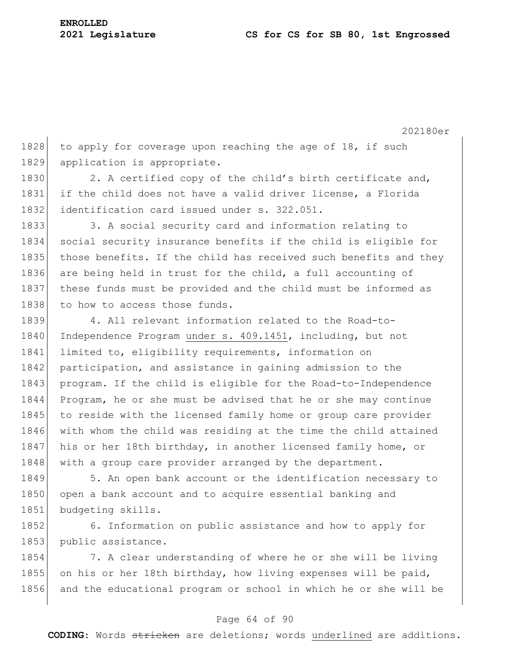202180er 1828 to apply for coverage upon reaching the age of 18, if such 1829 application is appropriate. 1830 2. A certified copy of the child's birth certificate and, 1831 if the child does not have a valid driver license, a Florida 1832 identification card issued under s. 322.051. 1833 3. A social security card and information relating to 1834 social security insurance benefits if the child is eligible for 1835 those benefits. If the child has received such benefits and they 1836 are being held in trust for the child, a full accounting of 1837 these funds must be provided and the child must be informed as 1838 to how to access those funds. 1839 4. All relevant information related to the Road-to-1840 Independence Program under s. 409.1451, including, but not 1841 limited to, eligibility requirements, information on 1842 participation, and assistance in gaining admission to the 1843 program. If the child is eligible for the Road-to-Independence 1844 Program, he or she must be advised that he or she may continue 1845 to reside with the licensed family home or group care provider

1846 with whom the child was residing at the time the child attained 1847 his or her 18th birthday, in another licensed family home, or 1848 with a group care provider arranged by the department.

1849 5. An open bank account or the identification necessary to 1850 open a bank account and to acquire essential banking and 1851 budgeting skills.

1852 6. Information on public assistance and how to apply for 1853 public assistance.

1854 7. A clear understanding of where he or she will be living 1855 on his or her 18th birthday, how living expenses will be paid, 1856 and the educational program or school in which he or she will be

#### Page 64 of 90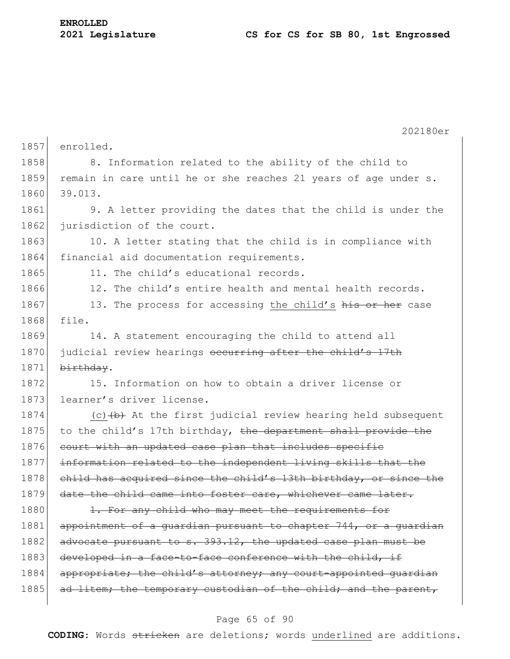|      | 202180er                                                         |
|------|------------------------------------------------------------------|
| 1857 | enrolled.                                                        |
| 1858 | 8. Information related to the ability of the child to            |
| 1859 | remain in care until he or she reaches 21 years of age under s.  |
| 1860 | 39.013.                                                          |
| 1861 | 9. A letter providing the dates that the child is under the      |
| 1862 | jurisdiction of the court.                                       |
| 1863 | 10. A letter stating that the child is in compliance with        |
| 1864 | financial aid documentation requirements.                        |
| 1865 | 11. The child's educational records.                             |
| 1866 | 12. The child's entire health and mental health records.         |
| 1867 | 13. The process for accessing the child's his or her case        |
| 1868 | file.                                                            |
| 1869 | 14. A statement encouraging the child to attend all              |
| 1870 | judicial review hearings occurring after the child's 17th        |
| 1871 | birthday.                                                        |
| 1872 | 15. Information on how to obtain a driver license or             |
| 1873 | learner's driver license.                                        |
| 1874 | $(c)$ $(b)$ At the first judicial review hearing held subsequent |
| 1875 | to the child's 17th birthday, the department shall provide the   |
| 1876 | court with an updated case plan that includes specific           |
| 1877 | information related to the independent living skills that the    |
| 1878 | child has acquired since the child's 13th birthday, or since the |
| 1879 | date the child came into foster care, whichever came later.      |
| 1880 | 1. For any child who may meet the requirements for               |
| 1881 | appointment of a guardian pursuant to chapter 744, or a guardian |
| 1882 | advocate pursuant to s. 393.12, the updated case plan must be    |
| 1883 | developed in a face-to-face conference with the child, if        |
| 1884 | appropriate; the child's attorney; any court-appointed guardian  |
| 1885 | ad litem; the temporary custodian of the child; and the parent,  |
|      |                                                                  |

## Page 65 of 90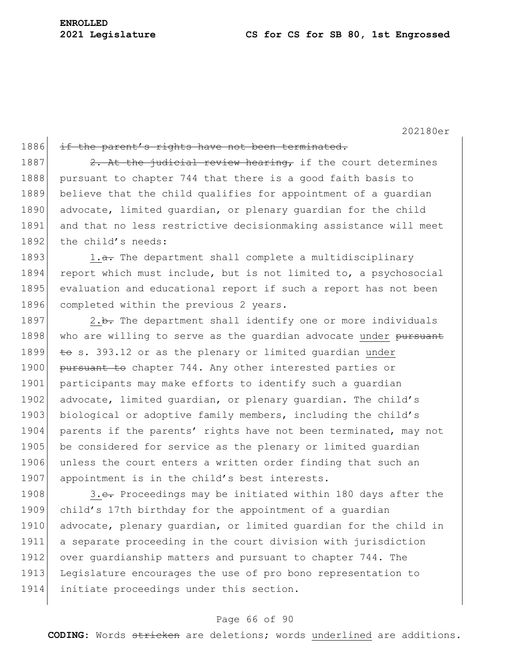202180er

| 1886 | if the parent's rights have not been terminated.                     |
|------|----------------------------------------------------------------------|
| 1887 | 2. At the judicial review hearing, if the court determines           |
| 1888 | pursuant to chapter 744 that there is a good faith basis to          |
| 1889 | believe that the child qualifies for appointment of a quardian       |
| 1890 | advocate, limited quardian, or plenary quardian for the child        |
| 1891 | and that no less restrictive decisionmaking assistance will meet     |
| 1892 | the child's needs:                                                   |
| 1893 | 1.a. The department shall complete a multidisciplinary               |
| 1894 | report which must include, but is not limited to, a psychosocial     |
| 1895 | evaluation and educational report if such a report has not been      |
| 1896 | completed within the previous 2 years.                               |
| 1897 | 2.b. The department shall identify one or more individuals           |
| 1898 | who are willing to serve as the guardian advocate under pursuant     |
| 1899 | $\overline{t}$ s. 393.12 or as the plenary or limited quardian under |
| 1900 | pursuant to chapter 744. Any other interested parties or             |
| 1901 | participants may make efforts to identify such a quardian            |
| 1902 | advocate, limited quardian, or plenary quardian. The child's         |
| 1903 | biological or adoptive family members, including the child's         |
| 1904 | parents if the parents' rights have not been terminated, may not     |
| 1905 | be considered for service as the plenary or limited quardian         |
| 1906 | unless the court enters a written order finding that such an         |
| 1907 | appointment is in the child's best interests.                        |
| 1908 | 3.e. Proceedings may be initiated within 180 days after the          |
| 1909 | child's 17th birthday for the appointment of a guardian              |
| 1910 | advocate, plenary quardian, or limited quardian for the child in     |

 a separate proceeding in the court division with jurisdiction over guardianship matters and pursuant to chapter 744. The Legislature encourages the use of pro bono representation to initiate proceedings under this section.

#### Page 66 of 90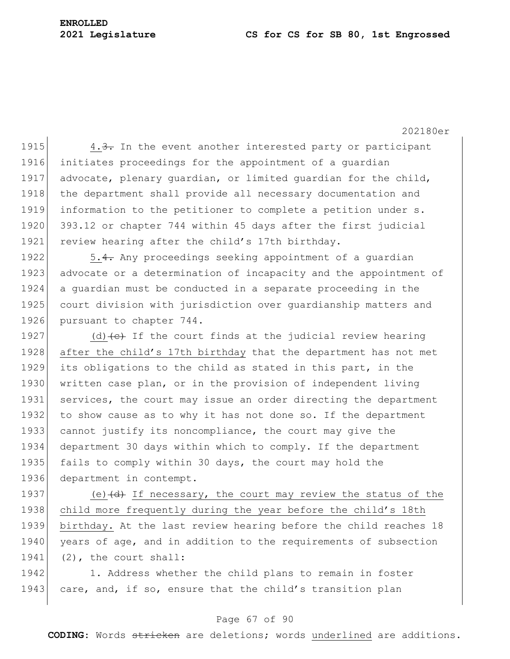#### **2021 Legislature CS for CS for SB 80, 1st Engrossed**

202180er

1915 4.3. In the event another interested party or participant 1916 initiates proceedings for the appointment of a guardian 1917 advocate, plenary quardian, or limited quardian for the child, 1918 the department shall provide all necessary documentation and 1919 information to the petitioner to complete a petition under s. 1920 393.12 or chapter 744 within 45 days after the first judicial 1921 review hearing after the child's 17th birthday.

1922 5.4. Any proceedings seeking appointment of a guardian 1923 advocate or a determination of incapacity and the appointment of 1924 a guardian must be conducted in a separate proceeding in the 1925 court division with jurisdiction over quardianship matters and 1926 pursuant to chapter 744.

1927 (d)  $\left(\text{d}\right)$  If the court finds at the judicial review hearing after the child's 17th birthday that the department has not met its obligations to the child as stated in this part, in the written case plan, or in the provision of independent living services, the court may issue an order directing the department 1932 to show cause as to why it has not done so. If the department cannot justify its noncompliance, the court may give the department 30 days within which to comply. If the department 1935 fails to comply within 30 days, the court may hold the department in contempt.

1937 (e) $\left(\frac{d}{dt}\right)$  If necessary, the court may review the status of the 1938 child more frequently during the year before the child's 18th 1939 birthday. At the last review hearing before the child reaches 18 1940 years of age, and in addition to the requirements of subsection 1941 (2), the court shall:

1942 1. Address whether the child plans to remain in foster 1943 care, and, if so, ensure that the child's transition plan

#### Page 67 of 90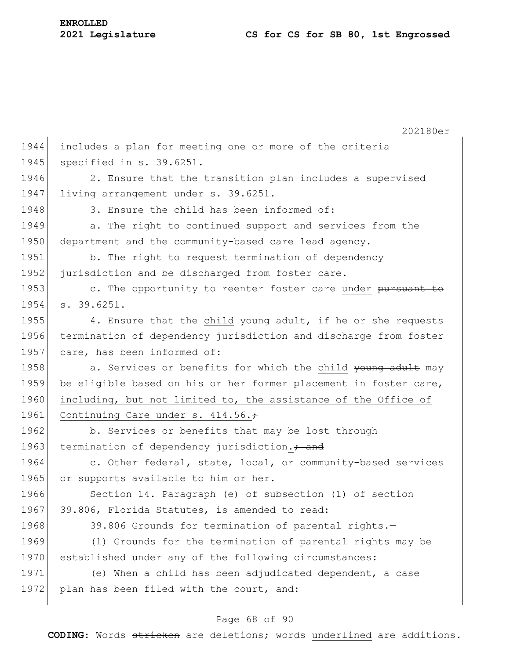202180er 1944 includes a plan for meeting one or more of the criteria 1945 specified in s. 39.6251. 1946 2. Ensure that the transition plan includes a supervised 1947 living arrangement under s. 39.6251. 1948 3. Ensure the child has been informed of: 1949 **a.** The right to continued support and services from the 1950 department and the community-based care lead agency. 1951 b. The right to request termination of dependency 1952 jurisdiction and be discharged from foster care. 1953 c. The opportunity to reenter foster care under pursuant to 1954 s. 39.6251. 1955 4. Ensure that the child  $\frac{1}{90}$  adult, if he or she requests 1956 termination of dependency jurisdiction and discharge from foster 1957 care, has been informed of: 1958 a. Services or benefits for which the child young adult may 1959 be eligible based on his or her former placement in foster care, 1960 including, but not limited to, the assistance of the Office of 1961 Continuing Care under s. 414.56. 1962 b. Services or benefits that may be lost through 1963 termination of dependency jurisdiction. $\div$  and 1964 c. Other federal, state, local, or community-based services 1965 or supports available to him or her. 1966 Section 14. Paragraph (e) of subsection (1) of section 1967 39.806, Florida Statutes, is amended to read: 1968 39.806 Grounds for termination of parental rights.-1969 (1) Grounds for the termination of parental rights may be 1970 established under any of the following circumstances: 1971 (e) When a child has been adjudicated dependent, a case 1972 plan has been filed with the court, and:

#### Page 68 of 90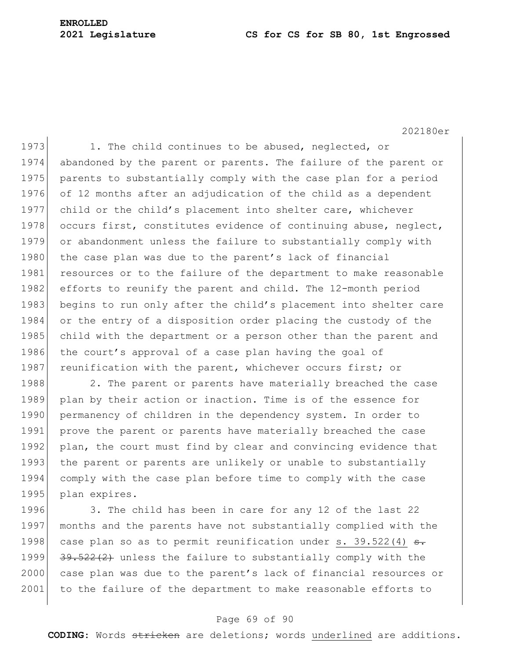#### **2021 Legislature CS for CS for SB 80, 1st Engrossed**

## **ENROLLED**

202180er

1973 1. The child continues to be abused, neglected, or 1974 abandoned by the parent or parents. The failure of the parent or 1975 parents to substantially comply with the case plan for a period 1976 of 12 months after an adjudication of the child as a dependent 1977 child or the child's placement into shelter care, whichever 1978 occurs first, constitutes evidence of continuing abuse, neglect, 1979 or abandonment unless the failure to substantially comply with 1980 the case plan was due to the parent's lack of financial 1981 resources or to the failure of the department to make reasonable 1982 efforts to reunify the parent and child. The 12-month period 1983 begins to run only after the child's placement into shelter care 1984 or the entry of a disposition order placing the custody of the 1985 child with the department or a person other than the parent and 1986 the court's approval of a case plan having the goal of 1987 reunification with the parent, whichever occurs first; or 1988 2. The parent or parents have materially breached the case

1989 plan by their action or inaction. Time is of the essence for 1990 permanency of children in the dependency system. In order to 1991 prove the parent or parents have materially breached the case 1992 plan, the court must find by clear and convincing evidence that 1993 the parent or parents are unlikely or unable to substantially 1994 comply with the case plan before time to comply with the case 1995 plan expires.

1996 3. The child has been in care for any 12 of the last 22 1997 months and the parents have not substantially complied with the 1998 case plan so as to permit reunification under s. 39.522(4)  $\theta$ . 1999  $\left| \frac{39.522(2)}{20} \right|$  unless the failure to substantially comply with the 2000 case plan was due to the parent's lack of financial resources or 2001 to the failure of the department to make reasonable efforts to

#### Page 69 of 90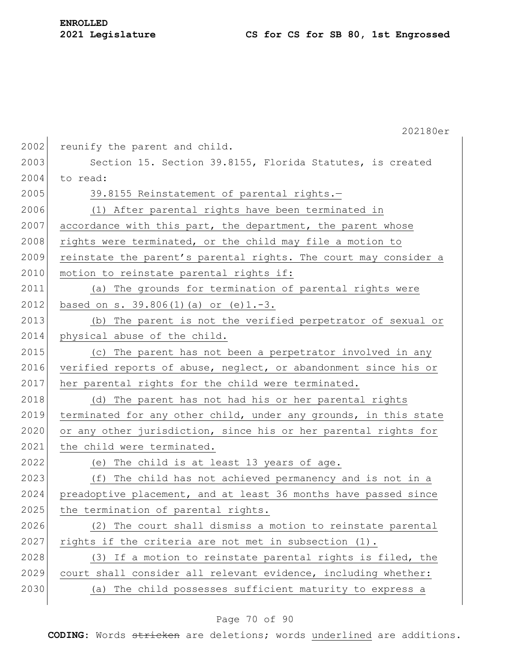|      | 202180er                                                         |
|------|------------------------------------------------------------------|
| 2002 | reunify the parent and child.                                    |
| 2003 | Section 15. Section 39.8155, Florida Statutes, is created        |
| 2004 | to read:                                                         |
| 2005 | 39.8155 Reinstatement of parental rights.-                       |
| 2006 | (1) After parental rights have been terminated in                |
| 2007 | accordance with this part, the department, the parent whose      |
| 2008 | rights were terminated, or the child may file a motion to        |
| 2009 | reinstate the parent's parental rights. The court may consider a |
| 2010 | motion to reinstate parental rights if:                          |
| 2011 | (a) The grounds for termination of parental rights were          |
| 2012 | based on s. $39.806(1)$ (a) or (e) $1.-3.$                       |
| 2013 | (b) The parent is not the verified perpetrator of sexual or      |
| 2014 | physical abuse of the child.                                     |
| 2015 | (c) The parent has not been a perpetrator involved in any        |
| 2016 | verified reports of abuse, neglect, or abandonment since his or  |
| 2017 | her parental rights for the child were terminated.               |
| 2018 | (d) The parent has not had his or her parental rights            |
| 2019 | terminated for any other child, under any grounds, in this state |
| 2020 | or any other jurisdiction, since his or her parental rights for  |
| 2021 | the child were terminated.                                       |
| 2022 | (e) The child is at least 13 years of age.                       |
| 2023 | (f) The child has not achieved permanency and is not in a        |
| 2024 | preadoptive placement, and at least 36 months have passed since  |
| 2025 | the termination of parental rights.                              |
| 2026 | (2) The court shall dismiss a motion to reinstate parental       |
| 2027 | rights if the criteria are not met in subsection $(1)$ .         |
| 2028 | (3) If a motion to reinstate parental rights is filed, the       |
| 2029 | court shall consider all relevant evidence, including whether:   |
| 2030 | (a) The child possesses sufficient maturity to express a         |

## Page 70 of 90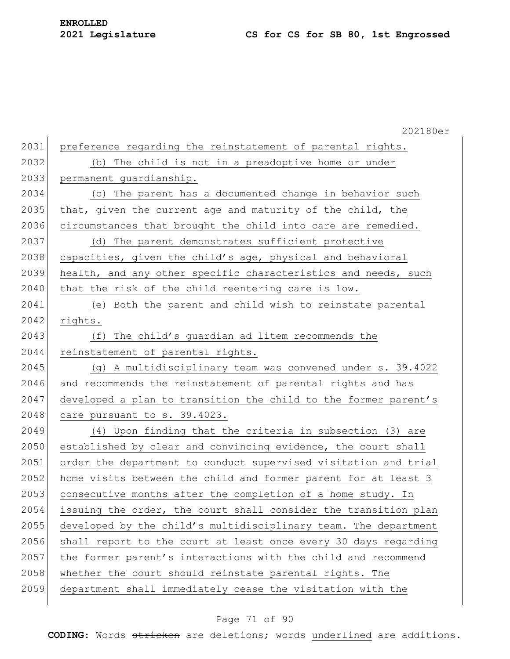# **ENROLLED**

## **Legislature CS for CS for SB 80, 1st Engrossed**

|      | 202180er                                                        |
|------|-----------------------------------------------------------------|
| 2031 | preference regarding the reinstatement of parental rights.      |
| 2032 | (b) The child is not in a preadoptive home or under             |
| 2033 | permanent quardianship.                                         |
| 2034 | (c) The parent has a documented change in behavior such         |
| 2035 | that, given the current age and maturity of the child, the      |
| 2036 | circumstances that brought the child into care are remedied.    |
| 2037 | (d) The parent demonstrates sufficient protective               |
| 2038 | capacities, given the child's age, physical and behavioral      |
| 2039 | health, and any other specific characteristics and needs, such  |
| 2040 | that the risk of the child reentering care is low.              |
| 2041 | (e) Both the parent and child wish to reinstate parental        |
| 2042 | rights.                                                         |
| 2043 | (f) The child's guardian ad litem recommends the                |
| 2044 | reinstatement of parental rights.                               |
| 2045 | (g) A multidisciplinary team was convened under s. 39.4022      |
| 2046 | and recommends the reinstatement of parental rights and has     |
| 2047 | developed a plan to transition the child to the former parent's |
| 2048 | care pursuant to s. 39.4023.                                    |
| 2049 | (4) Upon finding that the criteria in subsection (3) are        |
| 2050 | established by clear and convincing evidence, the court shall   |
| 2051 | order the department to conduct supervised visitation and trial |
| 2052 | home visits between the child and former parent for at least 3  |
| 2053 | consecutive months after the completion of a home study. In     |
| 2054 | issuing the order, the court shall consider the transition plan |
| 2055 | developed by the child's multidisciplinary team. The department |
| 2056 | shall report to the court at least once every 30 days regarding |
| 2057 | the former parent's interactions with the child and recommend   |
| 2058 | whether the court should reinstate parental rights. The         |
| 2059 | department shall immediately cease the visitation with the      |
|      |                                                                 |

## Page 71 of 90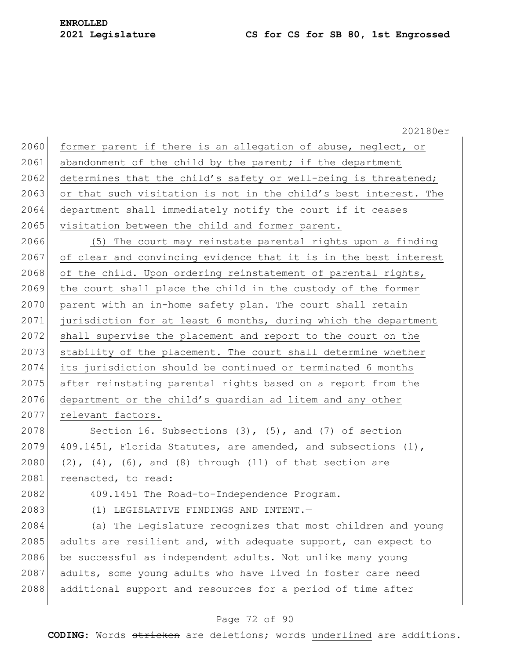#### **2021 Legislature CS for CS for SB 80, 1st Engrossed**

202180er 2060 former parent if there is an allegation of abuse, neglect, or 2061 abandonment of the child by the parent; if the department 2062 determines that the child's safety or well-being is threatened; 2063 or that such visitation is not in the child's best interest. The 2064 department shall immediately notify the court if it ceases 2065 visitation between the child and former parent. 2066 (5) The court may reinstate parental rights upon a finding 2067 of clear and convincing evidence that it is in the best interest 2068 of the child. Upon ordering reinstatement of parental rights, 2069 the court shall place the child in the custody of the former 2070 parent with an in-home safety plan. The court shall retain 2071 jurisdiction for at least 6 months, during which the department 2072 shall supervise the placement and report to the court on the 2073 stability of the placement. The court shall determine whether 2074 its jurisdiction should be continued or terminated 6 months 2075 after reinstating parental rights based on a report from the 2076 department or the child's guardian ad litem and any other 2077 relevant factors. 2078 Section 16. Subsections  $(3)$ ,  $(5)$ , and  $(7)$  of section 2079 409.1451, Florida Statutes, are amended, and subsections  $(1)$ , 2080 (2), (4), (6), and (8) through (11) of that section are 2081 reenacted, to read: 2082 409.1451 The Road-to-Independence Program.— 2083 (1) LEGISLATIVE FINDINGS AND INTENT.— 2084 (a) The Legislature recognizes that most children and young 2085 adults are resilient and, with adequate support, can expect to 2086 be successful as independent adults. Not unlike many young 2087 adults, some young adults who have lived in foster care need 2088 additional support and resources for a period of time after

#### Page 72 of 90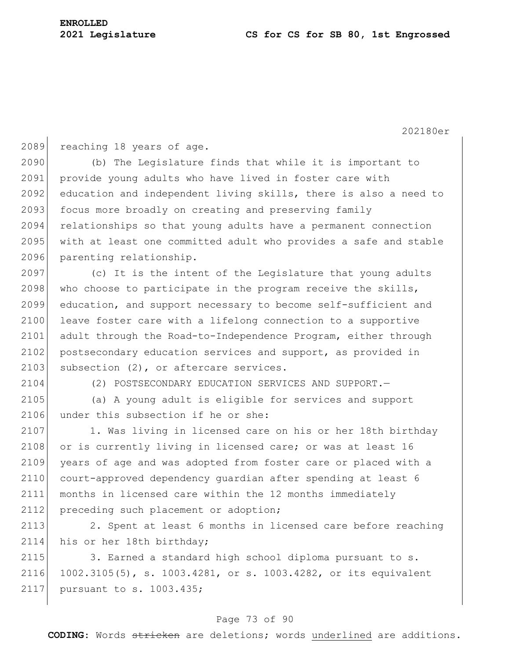2089 reaching 18 years of age.

2090 (b) The Legislature finds that while it is important to 2091 provide young adults who have lived in foster care with 2092 education and independent living skills, there is also a need to 2093 focus more broadly on creating and preserving family 2094 relationships so that young adults have a permanent connection 2095 with at least one committed adult who provides a safe and stable 2096 parenting relationship.

2097 (c) It is the intent of the Legislature that young adults 2098 who choose to participate in the program receive the skills, 2099 education, and support necessary to become self-sufficient and 2100 leave foster care with a lifelong connection to a supportive 2101 adult through the Road-to-Independence Program, either through 2102 postsecondary education services and support, as provided in 2103 subsection (2), or aftercare services.

2104 (2) POSTSECONDARY EDUCATION SERVICES AND SUPPORT.—

2105 (a) A young adult is eligible for services and support 2106 under this subsection if he or she:

2107 1. Was living in licensed care on his or her 18th birthday 2108 or is currently living in licensed care; or was at least 16 2109 years of age and was adopted from foster care or placed with a 2110 court-approved dependency quardian after spending at least 6 2111 months in licensed care within the 12 months immediately 2112 preceding such placement or adoption;

2113 2. Spent at least 6 months in licensed care before reaching 2114 his or her 18th birthday;

2115 3. Earned a standard high school diploma pursuant to s. 2116 1002.3105(5), s. 1003.4281, or s. 1003.4282, or its equivalent 2117 pursuant to s. 1003.435;

#### Page 73 of 90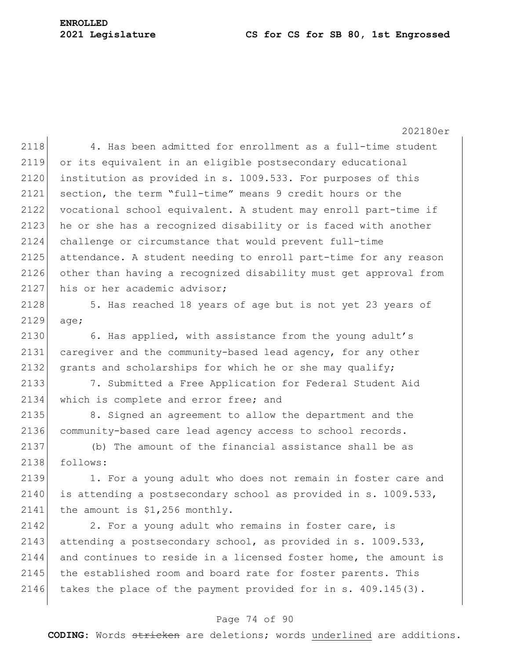202180er 4. Has been admitted for enrollment as a full-time student or its equivalent in an eligible postsecondary educational 2120 institution as provided in s. 1009.533. For purposes of this section, the term "full-time" means 9 credit hours or the vocational school equivalent. A student may enroll part-time if 2123 he or she has a recognized disability or is faced with another challenge or circumstance that would prevent full-time attendance. A student needing to enroll part-time for any reason other than having a recognized disability must get approval from 2127 his or her academic advisor;

2128 5. Has reached 18 years of age but is not yet 23 years of 2129 age;

2130 6. Has applied, with assistance from the young adult's 2131 caregiver and the community-based lead agency, for any other 2132 grants and scholarships for which he or she may qualify;

2133 7. Submitted a Free Application for Federal Student Aid 2134 which is complete and error free; and

2135 8. Signed an agreement to allow the department and the 2136 community-based care lead agency access to school records.

2137 (b) The amount of the financial assistance shall be as 2138 follows:

2139 1. For a young adult who does not remain in foster care and 2140 is attending a postsecondary school as provided in s. 1009.533,  $2141$  the amount is \$1,256 monthly.

 $2142$  2. For a young adult who remains in foster care, is 2143 attending a postsecondary school, as provided in s. 1009.533, 2144 and continues to reside in a licensed foster home, the amount is 2145 the established room and board rate for foster parents. This 2146 takes the place of the payment provided for in  $s. 409.145(3)$ .

# Page 74 of 90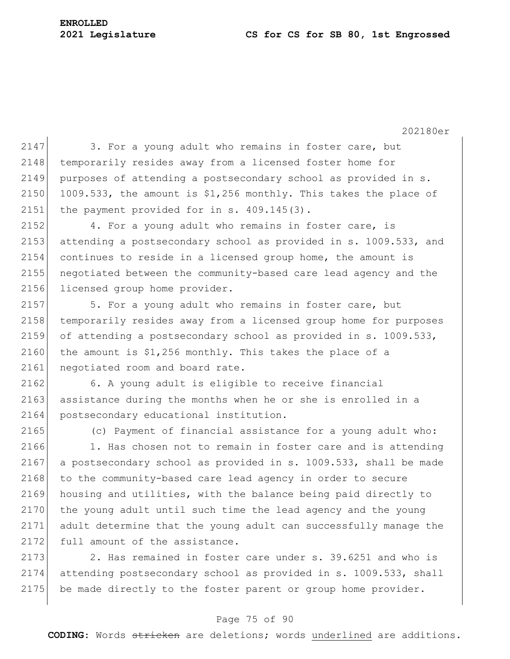$2147$  3. For a young adult who remains in foster care, but 2148 temporarily resides away from a licensed foster home for 2149 purposes of attending a postsecondary school as provided in s. 2150 1009.533, the amount is  $$1,256$  monthly. This takes the place of 2151 the payment provided for in s. 409.145(3). 2152 4. For a young adult who remains in foster care, is 2153 attending a postsecondary school as provided in s. 1009.533, and 2154 continues to reside in a licensed group home, the amount is 2155 negotiated between the community-based care lead agency and the 2156 licensed group home provider. 2157 5. For a young adult who remains in foster care, but 2158 temporarily resides away from a licensed group home for purposes 2159 of attending a postsecondary school as provided in s. 1009.533, 2160 the amount is  $$1,256$  monthly. This takes the place of a 2161 negotiated room and board rate. 2162 6. A young adult is eligible to receive financial 2163 assistance during the months when he or she is enrolled in a 2164 postsecondary educational institution. 2165 (c) Payment of financial assistance for a young adult who: 2166 1. Has chosen not to remain in foster care and is attending 2167 a postsecondary school as provided in s. 1009.533, shall be made 2168 to the community-based care lead agency in order to secure 2169 housing and utilities, with the balance being paid directly to 2170 the young adult until such time the lead agency and the young 2171 adult determine that the young adult can successfully manage the 2172 full amount of the assistance.

2173 2. Has remained in foster care under s. 39.6251 and who is 2174 attending postsecondary school as provided in s. 1009.533, shall 2175 be made directly to the foster parent or group home provider.

# Page 75 of 90

**CODING**: Words stricken are deletions; words underlined are additions.

202180er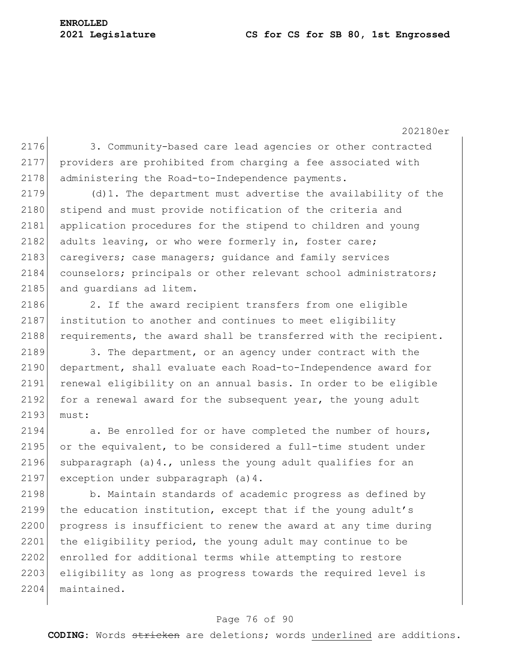202180er

2176 3. Community-based care lead agencies or other contracted 2177 providers are prohibited from charging a fee associated with 2178 administering the Road-to-Independence payments.

 $2179$  (d)1. The department must advertise the availability of the 2180 stipend and must provide notification of the criteria and 2181 application procedures for the stipend to children and young 2182 adults leaving, or who were formerly in, foster care; 2183 caregivers; case managers; guidance and family services 2184 counselors; principals or other relevant school administrators; 2185 and quardians ad litem.

2186 2. If the award recipient transfers from one eligible 2187 institution to another and continues to meet eligibility 2188 requirements, the award shall be transferred with the recipient.

2189 3. The department, or an agency under contract with the 2190 department, shall evaluate each Road-to-Independence award for 2191 renewal eligibility on an annual basis. In order to be eligible 2192 for a renewal award for the subsequent year, the young adult 2193 must:

2194 a. Be enrolled for or have completed the number of hours, 2195 or the equivalent, to be considered a full-time student under 2196 subparagraph (a)4., unless the young adult qualifies for an 2197 exception under subparagraph (a) 4.

2198 b. Maintain standards of academic progress as defined by 2199 the education institution, except that if the young adult's 2200 progress is insufficient to renew the award at any time during 2201 the eligibility period, the young adult may continue to be 2202 enrolled for additional terms while attempting to restore 2203 eligibility as long as progress towards the required level is 2204 maintained.

# Page 76 of 90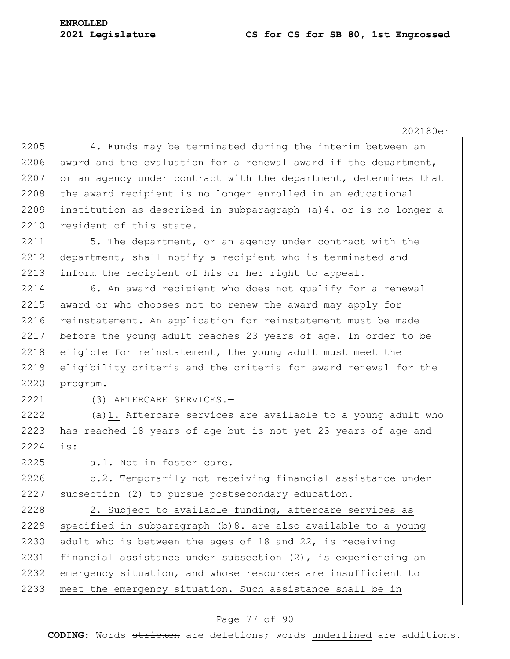# **ENROLLED**

202180er 2205 4. Funds may be terminated during the interim between an 2206 award and the evaluation for a renewal award if the department, 2207 or an agency under contract with the department, determines that 2208 the award recipient is no longer enrolled in an educational 2209 institution as described in subparagraph (a)4. or is no longer a 2210 resident of this state. 2211 5. The department, or an agency under contract with the 2212 department, shall notify a recipient who is terminated and 2213 inform the recipient of his or her right to appeal. 2214 6. An award recipient who does not qualify for a renewal 2215 award or who chooses not to renew the award may apply for 2216 reinstatement. An application for reinstatement must be made 2217 before the young adult reaches 23 years of age. In order to be  $2218$  eligible for reinstatement, the young adult must meet the 2219 eligibility criteria and the criteria for award renewal for the 2220 program. 2221 (3) AFTERCARE SERVICES.— 2222 (a)1. Aftercare services are available to a young adult who 2223 has reached 18 years of age but is not yet 23 years of age and 2224 is:  $2225$  a.  $1.$  Not in foster care. 2226 b.2. Temporarily not receiving financial assistance under 2227 subsection (2) to pursue postsecondary education. 2228 2. Subject to available funding, aftercare services as 2229 specified in subparagraph (b)8. are also available to a young 2230 adult who is between the ages of 18 and 22, is receiving 2231 financial assistance under subsection (2), is experiencing an 2232 emergency situation, and whose resources are insufficient to 2233 | meet the emergency situation. Such assistance shall be in

#### Page 77 of 90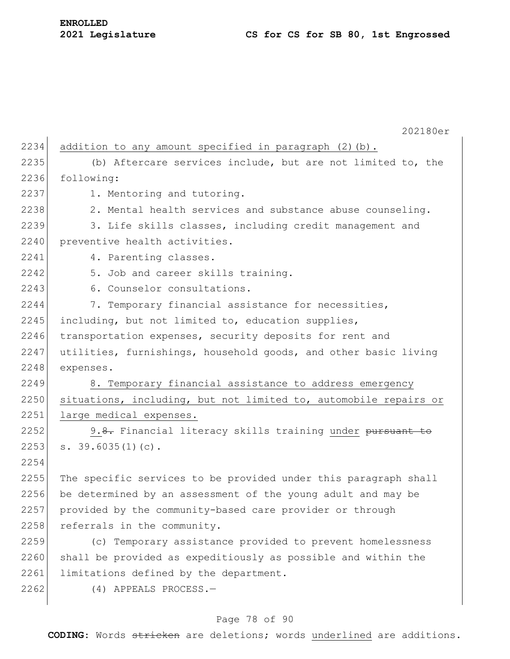202180er 2234 addition to any amount specified in paragraph  $(2)$  (b). 2235 (b) Aftercare services include, but are not limited to, the 2236 following: 2237 1. Mentoring and tutoring. 2238 2. Mental health services and substance abuse counseling. 2239 3. Life skills classes, including credit management and 2240 preventive health activities. 2241 4. Parenting classes. 2242 5. Job and career skills training. 2243 6. Counselor consultations. 2244 7. Temporary financial assistance for necessities, 2245 including, but not limited to, education supplies, 2246 transportation expenses, security deposits for rent and 2247 utilities, furnishings, household goods, and other basic living 2248 expenses. 2249 8. Temporary financial assistance to address emergency 2250 situations, including, but not limited to, automobile repairs or 2251 large medical expenses. 2252 9.8. Financial literacy skills training under pursuant to  $2253$  s. 39.6035(1)(c). 2254 2255 The specific services to be provided under this paragraph shall 2256 be determined by an assessment of the young adult and may be 2257 provided by the community-based care provider or through 2258 referrals in the community. 2259 (c) Temporary assistance provided to prevent homelessness 2260 shall be provided as expeditiously as possible and within the 2261 limitations defined by the department. 2262 (4) APPEALS PROCESS.-

# Page 78 of 90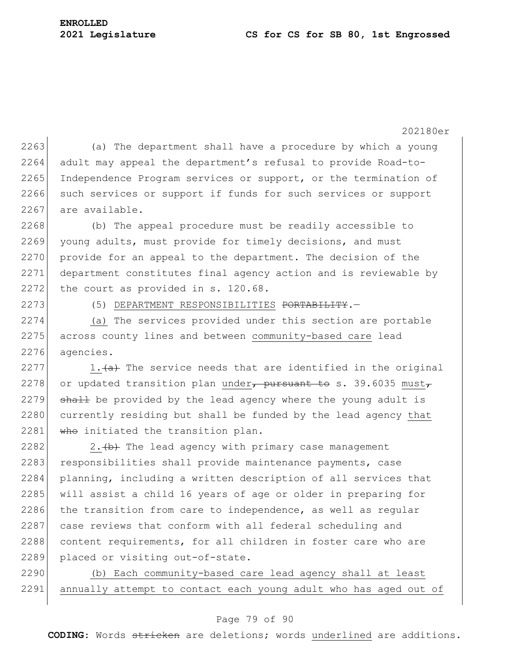202180er  $2263$  (a) The department shall have a procedure by which a young 2264 adult may appeal the department's refusal to provide Road-to-2265 Independence Program services or support, or the termination of 2266 such services or support if funds for such services or support 2267 are available.

2268 (b) The appeal procedure must be readily accessible to 2269 young adults, must provide for timely decisions, and must 2270 provide for an appeal to the department. The decision of the 2271 department constitutes final agency action and is reviewable by 2272 the court as provided in  $s. 120.68$ .

2273 (5) DEPARTMENT RESPONSIBILITIES <del>PORTABILITY</del>.

2274 (a) The services provided under this section are portable 2275 across county lines and between community-based care lead 2276 agencies.

2277 1.  $\left( \frac{a}{a} \right)$  The service needs that are identified in the original 2278 or updated transition plan under, pursuant to s. 39.6035 must, 2279  $\rightarrow$  shall be provided by the lead agency where the young adult is 2280 currently residing but shall be funded by the lead agency that 2281  $\overline{w}$  who initiated the transition plan.

2282 2.  $\leftarrow$  2.  $\leftarrow$  The lead agency with primary case management 2283 responsibilities shall provide maintenance payments, case 2284 planning, including a written description of all services that 2285 will assist a child 16 years of age or older in preparing for  $2286$  the transition from care to independence, as well as regular 2287 case reviews that conform with all federal scheduling and 2288 content requirements, for all children in foster care who are 2289 placed or visiting out-of-state.

2290 (b) Each community-based care lead agency shall at least 2291 annually attempt to contact each young adult who has aged out of

# Page 79 of 90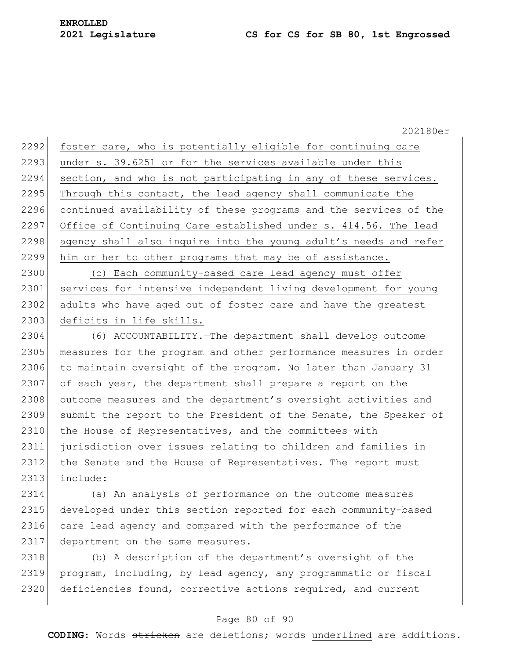2292 foster care, who is potentially eligible for continuing care 2293 under s. 39.6251 or for the services available under this 2294 section, and who is not participating in any of these services.  $2295$  Through this contact, the lead agency shall communicate the 2296 continued availability of these programs and the services of the 2297 Office of Continuing Care established under s. 414.56. The lead 2298 agency shall also inquire into the young adult's needs and refer 2299 him or her to other programs that may be of assistance. 2300 (c) Each community-based care lead agency must offer

2301 services for intensive independent living development for young 2302 adults who have aged out of foster care and have the greatest 2303 deficits in life skills.

2304 (6) ACCOUNTABILITY.—The department shall develop outcome 2305 measures for the program and other performance measures in order 2306 to maintain oversight of the program. No later than January 31 2307 of each year, the department shall prepare a report on the 2308 outcome measures and the department's oversight activities and 2309 submit the report to the President of the Senate, the Speaker of 2310 the House of Representatives, and the committees with 2311 jurisdiction over issues relating to children and families in 2312 the Senate and the House of Representatives. The report must 2313 include:

2314 (a) An analysis of performance on the outcome measures 2315 developed under this section reported for each community-based 2316 care lead agency and compared with the performance of the 2317 department on the same measures.

2318 (b) A description of the department's oversight of the 2319 program, including, by lead agency, any programmatic or fiscal 2320 deficiencies found, corrective actions required, and current

#### Page 80 of 90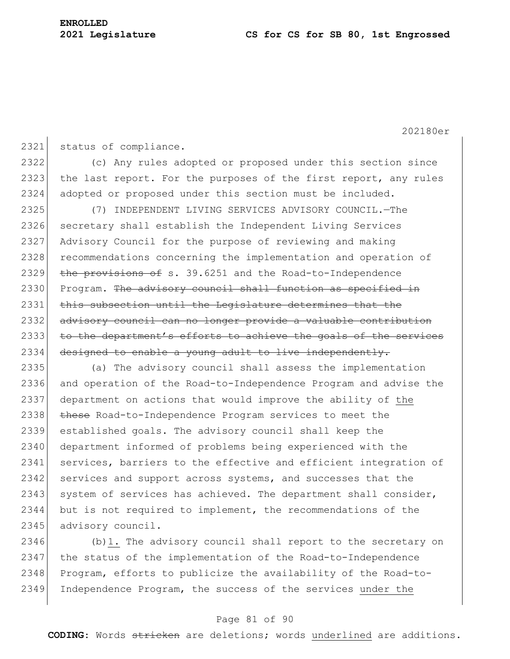2321 status of compliance. 2322 (c) Any rules adopted or proposed under this section since 2323 the last report. For the purposes of the first report, any rules 2324 adopted or proposed under this section must be included. 2325 (7) INDEPENDENT LIVING SERVICES ADVISORY COUNCIL.—The 2326 secretary shall establish the Independent Living Services 2327 Advisory Council for the purpose of reviewing and making 2328 recommendations concerning the implementation and operation of 2329 the provisions of s. 39.6251 and the Road-to-Independence 2330 Program. The advisory council shall function as specified in 2331 this subsection until the Legislature determines that the 2332 advisory council can no longer provide a valuable contribution 2333 to the department's efforts to achieve the goals of the services  $2334$  designed to enable a young adult to live independently. 2335 (a) The advisory council shall assess the implementation 2336 and operation of the Road-to-Independence Program and advise the 2337 department on actions that would improve the ability of the 2338 these Road-to-Independence Program services to meet the 2339 established goals. The advisory council shall keep the 2340 department informed of problems being experienced with the 2341 services, barriers to the effective and efficient integration of 2342 services and support across systems, and successes that the  $2343$  system of services has achieved. The department shall consider, 2344 but is not required to implement, the recommendations of the 2345 advisory council.

2346 (b)1. The advisory council shall report to the secretary on 2347 the status of the implementation of the Road-to-Independence 2348 Program, efforts to publicize the availability of the Road-to-2349 Independence Program, the success of the services under the

#### Page 81 of 90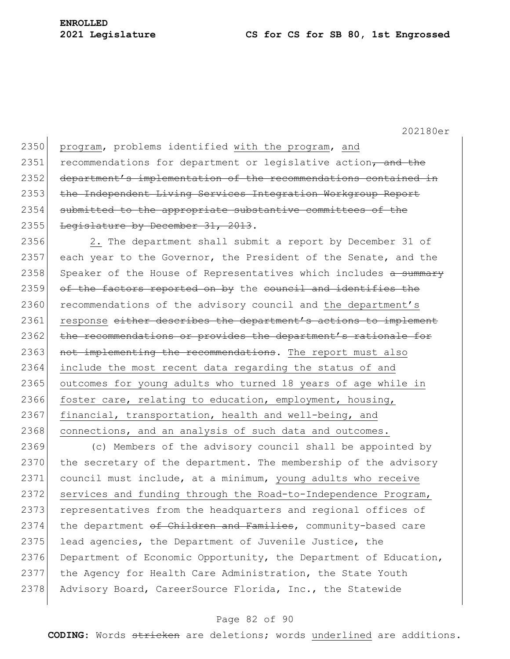2350 program, problems identified with the program, and 2351 recommendations for department or legislative action, and the 2352 department's implementation of the recommendations contained in 2353 the Independent Living Services Integration Workgroup Report 2354 submitted to the appropriate substantive committees of the 2355 Legislature by December 31, 2013.

2356 2. The department shall submit a report by December 31 of 2357 each year to the Governor, the President of the Senate, and the 2358 Speaker of the House of Representatives which includes a summary  $2359$  of the factors reported on by the council and identifies the 2360 recommendations of the advisory council and the department's 2361 response either describes the department's actions to implement 2362 the recommendations or provides the department's rationale for 2363 not implementing the recommendations. The report must also 2364 include the most recent data regarding the status of and 2365 outcomes for young adults who turned 18 years of age while in 2366 foster care, relating to education, employment, housing, 2367 financial, transportation, health and well-being, and 2368 connections, and an analysis of such data and outcomes.

2369 (c) Members of the advisory council shall be appointed by  $2370$  the secretary of the department. The membership of the advisory 2371 council must include, at a minimum, young adults who receive 2372 services and funding through the Road-to-Independence Program, 2373 representatives from the headquarters and regional offices of 2374 the department of Children and Families, community-based care 2375 lead agencies, the Department of Juvenile Justice, the 2376 Department of Economic Opportunity, the Department of Education, 2377 the Agency for Health Care Administration, the State Youth 2378 Advisory Board, CareerSource Florida, Inc., the Statewide

#### Page 82 of 90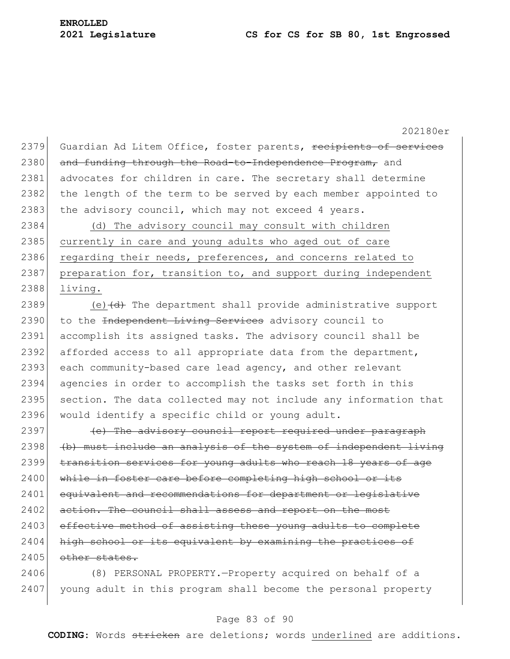202180er 2379 Guardian Ad Litem Office, foster parents, recipients of services 2380 and funding through the Road-to-Independence Program, and 2381 advocates for children in care. The secretary shall determine 2382 the length of the term to be served by each member appointed to 2383 the advisory council, which may not exceed 4 years. 2384 (d) The advisory council may consult with children 2385 currently in care and young adults who aged out of care 2386 regarding their needs, preferences, and concerns related to 2387 preparation for, transition to, and support during independent 2388 living. 2389 (e)  $\left(\frac{d}{d}t\right)$  The department shall provide administrative support 2390 to the Independent Living Services advisory council to 2391 accomplish its assigned tasks. The advisory council shall be 2392 afforded access to all appropriate data from the department, 2393 each community-based care lead agency, and other relevant 2394 agencies in order to accomplish the tasks set forth in this 2395 section. The data collected may not include any information that 2396 would identify a specific child or young adult. 2397 (e) The advisory council report required under paragraph  $2398$  (b) must include an analysis of the system of independent living 2399 transition services for young adults who reach 18 years of age 2400 while in foster care before completing high school or its 2401 equivalent and recommendations for department or legislative 2402 action. The council shall assess and report on the most 2403 effective method of assisting these young adults to complete 2404 high school or its equivalent by examining the practices of 2405 other states.

2406 (8) PERSONAL PROPERTY.—Property acquired on behalf of a 2407 young adult in this program shall become the personal property

#### Page 83 of 90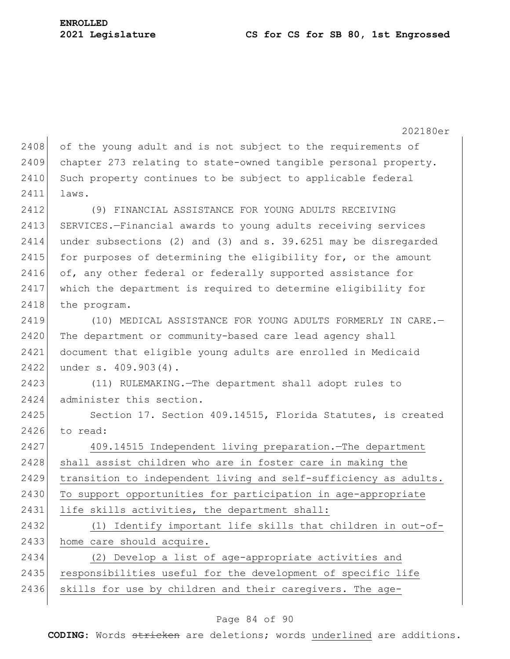202180er  $2408$  of the young adult and is not subject to the requirements of 2409 chapter 273 relating to state-owned tangible personal property. 2410 Such property continues to be subject to applicable federal 2411 laws. 2412 (9) FINANCIAL ASSISTANCE FOR YOUNG ADULTS RECEIVING 2413 SERVICES.-Financial awards to young adults receiving services 2414 under subsections (2) and (3) and s. 39.6251 may be disregarded 2415 for purposes of determining the eligibility for, or the amount 2416 of, any other federal or federally supported assistance for 2417 which the department is required to determine eligibility for 2418 the program. 2419 (10) MEDICAL ASSISTANCE FOR YOUNG ADULTS FORMERLY IN CARE. 2420 The department or community-based care lead agency shall 2421 document that eligible young adults are enrolled in Medicaid 2422 under s. 409.903(4). 2423 (11) RULEMAKING.—The department shall adopt rules to 2424 administer this section. 2425 Section 17. Section 409.14515, Florida Statutes, is created 2426 to read: 2427 409.14515 Independent living preparation.—The department 2428 shall assist children who are in foster care in making the 2429 transition to independent living and self-sufficiency as adults. 2430 To support opportunities for participation in age-appropriate 2431 life skills activities, the department shall: 2432 (1) Identify important life skills that children in out-of-2433 home care should acquire. 2434 (2) Develop a list of age-appropriate activities and 2435 responsibilities useful for the development of specific life 2436 skills for use by children and their caregivers. The age-

# Page 84 of 90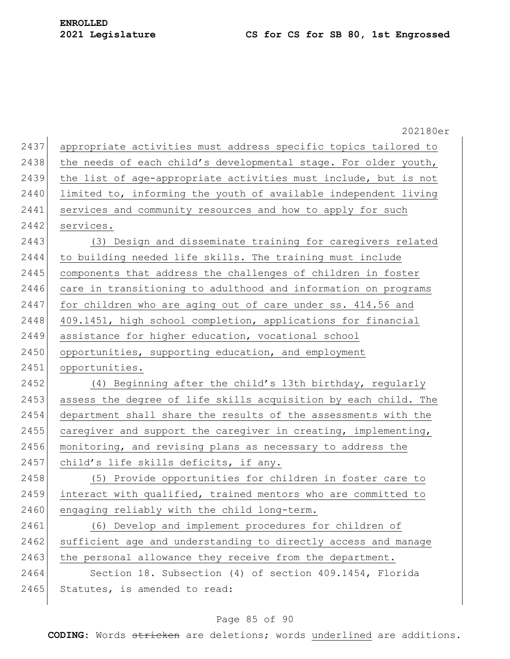|      | 202180er                                                        |
|------|-----------------------------------------------------------------|
| 2437 | appropriate activities must address specific topics tailored to |
| 2438 | the needs of each child's developmental stage. For older youth, |
|      | the list of age-appropriate activities must include, but is not |
|      | limited to, informing the youth of available independent living |
|      | services and community resources and how to apply for such      |
|      | services.                                                       |
|      | (3) Design and disseminate training for caregivers related      |
|      | to building needed life skills. The training must include       |
|      | components that address the challenges of children in foster    |
|      | care in transitioning to adulthood and information on programs  |
|      | for children who are aging out of care under ss. 414.56 and     |
|      | 409.1451, high school completion, applications for financial    |
|      | assistance for higher education, vocational school              |
|      | opportunities, supporting education, and employment             |
|      | opportunities.                                                  |
|      | (4) Beginning after the child's 13th birthday, regularly        |
|      | assess the degree of life skills acquisition by each child. The |
|      | department shall share the results of the assessments with the  |
|      | caregiver and support the caregiver in creating, implementing,  |
|      | monitoring, and revising plans as necessary to address the      |
|      | child's life skills deficits, if any.                           |
|      | (5) Provide opportunities for children in foster care to        |
|      | interact with qualified, trained mentors who are committed to   |
|      | engaging reliably with the child long-term.                     |
|      | (6) Develop and implement procedures for children of            |
|      | sufficient age and understanding to directly access and manage  |
|      | the personal allowance they receive from the department.        |
|      | Section 18. Subsection (4) of section 409.1454, Florida         |
|      | Statutes, is amended to read:                                   |
|      |                                                                 |

# Page 85 of 90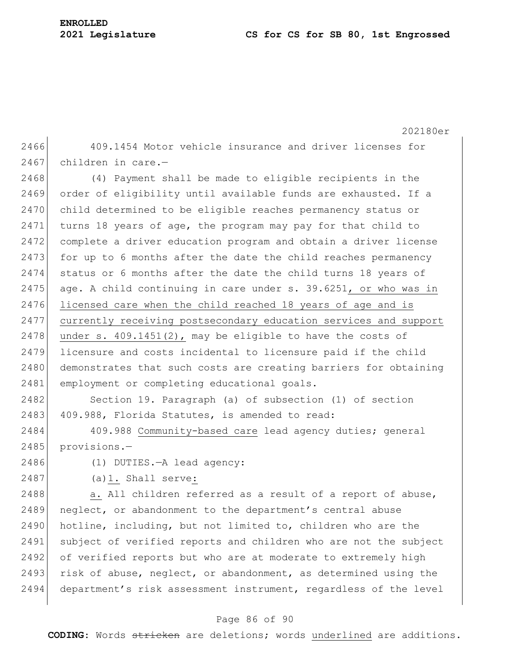|      | 202180er                                                         |
|------|------------------------------------------------------------------|
| 2466 | 409.1454 Motor vehicle insurance and driver licenses for         |
| 2467 | children in care.-                                               |
| 2468 | (4) Payment shall be made to eligible recipients in the          |
| 2469 | order of eligibility until available funds are exhausted. If a   |
| 2470 | child determined to be eligible reaches permanency status or     |
| 2471 | turns 18 years of age, the program may pay for that child to     |
| 2472 | complete a driver education program and obtain a driver license  |
| 2473 | for up to 6 months after the date the child reaches permanency   |
| 2474 | status or 6 months after the date the child turns 18 years of    |
| 2475 | age. A child continuing in care under s. 39.6251, or who was in  |
| 2476 | licensed care when the child reached 18 years of age and is      |
| 2477 | currently receiving postsecondary education services and support |
| 2478 | under s. $409.1451(2)$ , may be eligible to have the costs of    |
| 2479 | licensure and costs incidental to licensure paid if the child    |
| 2480 | demonstrates that such costs are creating barriers for obtaining |
| 2481 | employment or completing educational goals.                      |
| 2482 | Section 19. Paragraph (a) of subsection (1) of section           |
| 2483 | 409.988, Florida Statutes, is amended to read:                   |
| 2484 | 409.988 Community-based care lead agency duties; general         |
| 2485 | provisions.-                                                     |
| 2486 | (1) DUTIES. - A lead agency:                                     |
| 2487 | $(a) 1.$ Shall serve:                                            |
| 2488 | a. All children referred as a result of a report of abuse,       |
| 2489 | neglect, or abandonment to the department's central abuse        |
| 2490 | hotline, including, but not limited to, children who are the     |
| 2491 | subject of verified reports and children who are not the subject |
| 2492 | of verified reports but who are at moderate to extremely high    |
| 2493 | risk of abuse, neglect, or abandonment, as determined using the  |
| 2494 | department's risk assessment instrument, regardless of the level |

# Page 86 of 90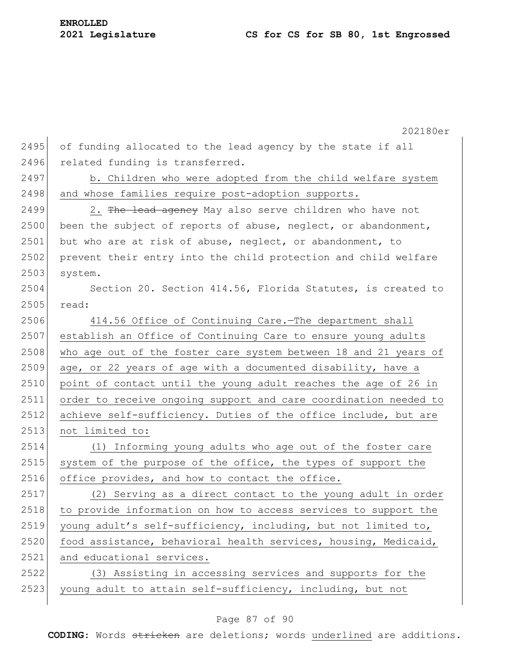202180er 2495 of funding allocated to the lead agency by the state if all 2496 related funding is transferred. 2497 b. Children who were adopted from the child welfare system 2498 and whose families require post-adoption supports. 2499 2. The lead agency May also serve children who have not 2500 been the subject of reports of abuse, neglect, or abandonment, 2501 but who are at risk of abuse, neglect, or abandonment, to 2502 prevent their entry into the child protection and child welfare 2503 system. 2504 Section 20. Section 414.56, Florida Statutes, is created to 2505 read: 2506 414.56 Office of Continuing Care.—The department shall 2507 establish an Office of Continuing Care to ensure young adults 2508 who age out of the foster care system between 18 and 21 years of 2509 age, or 22 years of age with a documented disability, have a 2510 point of contact until the young adult reaches the age of 26 in 2511 order to receive ongoing support and care coordination needed to 2512 achieve self-sufficiency. Duties of the office include, but are 2513 not limited to: 2514 (1) Informing young adults who age out of the foster care 2515 system of the purpose of the office, the types of support the 2516 office provides, and how to contact the office. 2517 (2) Serving as a direct contact to the young adult in order 2518 to provide information on how to access services to support the 2519 young adult's self-sufficiency, including, but not limited to, 2520 food assistance, behavioral health services, housing, Medicaid, 2521 and educational services. 2522 (3) Assisting in accessing services and supports for the 2523 young adult to attain self-sufficiency, including, but not

### Page 87 of 90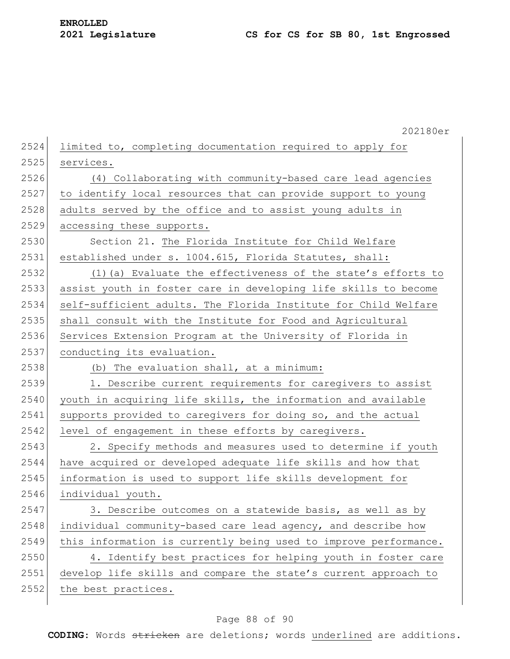|      | 202180er                                                         |
|------|------------------------------------------------------------------|
| 2524 | limited to, completing documentation required to apply for       |
| 2525 | services.                                                        |
| 2526 | (4) Collaborating with community-based care lead agencies        |
| 2527 | to identify local resources that can provide support to young    |
| 2528 | adults served by the office and to assist young adults in        |
| 2529 | accessing these supports.                                        |
| 2530 | Section 21. The Florida Institute for Child Welfare              |
| 2531 | established under s. 1004.615, Florida Statutes, shall:          |
| 2532 | (1) (a) Evaluate the effectiveness of the state's efforts to     |
| 2533 | assist youth in foster care in developing life skills to become  |
| 2534 | self-sufficient adults. The Florida Institute for Child Welfare  |
| 2535 | shall consult with the Institute for Food and Agricultural       |
| 2536 | Services Extension Program at the University of Florida in       |
| 2537 | conducting its evaluation.                                       |
| 2538 | (b) The evaluation shall, at a minimum:                          |
| 2539 | 1. Describe current requirements for caregivers to assist        |
| 2540 | youth in acquiring life skills, the information and available    |
| 2541 | supports provided to caregivers for doing so, and the actual     |
| 2542 | level of engagement in these efforts by caregivers.              |
| 2543 | 2. Specify methods and measures used to determine if youth       |
| 2544 | have acquired or developed adequate life skills and how that     |
| 2545 | information is used to support life skills development for       |
| 2546 | individual youth.                                                |
| 2547 | 3. Describe outcomes on a statewide basis, as well as by         |
| 2548 | individual community-based care lead agency, and describe how    |
| 2549 | this information is currently being used to improve performance. |
| 2550 | 4. Identify best practices for helping youth in foster care      |
| 2551 | develop life skills and compare the state's current approach to  |
| 2552 | the best practices.                                              |

# Page 88 of 90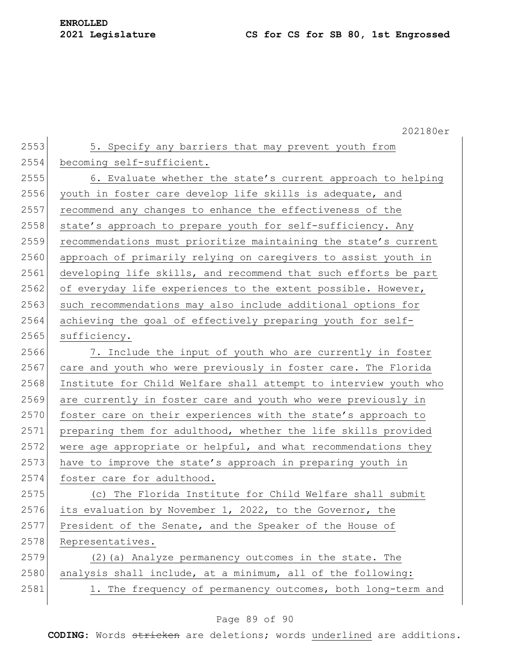202180er 2553 5. Specify any barriers that may prevent youth from 2554 becoming self-sufficient. 2555 6. Evaluate whether the state's current approach to helping 2556 youth in foster care develop life skills is adequate, and 2557 recommend any changes to enhance the effectiveness of the 2558 state's approach to prepare youth for self-sufficiency. Any 2559 recommendations must prioritize maintaining the state's current 2560 approach of primarily relying on caregivers to assist youth in 2561 developing life skills, and recommend that such efforts be part 2562 of everyday life experiences to the extent possible. However, 2563 such recommendations may also include additional options for 2564 achieving the goal of effectively preparing youth for self-2565 sufficiency. 2566 7. Include the input of youth who are currently in foster 2567 care and youth who were previously in foster care. The Florida 2568 Institute for Child Welfare shall attempt to interview youth who 2569 are currently in foster care and youth who were previously in 2570 foster care on their experiences with the state's approach to 2571 preparing them for adulthood, whether the life skills provided  $2572$  were age appropriate or helpful, and what recommendations they 2573 have to improve the state's approach in preparing youth in 2574 foster care for adulthood. 2575 (c) The Florida Institute for Child Welfare shall submit 2576 its evaluation by November 1, 2022, to the Governor, the 2577 President of the Senate, and the Speaker of the House of 2578 Representatives. 2579 (2)(a) Analyze permanency outcomes in the state. The  $2580$  analysis shall include, at a minimum, all of the following: 2581 1. The frequency of permanency outcomes, both long-term and

# Page 89 of 90